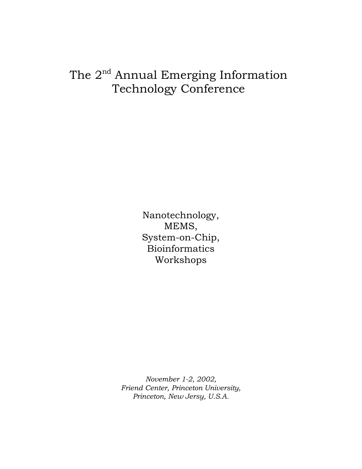# The 2<sup>nd</sup> Annual Emerging Information Technology Conference

Nanotechnology, MEMS, System-on-Chip, Bioinformatics Workshops

*November 1-2, 2002, Friend Center, Princeton University, Princeton, New Jersy, U.S.A.*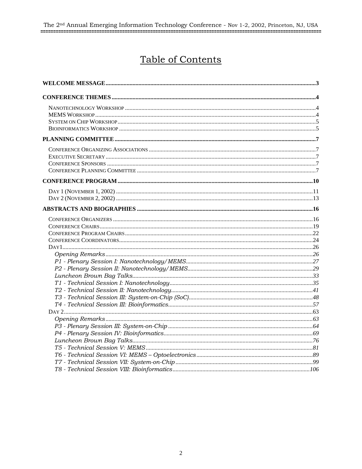# Table of Contents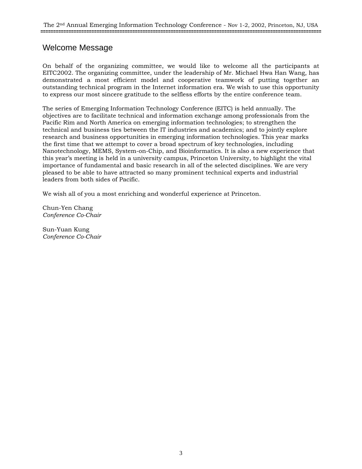# Welcome Message

On behalf of the organizing committee, we would like to welcome all the participants at EITC2002. The organizing committee, under the leadership of Mr. Michael Hwa Han Wang, has demonstrated a most efficient model and cooperative teamwork of putting together an outstanding technical program in the Internet information era. We wish to use this opportunity to express our most sincere gratitude to the selfless efforts by the entire conference team.

The series of Emerging Information Technology Conference (EITC) is held annually. The objectives are to facilitate technical and information exchange among professionals from the Pacific Rim and North America on emerging information technologies; to strengthen the technical and business ties between the IT industries and academics; and to jointly explore research and business opportunities in emerging information technologies. This year marks the first time that we attempt to cover a broad spectrum of key technologies, including Nanotechnology, MEMS, System-on-Chip, and Bioinformatics. It is also a new experience that this year's meeting is held in a university campus, Princeton University, to highlight the vital importance of fundamental and basic research in all of the selected disciplines. We are very pleased to be able to have attracted so many prominent technical experts and industrial leaders from both sides of Pacific.

We wish all of you a most enriching and wonderful experience at Princeton.

Chun-Yen Chang *Conference Co-Chair* 

Sun-Yuan Kung *Conference Co-Chair*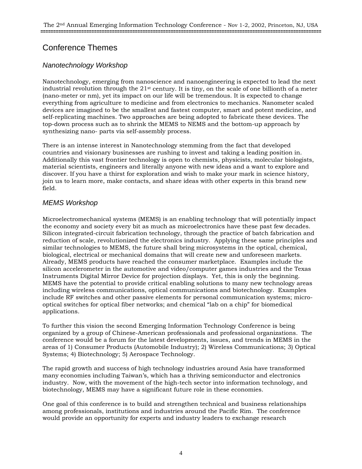# Conference Themes

# *Nanotechnology Workshop*

Nanotechnology, emerging from nanoscience and nanoengineering is expected to lead the next industrial revolution through the 21st century. It is tiny, on the scale of one billionth of a meter (nano-meter or nm), yet its impact on our life will be tremendous. It is expected to change everything from agriculture to medicine and from electronics to mechanics. Nanometer scaled devices are imagined to be the smallest and fastest computer, smart and potent medicine, and self-replicating machines. Two approaches are being adopted to fabricate these devices. The top-down process such as to shrink the MEMS to NEMS and the bottom-up approach by synthesizing nano- parts via self-assembly process.

There is an intense interest in Nanotechnology stemming from the fact that developed countries and visionary businesses are rushing to invest and taking a leading position in. Additionally this vast frontier technology is open to chemists, physicists, molecular biologists, material scientists, engineers and literally anyone with new ideas and a want to explore and discover. If you have a thirst for exploration and wish to make your mark in science history, join us to learn more, make contacts, and share ideas with other experts in this brand new field.

# *MEMS Workshop*

Microelectromechanical systems (MEMS) is an enabling technology that will potentially impact the economy and society every bit as much as microelectronics have these past few decades. Silicon integrated-circuit fabrication technology, through the practice of batch fabrication and reduction of scale, revolutionized the electronics industry. Applying these same principles and similar technologies to MEMS, the future shall bring microsystems in the optical, chemical, biological, electrical or mechanical domains that will create new and unforeseen markets. Already, MEMS products have reached the consumer marketplace. Examples include the silicon accelerometer in the automotive and video/computer games industries and the Texas Instruments Digital Mirror Device for projection displays. Yet, this is only the beginning. MEMS have the potential to provide critical enabling solutions to many new technology areas including wireless communications, optical communications and biotechnology. Examples include RF switches and other passive elements for personal communication systems; microoptical switches for optical fiber networks; and chemical "lab on a chip" for biomedical applications.

To further this vision the second Emerging Information Technology Conference is being organized by a group of Chinese-American professionals and professional organizations. The conference would be a forum for the latest developments, issues, and trends in MEMS in the areas of 1) Consumer Products (Automobile Industry); 2) Wireless Communications; 3) Optical Systems; 4) Biotechnology; 5) Aerospace Technology.

The rapid growth and success of high technology industries around Asia have transformed many economies including Taiwan's, which has a thriving semiconductor and electronics industry. Now, with the movement of the high-tech sector into information technology, and biotechnology, MEMS may have a significant future role in these economies.

One goal of this conference is to build and strengthen technical and business relationships among professionals, institutions and industries around the Pacific Rim. The conference would provide an opportunity for experts and industry leaders to exchange research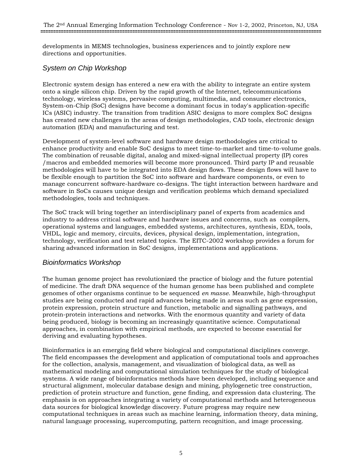developments in MEMS technologies, business experiences and to jointly explore new directions and opportunities.

# *System on Chip Workshop*

Electronic system design has entered a new era with the ability to integrate an entire system onto a single silicon chip. Driven by the rapid growth of the Internet, telecommunications technology, wireless systems, pervasive computing, multimedia, and consumer electronics, System-on-Chip (SoC) designs have become a dominant focus in today's application-specific ICs (ASIC) industry. The transition from tradition ASIC designs to more complex SoC designs has created new challenges in the areas of design methodologies, CAD tools, electronic design automation (EDA) and manufacturing and test.

Development of system-level software and hardware design methodologies are critical to enhance productivity and enable SoC designs to meet time-to-market and time-to-volume goals. The combination of reusable digital, analog and mixed-signal intellectual property (IP) cores /macros and embedded memories will become more pronounced. Third party IP and reusable methodologies will have to be integrated into EDA design flows. These design flows will have to be flexible enough to partition the SoC into software and hardware components, or even to manage concurrent software-hardware co-designs. The tight interaction between hardware and software in SoCs causes unique design and verification problems which demand specialized methodologies, tools and techniques.

The SoC track will bring together an interdisciplinary panel of experts from academics and industry to address critical software and hardware issues and concerns, such as compilers, operational systems and languages, embedded systems, architectures, synthesis, EDA, tools, VHDL, logic and memory, circuits, devices, physical design, implementation, integration, technology, verification and test related topics. The EITC-2002 workshop provides a forum for sharing advanced information in SoC designs, implementations and applications.

# *Bioinformatics Workshop*

The human genome project has revolutionized the practice of biology and the future potential of medicine. The draft DNA sequence of the human genome has been published and complete genomes of other organisms continue to be sequenced *en masse*. Meanwhile, high-throughput studies are being conducted and rapid advances being made in areas such as gene expression, protein expression, protein structure and function, metabolic and signalling pathways, and protein-protein interactions and networks. With the enormous quantity and variety of data being produced, biology is becoming an increasingly quantitative science. Computational approaches, in combination with empirical methods, are expected to become essential for deriving and evaluating hypotheses.

Bioinformatics is an emerging field where biological and computational disciplines converge. The field encompasses the development and application of computational tools and approaches for the collection, analysis, management, and visualization of biological data, as well as mathematical modeling and computational simulation techniques for the study of biological systems. A wide range of bioinformatics methods have been developed, including sequence and structural alignment, molecular database design and mining, phylogenetic tree construction, prediction of protein structure and function, gene finding, and expression data clustering. The emphasis is on approaches integrating a variety of computational methods and heterogeneous data sources for biological knowledge discovery. Future progress may require new computational techniques in areas such as machine learning, information theory, data mining, natural language processing, supercomputing, pattern recognition, and image processing.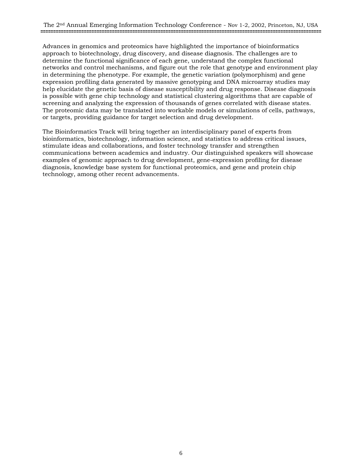Advances in genomics and proteomics have highlighted the importance of bioinformatics approach to biotechnology, drug discovery, and disease diagnosis. The challenges are to determine the functional significance of each gene, understand the complex functional networks and control mechanisms, and figure out the role that genotype and environment play in determining the phenotype. For example, the genetic variation (polymorphism) and gene expression profiling data generated by massive genotyping and DNA microarray studies may help elucidate the genetic basis of disease susceptibility and drug response. Disease diagnosis is possible with gene chip technology and statistical clustering algorithms that are capable of screening and analyzing the expression of thousands of genes correlated with disease states. The proteomic data may be translated into workable models or simulations of cells, pathways, or targets, providing guidance for target selection and drug development.

The Bioinformatics Track will bring together an interdisciplinary panel of experts from bioinformatics, biotechnology, information science, and statistics to address critical issues, stimulate ideas and collaborations, and foster technology transfer and strengthen communications between academics and industry. Our distinguished speakers will showcase examples of genomic approach to drug development, gene-expression profiling for disease diagnosis, knowledge base system for functional proteomics, and gene and protein chip technology, among other recent advancements.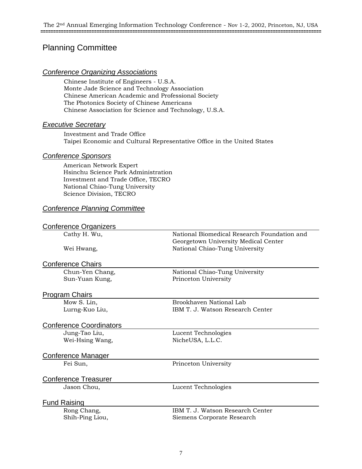# Planning Committee

#### *Conference Organizing Associations*

Chinese Institute of Engineers - U.S.A. Monte Jade Science and Technology Association Chinese American Academic and Professional Society The Photonics Society of Chinese Americans Chinese Association for Science and Technology, U.S.A.

#### *Executive Secretary*

Investment and Trade Office Taipei Economic and Cultural Representative Office in the United States

#### *Conference Sponsors*

American Network Expert Hsinchu Science Park Administration Investment and Trade Office, TECRO National Chiao-Tung University Science Division, TECRO

#### *Conference Planning Committee*

#### Conference Organizers

Cathy H. Wu, National Biomedical Research Foundation and

Wei Hwang, National Chiao-Tung University

#### Conference Chairs

Sun-Yuan Kung, The Princeton University

Chun-Yen Chang, National Chiao-Tung University

Georgetown University Medical Center

#### Program Chairs

Mow S. Lin, Brookhaven National Lab Lurng-Kuo Liu, IBM T. J. Watson Research Center

#### Conference Coordinators

Jung-Tao Liu, Lucent Technologies Wei-Hsing Wang, NicheUSA, L.L.C.

#### Conference Manager

Fei Sun, Princeton University

# Conference Treasurer

Jason Chou, Lucent Technologies

## Fund Raising

Rong Chang, The IBM T. J. Watson Research Center Shih-Ping Liou, Siemens Corporate Research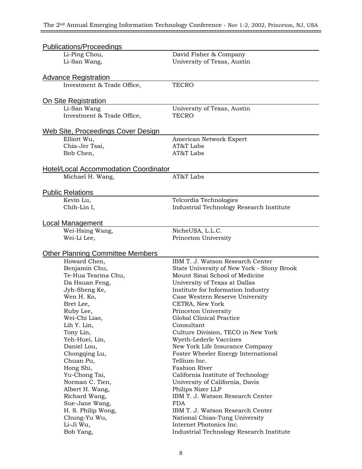| Publications/Proceedings                     |                                            |  |  |
|----------------------------------------------|--------------------------------------------|--|--|
| Li-Ping Chou,                                | David Fisher & Company                     |  |  |
| Li-San Wang,                                 | University of Texas, Austin                |  |  |
|                                              |                                            |  |  |
| <b>Advance Registration</b>                  |                                            |  |  |
| Investment & Trade Office,                   | <b>TECRO</b>                               |  |  |
|                                              |                                            |  |  |
| On Site Registration                         |                                            |  |  |
| Li-San Wang                                  | University of Texas, Austin                |  |  |
| Investment & Trade Office,                   | <b>TECRO</b>                               |  |  |
|                                              |                                            |  |  |
| <u>Web Site, Proceedings Cover Design</u>    |                                            |  |  |
| Elliott Wu,                                  | American Network Expert                    |  |  |
| Chia-Jer Tsai,                               | AT&T Labs                                  |  |  |
| Bob Chen,                                    | AT&T Labs                                  |  |  |
|                                              |                                            |  |  |
| <b>Hotel/Local Accommodation Coordinator</b> | AT&T Labs                                  |  |  |
| Michael H. Wang,                             |                                            |  |  |
| <b>Public Relations</b>                      |                                            |  |  |
| Kevin Lu,                                    | Telcordia Technologies                     |  |  |
| Chih-Lin I,                                  | Industrial Technology Research Institute   |  |  |
|                                              |                                            |  |  |
| Local Management                             |                                            |  |  |
| Wei-Hsing Wang,                              | NicheUSA, L.L.C.                           |  |  |
| Wei-Li Lee,                                  | Princeton University                       |  |  |
|                                              |                                            |  |  |
| <b>Other Planning Committee Members</b>      |                                            |  |  |
| Howard Chen,                                 | IBM T. J. Watson Research Center           |  |  |
| Benjamin Chu,                                | State University of New York - Stony Brook |  |  |
| Te-Hua Tearina Chu,                          | Mount Sinai School of Medicine             |  |  |
| Da Hsuan Feng,                               | University of Texas at Dallas              |  |  |
| Jyh-Sheng Ke,                                | Institute for Information Industry         |  |  |
| Wen H. Ko,                                   | Case Western Reserve University            |  |  |
| Bret Lee,                                    | CETRA. New York                            |  |  |
| Ruby Lee,                                    | Princeton University                       |  |  |
| Wei-Chi Liao,                                | Global Clinical Practice                   |  |  |
| Lih Y. Lin,                                  | Consultant                                 |  |  |
| Tony Lin,                                    | Culture Division, TECO in New York         |  |  |
| Yeh-Huei, Lin,                               | Wyeth-Lederle Vaccines                     |  |  |
| Daniel Lou,                                  | New York Life Insurance Company            |  |  |
| Chongqing Lu,                                | Foster Wheeler Energy International        |  |  |
| Chuan Pu,                                    | Tellium Inc.                               |  |  |
| Hong Shi,                                    | <b>Fashion River</b>                       |  |  |
| Yu-Chong Tai,                                | California Institute of Technology         |  |  |
| Norman C. Tien,                              | University of California, Davis            |  |  |
| Albert H. Wang,                              | Philips Nizer LLP                          |  |  |
| Richard Wang,                                | IBM T. J. Watson Research Center           |  |  |
| Sue-Jane Wang,                               | <b>FDA</b>                                 |  |  |
| H. S. Philip Wong,                           | IBM T. J. Watson Research Center           |  |  |
| Chung-Yu Wu,                                 | National Chiao-Tung University             |  |  |
| Li-Ji Wu,                                    | Internet Photonics Inc.                    |  |  |
| Bob Yang,                                    | Industrial Technology Research Institute   |  |  |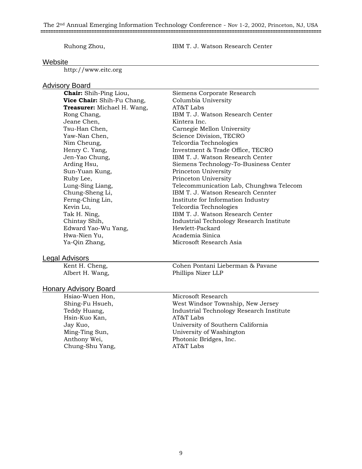#### The 2nd Annual Emerging Information Technology Conference - Nov 1-2, 2002, Princeton, NJ, USA **==============================================================================================================**

#### Ruhong Zhou, IBM T. J. Watson Research Center

#### Website

http://www.eitc.org

# **Advisory Board**<br>**Chair:** Shih-Ping Liou,

**Vice Chair:** Shih-Fu Chang, Columbia University<br> **Treasurer:** Michael H. Wang. AT&T Labs **Treasurer:** Michael H. Wang, Jeane Chen, Kintera Inc. Yaw-Nan Chen, Science Division, TECRO Nim Cheung, Telcordia Technologies Sun-Yuan Kung, Princeton University Ruby Lee, Princeton University Kevin Lu, Telcordia Technologies Edward Yao-Wu Yang, Hwa-Nien Yu, Academia Sinica Ya-Qin Zhang, Microsoft Research Asia

Siemens Corporate Research Rong Chang, The IBM T. J. Watson Research Center Tsu-Han Chen, Carnegie Mellon University Henry C. Yang, Investment & Trade Office, TECRO Jen-Yao Chung, IBM T. J. Watson Research Center Arding Hsu, Siemens Technology-To-Business Center Lung-Sing Liang, Telecommunication Lab, Chunghwa Telecom Chung-Sheng Li, IBM T. J. Watson Research Cennter Ferng-Ching Lin, **Institute for Information Industry** Tak H. Ning, Tak H. Ning, Tak H. J. Watson Research Center Chintay Shih, Industrial Technology Research Institute

#### Legal Advisors

### Honary Advisory Board

Hsiao-Wuen Hon, Microsoft Research Hsin-Kuo Kan, and AT&T Labs Chung-Shu Yang, AT&T Labs

Kent H. Cheng, Cohen Pontani Lieberman & Pavane Albert H. Wang, Phillips Nizer LLP

Shing-Fu Hsueh, West Windsor Township, New Jersey Teddy Huang, The Industrial Technology Research Institute Jay Kuo, University of Southern California Ming-Ting Sun, University of Washington Anthony Wei, Photonic Bridges, Inc.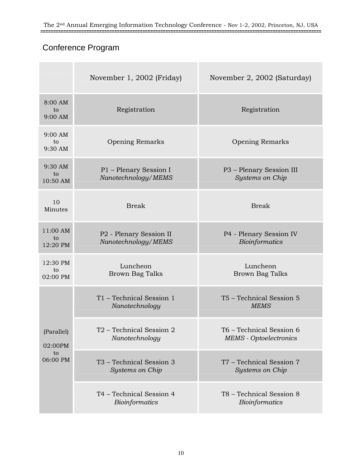# Conference Program

|                                         | November 1, 2002 (Friday)                      | November 2, 2002 (Saturday)                               |
|-----------------------------------------|------------------------------------------------|-----------------------------------------------------------|
| 8:00 AM<br>to<br>9:00 AM                | Registration                                   | Registration                                              |
| 9:00 AM<br>to<br>9:30 AM                | <b>Opening Remarks</b>                         | Opening Remarks                                           |
| 9:30 AM<br>to<br>10:50 AM               | P1 - Plenary Session I<br>Nanotechnology/MEMS  | P3 - Plenary Session III<br>Systems on Chip               |
| 10<br>Minutes                           | <b>Break</b>                                   | <b>Break</b>                                              |
| 11:00 AM<br>to<br>12:20 PM              | P2 - Plenary Session II<br>Nanotechnology/MEMS | P4 - Plenary Session IV<br><b>Bioinformatics</b>          |
| 12:30 PM<br>to<br>02:00 PM              | Luncheon<br><b>Brown Bag Talks</b>             | Luncheon<br><b>Brown Bag Talks</b>                        |
| (Parallel)<br>02:00PM<br>to<br>06:00 PM | T1 - Technical Session 1<br>Nanotechnology     | T5 - Technical Session 5<br><b>MEMS</b>                   |
|                                         | T2 - Technical Session 2<br>Nanotechnology     | T6 – Technical Session 6<br><b>MEMS</b> - Optoelectronics |
|                                         | T3 - Technical Session 3<br>Systems on Chip    | T7 - Technical Session 7<br><b>Systems on Chip</b>        |
|                                         | T4 - Technical Session 4<br>Bioinformatics     | T8 - Technical Session 8<br>Bioinformatics                |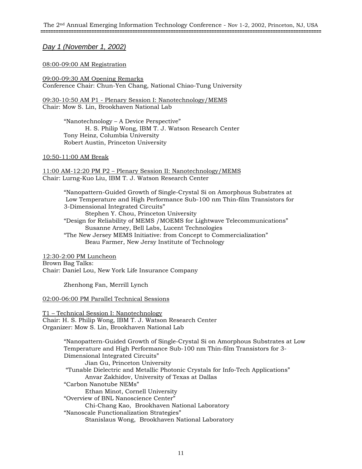*Day 1 (November 1, 2002)*

#### 08:00-09:00 AM Registration

09:00-09:30 AM Opening Remarks Conference Chair: Chun-Yen Chang, National Chiao-Tung University

09:30-10:50 AM P1 - Plenary Session I: Nanotechnology/MEMS Chair: Mow S. Lin, Brookhaven National Lab

> "Nanotechnology – A Device Perspective" H. S. Philip Wong, IBM T. J. Watson Research Center Tony Heinz, Columbia University Robert Austin, Princeton University

#### 10:50-11:00 AM Break

11:00 AM-12:20 PM P2 – Plenary Session II: Nanotechnology/MEMS Chair: Lurng-Kuo Liu, IBM T. J. Watson Research Center

> "Nanopattern-Guided Growth of Single-Crystal Si on Amorphous Substrates at Low Temperature and High Performance Sub-100 nm Thin-film Transistors for 3-Dimensional Integrated Circuits" Stephen Y. Chou, Princeton University "Design for Reliability of MEMS /MOEMS for Lightwave Telecommunications" Susanne Arney, Bell Labs, Lucent Technologies "The New Jersey MEMS Initiative: from Concept to Commercialization"

Beau Farmer, New Jersy Institute of Technology

12:30-2:00 PM Luncheon Brown Bag Talks: Chair: Daniel Lou, New York Life Insurance Company

Zhenhong Fan, Merrill Lynch

02:00-06:00 PM Parallel Technical Sessions

T1 – Technical Session I: Nanotechnology Chair: H. S. Philip Wong, IBM T. J. Watson Research Center Organizer: Mow S. Lin, Brookhaven National Lab

> "Nanopattern-Guided Growth of Single-Crystal Si on Amorphous Substrates at Low Temperature and High Performance Sub-100 nm Thin-film Transistors for 3- Dimensional Integrated Circuits" Jian Gu, Princeton University "Tunable Dielectric and Metallic Photonic Crystals for Info-Tech Applications" Anvar Zakhidov, University of Texas at Dallas "Carbon Nanotube NEMs" Ethan Minot, Cornell University "Overview of BNL Nanoscience Center" Chi-Chang Kao, Brookhaven National Laboratory "Nanoscale Functionalization Strategies" Stanislaus Wong, Brookhaven National Laboratory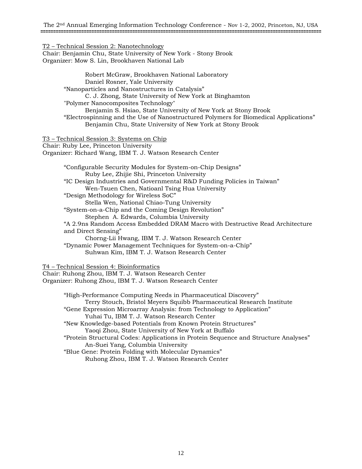#### T2 – Technical Session 2: Nanotechnology

Chair: Benjamin Chu, State University of New York - Stony Brook Organizer: Mow S. Lin, Brookhaven National Lab

> Robert McGraw, Brookhaven National Laboratory Daniel Rosner, Yale University "Nanoparticles and Nanostructures in Catalysis" C. J. Zhong, State University of New York at Binghamton "Polymer Nanocomposites Technology" Benjamin S. Hsiao, State University of New York at Stony Brook "Electrospinning and the Use of Nanostructured Polymers for Biomedical Applications" Benjamin Chu, State University of New York at Stony Brook

T3 – Technical Session 3: Systems on Chip Chair: Ruby Lee, Princeton University Organizer: Richard Wang, IBM T. J. Watson Research Center

"Configurable Security Modules for System-on-Chip Designs" Ruby Lee, Zhijie Shi, Princeton University "IC Design Industries and Governmental R&D Funding Policies in Taiwan" Wen-Tsuen Chen, Natioanl Tsing Hua University "Design Methodology for Wireless SoC" Stella Wen, National Chiao-Tung University "System-on-a-Chip and the Coming Design Revolution" Stephen A. Edwards, Columbia University "A 2.9ns Random Access Embedded DRAM Macro with Destructive Read Architecture and Direct Sensing" Chorng-Lii Hwang, IBM T. J. Watson Research Center "Dynamic Power Management Techniques for System-on-a-Chip" Suhwan Kim, IBM T. J. Watson Research Center

T4 – Technical Session 4: Bioinformatics Chair: Ruhong Zhou, IBM T. J. Watson Research Center Organizer: Ruhong Zhou, IBM T. J. Watson Research Center

> "High-Performance Computing Needs in Pharmaceutical Discovery" Terry Stouch, Bristol Meyers Squibb Pharmaceutical Research Institute "Gene Expression Microarray Analysis: from Technology to Application" Yuhai Tu, IBM T. J. Watson Research Center "New Knowledge-based Potentials from Known Protein Structures" Yaoqi Zhou, State University of New York at Buffalo "Protein Structural Codes: Applications in Protein Sequence and Structure Analyses" An-Suei Yang, Columbia University "Blue Gene: Protein Folding with Molecular Dynamics" Ruhong Zhou, IBM T. J. Watson Research Center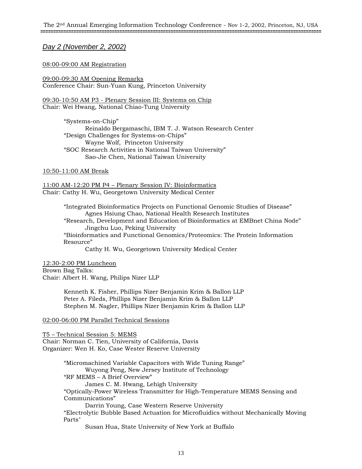*Day 2 (November 2, 2002)*

#### 08:00-09:00 AM Registration

09:00-09:30 AM Opening Remarks Conference Chair: Sun-Yuan Kung, Princeton University

09:30-10:50 AM P3 - Plenary Session III: Systems on Chip Chair: Wei Hwang, National Chiao-Tung University

> "Systems-on-Chip" Reinaldo Bergamaschi, IBM T. J. Watson Research Center "Design Challenges for Systems-on-Chips" Wayne Wolf, Princeton University "SOC Research Activities in National Taiwan University" Sao-Jie Chen, National Taiwan University

#### 10:50-11:00 AM Break

11:00 AM-12:20 PM P4 – Plenary Session IV: Bioinformatics Chair: Cathy H. Wu, Georgetown University Medical Center

> "Integrated Bioinformatics Projects on Functional Genomic Studies of Disease" Agnes Hsiung Chao, National Health Research Institutes "Research, Development and Education of Bioinformatics at EMBnet China Node" Jingchu Luo, Peking University "Bioinformatics and Functional Genomics/Proteomics: The Protein Information Resource"

Cathy H. Wu, Georgetown University Medical Center

12:30-2:00 PM Luncheon Brown Bag Talks: Chair: Albert H. Wang, Philips Nizer LLP

> Kenneth K. Fisher, Phillips Nizer Benjamin Krim & Ballon LLP Peter A. Fileds, Phillips Nizer Benjamin Krim & Ballon LLP Stephen M. Nagler, Phillips Nizer Benjamin Krim & Ballon LLP

#### 02:00-06:00 PM Parallel Technical Sessions

T5 – Technical Session 5: MEMS Chair: Norman C. Tien, University of California, Davis Organizer: Wen H. Ko, Case Wester Reserve University

> "Micromachined Variable Capacitors with Wide Tuning Range" Wuyong Peng, New Jersey Institute of Technology "RF MEMS – A Brief Overview" James C. M. Hwang, Lehigh University "Optically-Power Wireless Transmitter for High-Temperature MEMS Sensing and Communications" Darrin Young, Case Western Reserve University

"Electrolytic Bubble Based Actuation for Microfluidics without Mechanically Moving Parts"

Susan Hua, State University of New York at Buffalo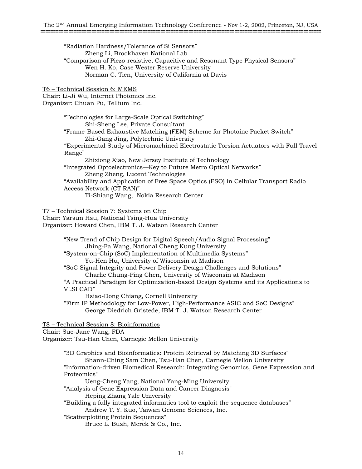#### "Radiation Hardness/Tolerance of Si Sensors" Zheng Li, Brookhaven National Lab "Comparison of Piezo-resistive, Capacitive and Resonant Type Physical Sensors" Wen H. Ko, Case Wester Reserve University Norman C. Tien, University of California at Davis

T6 – Technical Session 6: MEMS Chair: Li-Ji Wu, Internet Photonics Inc. Organizer: Chuan Pu, Tellium Inc.

> "Technologies for Large-Scale Optical Switching" Shi-Sheng Lee, Private Consultant "Frame-Based Exhaustive Matching (FEM) Scheme for Photoinc Packet Switch" Zhi-Gang Jing, Polytechnic University "Experimental Study of Micromachined Electrostatic Torsion Actuators with Full Travel Range" Zhixiong Xiao, New Jersey Institute of Technology "Integrated Optoelectronics—Key to Future Metro Optical Networks" Zheng Zheng, Lucent Technologies "Availability and Application of Free Space Optics (FSO) in Cellular Transport Radio Access Network (CT RAN)"

Ti-Shiang Wang, Nokia Research Center

T7 – Technical Session 7: Systems on Chip

Chair: Yarsun Hsu, National Tsing-Hua University Organizer: Howard Chen, IBM T. J. Watson Research Center

> "New Trend of Chip Design for Digital Speech/Audio Signal Processing" Jhing-Fa Wang, National Cheng Kung University

"System-on-Chip (SoC) Implementation of Multimedia Systems"

Yu-Hen Hu, University of Wisconsin at Madison

"SoC Signal Integrity and Power Delivery Design Challenges and Solutions" Charlie Chung-Ping Chen, University of Wisconsin at Madison

"A Practical Paradigm for Optimization-based Design Systems and its Applications to VLSI CAD"

Hsiao-Dong Chiang, Cornell University

"Firm IP Methodology for Low-Power, High-Performance ASIC and SoC Designs" George Diedrich Gristede, IBM T. J. Watson Research Center

T8 – Technical Session 8: Bioinformatics Chair: Sue-Jane Wang, FDA

Organizer: Tsu-Han Chen, Carnegie Mellon University

"3D Graphics and Bioinformatics: Protein Retrieval by Matching 3D Surfaces" Shann-Ching Sam Chen, Tsu-Han Chen, Carnegie Mellon University "Information-driven Biomedical Research: Integrating Genomics, Gene Expression and Proteomics" Ueng-Cheng Yang, National Yang-Ming University "Analysis of Gene Expression Data and Cancer Diagnosis" Heping Zhang Yale University "Building a fully integrated informatics tool to exploit the sequence databases" Andrew T. Y. Kuo, Taiwan Genome Sciences, Inc. "Scatterplotting Protein Sequences"

Bruce L. Bush, Merck & Co., Inc.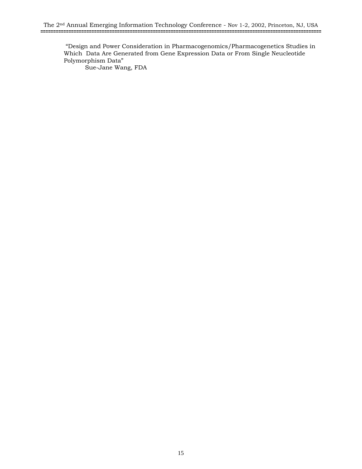"Design and Power Consideration in Pharmacogenomics/Pharmacogenetics Studies in Which Data Are Generated from Gene Expression Data or From Single Neucleotide Polymorphism Data" Sue-Jane Wang, FDA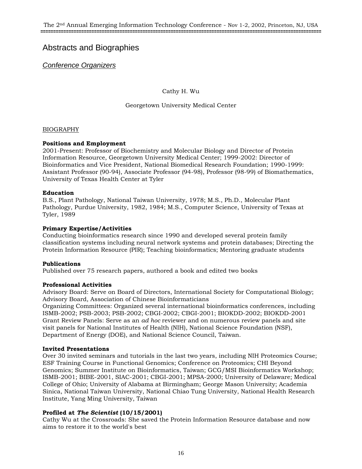# Abstracts and Biographies

*Conference Organizers*

Cathy H. Wu

Georgetown University Medical Center

#### BIOGRAPHY

#### **Positions and Employment**

2001-Present: Professor of Biochemistry and Molecular Biology and Director of Protein Information Resource, Georgetown University Medical Center; 1999-2002: Director of Bioinformatics and Vice President, National Biomedical Research Foundation; 1990-1999: Assistant Professor (90-94), Associate Professor (94-98), Professor (98-99) of Biomathematics, University of Texas Health Center at Tyler

#### **Education**

B.S., Plant Pathology, National Taiwan University, 1978; M.S., Ph.D., Molecular Plant Pathology, Purdue University, 1982, 1984; M.S., Computer Science, University of Texas at Tyler, 1989

#### **Primary Expertise/Activities**

Conducting bioinformatics research since 1990 and developed several protein family classification systems including neural network systems and protein databases; Directing the Protein Information Resource (PIR); Teaching bioinformatics; Mentoring graduate students

#### **Publications**

Published over 75 research papers, authored a book and edited two books

#### **Professional Activities**

Advisory Board: Serve on Board of Directors, International Society for Computational Biology; Advisory Board, Association of Chinese Bioinformaticians

Organizing Committees: Organized several international bioinformatics conferences, including ISMB-2002; PSB-2003; PSB-2002; CBGI-2002; CBGI-2001; BIOKDD-2002; BIOKDD-2001 Grant Review Panels: Serve as an *ad hoc* reviewer and on numerous review panels and site visit panels for National Institutes of Health (NIH), National Science Foundation (NSF), Department of Energy (DOE), and National Science Council, Taiwan.

#### **Invited Presentations**

Over 30 invited seminars and tutorials in the last two years, including NIH Proteomics Course; ESF Training Course in Functional Genomics; Conference on Proteomics; CHI Beyond Genomics; Summer Institute on Bioinformatics, Taiwan; GCG/MSI Bioinformatics Workshop; ISMB-2001; BIBE-2001, SIAC-2001; CBGI-2001; MPSA-2000; University of Delaware; Medical College of Ohio; University of Alabama at Birmingham; George Mason University; Academia Sinica, National Taiwan University, National Chiao Tung University, National Health Research Institute, Yang Ming University, Taiwan

#### **Profiled at** *The Scientist* **(10/15/2001)**

Cathy Wu at the Crossroads: She saved the Protein Information Resource database and now aims to restore it to the world's best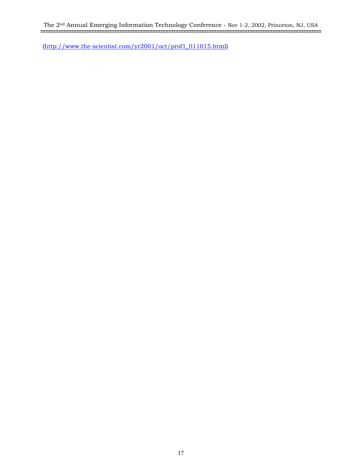The 2nd Annual Emerging Information Technology Conference - Nov 1-2, 2002, Princeton, NJ, USA **==============================================================================================================**

(http://www.the-scientist.com/yr2001/oct/prof1\_011015.html)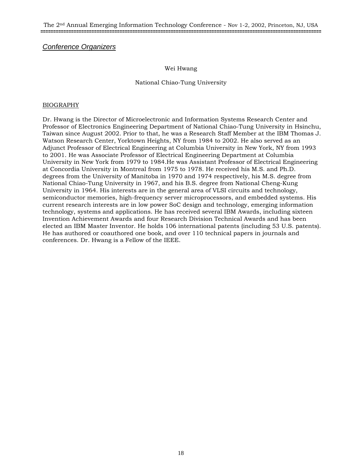## *Conference Organizers*

#### Wei Hwang

#### National Chiao-Tung University

#### BIOGRAPHY

Dr. Hwang is the Director of Microelectronic and Information Systems Research Center and Professor of Electronics Engineering Department of National Chiao-Tung University in Hsinchu, Taiwan since August 2002. Prior to that, he was a Research Staff Member at the IBM Thomas J. Watson Research Center, Yorktown Heights, NY from 1984 to 2002. He also served as an Adjunct Professor of Electrical Engineering at Columbia University in New York, NY from 1993 to 2001. He was Associate Professor of Electrical Engineering Department at Columbia University in New York from 1979 to 1984.He was Assistant Professor of Electrical Engineering at Concordia University in Montreal from 1975 to 1978. He received his M.S. and Ph.D. degrees from the University of Manitoba in 1970 and 1974 respectively, his M.S. degree from National Chiao-Tung University in 1967, and his B.S. degree from National Cheng-Kung University in 1964. His interests are in the general area of VLSI circuits and technology, semiconductor memories, high-frequency server microprocessors, and embedded systems. His current research interests are in low power SoC design and technology, emerging information technology, systems and applications. He has received several IBM Awards, including sixteen Invention Achievement Awards and four Research Division Technical Awards and has been elected an IBM Master Inventor. He holds 106 international patents (including 53 U.S. patents). He has authored or coauthored one book, and over 110 technical papers in journals and conferences. Dr. Hwang is a Fellow of the IEEE.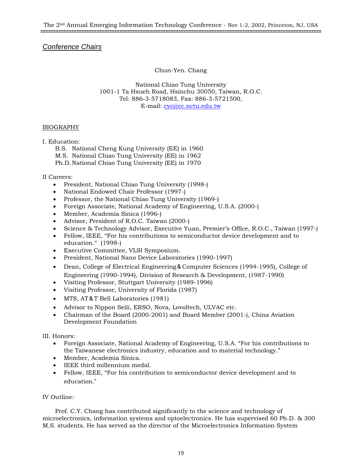## *Conference Chairs*

Chun-Yen. Chang

National Chiao Tung University 1001-1 Ta Hsueh Road, Hsinchu 30050, Taiwan, R.O.C. Tel: 886-3-5718083, Fax: 886-3-5721500, E-mail: cyc@cc.nctu.edu.tw

#### BIOGRAPHY

I. Education:

B.S. National Cheng Kung University (EE) in 1960

M.S. National Chiao Tung University (EE) in 1962

Ph.D. National Chiao Tung University (EE) in 1970

#### II Careers:

- President, National Chiao Tung University (1998-)
- National Endowed Chair Professor (1997-)
- Professor, the National Chiao Tung University (1969-)
- Foreign Associate, National Academy of Engineering, U.S.A. (2000-)
- Member, Academia Sinica (1996-)
- Advisor, President of R.O.C. Taiwan (2000-)
- Science & Technology Advisor, Executive Yuan, Premier's Office, R.O.C., Taiwan (1997-)
- Fellow, IEEE, "For his contributions to semiconductor device development and to education." (1998-)
- Executive Committee, VLSI Symposium.
- President, National Nano Device Laboratories (1990-1997)
- Dean, College of Electrical Engineering&Computer Sciences (1994-1995), College of Engineering (1990-1994), Division of Research & Development, (1987-1990)
- Visiting Professor, Stuttgart University (1989-1996)
- Visiting Professor, University of Florida (1987)
- MTS, AT&T Bell Laboratories (1981)
- Advisor to Nippon Seili, ERSO, Nova, Lovoltech, ULVAC etc.
- Chairman of the Board (2000-2001) and Board Member (2001-), China Aviation Development Foundation

#### III. Honors:

- Foreign Associate, National Academy of Engineering, U.S.A. "For his contributions to the Taiwanese electronics industry, education and to material technology."
- Member, Academia Sinica.
- IEEE third millennium medal.
- Fellow, IEEE, "For his contribution to semiconductor device development and to education."

#### IV Outline:

Prof. C.Y. Chang has contributed significantly to the science and technology of microelectronics, information systems and optoelectronics. He has supervised 60 Ph.D. & 300 M.S. students. He has served as the director of the Microelectronics Information System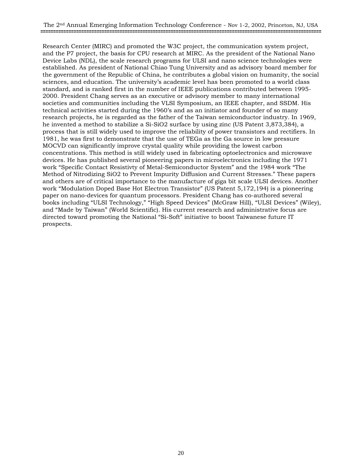Research Center (MIRC) and promoted the W3C project, the communication system project, and the P7 project, the basis for CPU research at MIRC. As the president of the National Nano Device Labs (NDL), the scale research programs for ULSI and nano science technologies were established. As president of National Chiao Tung University and as advisory board member for the government of the Republic of China, he contributes a global vision on humanity, the social sciences, and education. The university's academic level has been promoted to a world class standard, and is ranked first in the number of IEEE publications contributed between 1995- 2000. President Chang serves as an executive or advisory member to many international societies and communities including the VLSI Symposium, an IEEE chapter, and SSDM. His technical activities started during the 1960's and as an initiator and founder of so many research projects, he is regarded as the father of the Taiwan semiconductor industry. In 1969, he invented a method to stabilize a Si-SiO2 surface by using zinc (US Patent 3,873,384), a process that is still widely used to improve the reliability of power transistors and rectifiers. In 1981, he was first to demonstrate that the use of TEGa as the Ga source in low pressure MOCVD can significantly improve crystal quality while providing the lowest carbon concentrations. This method is still widely used in fabricating optoelectronics and microwave devices. He has published several pioneering papers in microelectronics including the 1971 work "Specific Contact Resistivty of Metal-Semiconductor System" and the 1984 work "The Method of Nitrodizing SiO2 to Prevent Impurity Diffusion and Current Stresses." These papers and others are of critical importance to the manufacture of giga bit scale ULSI devices. Another work "Modulation Doped Base Hot Electron Transistor" (US Patent 5,172,194) is a pioneering paper on nano-devices for quantum processors. President Chang has co-authored several books including "ULSI Technology," "High Speed Devices" (McGraw Hill), "ULSI Devices" (Wiley), and "Made by Taiwan" (World Scientific). His current research and administrative focus are directed toward promoting the National "Si-Soft" initiative to boost Taiwanese future IT prospects.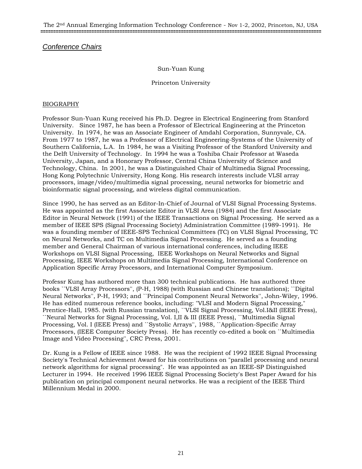The 2nd Annual Emerging Information Technology Conference - Nov 1-2, 2002, Princeton, NJ, USA **==============================================================================================================**

## *Conference Chairs*

#### Sun-Yuan Kung

#### Princeton University

#### BIOGRAPHY

Professor Sun-Yuan Kung received his Ph.D. Degree in Electrical Engineering from Stanford University. Since 1987, he has been a Professor of Electrical Engineering at the Princeton University. In 1974, he was an Associate Engineer of Amdahl Corporation, Sunnyvale, CA. From 1977 to 1987, he was a Professor of Electrical Engineering-Systems of the University of Southern California, L.A. In 1984, he was a Visiting Professor of the Stanford University and the Delft University of Technology. In 1994 he was a Toshiba Chair Professor at Waseda University, Japan, and a Honorary Professor, Central China University of Science and Technology, China. In 2001, he was a Distinguished Chair of Multimedia Signal Processing, Hong Kong Polytechnic University, Hong Kong. His research interests include VLSI array processors, image/video/multimedia signal processing, neural networks for biometric and bioinformatic signal processing, and wireless digital communication.

Since 1990, he has served as an Editor-In-Chief of Journal of VLSI Signal Processing Systems. He was appointed as the first Associate Editor in VLSI Area (1984) and the first Associate Editor in Neural Network (1991) of the IEEE Transactions on Signal Processing. He served as a member of IEEE SPS (Signal Processing Society) Administration Committee (1989-1991). He was a founding member of IEEE-SPS Technical Committees (TC) on VLSI Signal Processing, TC on Neural Networks, and TC on Multimedia Signal Processing. He served as a founding member and General Chairman of various international conferences, including IEEE Workshops on VLSI Signal Processing, IEEE Workshops on Neural Networks and Signal Processing, IEEE Workshops on Multimedia Signal Processing, International Conference on Application Specific Array Processors, and International Computer Symposium.

Professr Kung has authored more than 300 technical publications. He has authored three books ``VLSI Array Processors'', (P-H, 1988) (with Russian and Chinese translations); ``Digital Neural Networks'', P-H, 1993; and ``Principal Component Neural Networks'', John-Wiley, 1996. He has edited numerous reference books, including: "VLSI and Modern Signal Processing," Prentice-Hall, 1985. (with Russian translation), ``VLSI Signal Processing, Vol.I&II (IEEE Press), ``Neural Networks for Signal Processing, Vol. I,II & III (IEEE Press), ``Multimedia Signal Processing, Vol. I (IEEE Press) and ``Systolic Arrays'', 1988, ``Application-Specific Array Processors, (IEEE Computer Society Press). He has recently co-edited a book on ``Multimedia Image and Video Processing'', CRC Press, 2001.

Dr. Kung is a Fellow of IEEE since 1988. He was the recipient of 1992 IEEE Signal Processing Society's Technical Achievement Award for his contributions on "parallel processing and neural network algorithms for signal processing". He was appointed as an IEEE-SP Distinguished Lecturer in 1994. He received 1996 IEEE Signal Processing Society's Best Paper Award for his publication on principal component neural networks. He was a recipient of the IEEE Third Millennium Medal in 2000.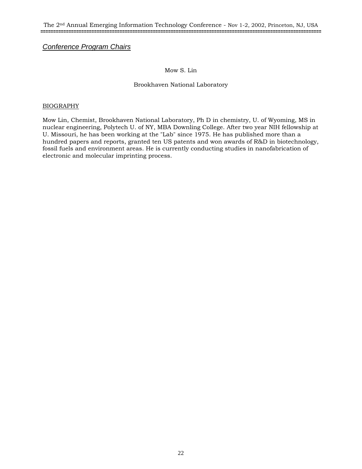## *Conference Program Chairs*

#### Mow S. Lin

#### Brookhaven National Laboratory

#### BIOGRAPHY

Mow Lin, Chemist, Brookhaven National Laboratory, Ph D in chemistry, U. of Wyoming, MS in nuclear engineering, Polytech U. of NY, MBA Downling College. After two year NIH fellowship at U. Missouri, he has been working at the "Lab" since 1975. He has published more than a hundred papers and reports, granted ten US patents and won awards of R&D in biotechnology, fossil fuels and environment areas. He is currently conducting studies in nanofabrication of electronic and molecular imprinting process.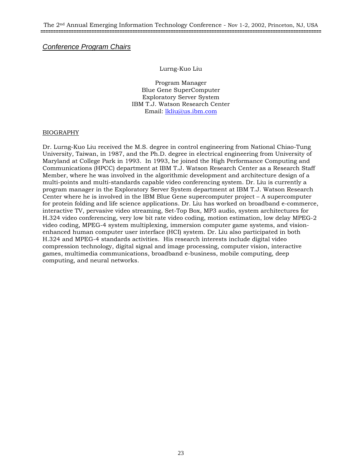*Conference Program Chairs*

#### Lurng-Kuo Liu

Program Manager Blue Gene SuperComputer Exploratory Server System IBM T.J. Watson Research Center Email: lkliu@us.ibm.com

#### BIOGRAPHY

Dr. Lurng-Kuo Liu received the M.S. degree in control engineering from National Chiao-Tung University, Taiwan, in 1987, and the Ph.D. degree in electrical engineering from University of Maryland at College Park in 1993. In 1993, he joined the High Performance Computing and Communications (HPCC) department at IBM T.J. Watson Research Center as a Research Staff Member, where he was involved in the algorithmic development and architecture design of a multi-points and multi-standards capable video conferencing system. Dr. Liu is currently a program manager in the Exploratory Server System department at IBM T.J. Watson Research Center where he is involved in the IBM Blue Gene supercomputer project – A supercomputer for protein folding and life science applications. Dr. Liu has worked on broadband e-commerce, interactive TV, pervasive video streaming, Set-Top Box, MP3 audio, system architectures for H.324 video conferencing, very low bit rate video coding, motion estimation, low delay MPEG-2 video coding, MPEG-4 system multiplexing, immersion computer game systems, and visionenhanced human computer user interface (HCI) system. Dr. Liu also participated in both H.324 and MPEG-4 standards activities. His research interests include digital video compression technology, digital signal and image processing, computer vision, interactive games, multimedia communications, broadband e-business, mobile computing, deep computing, and neural networks.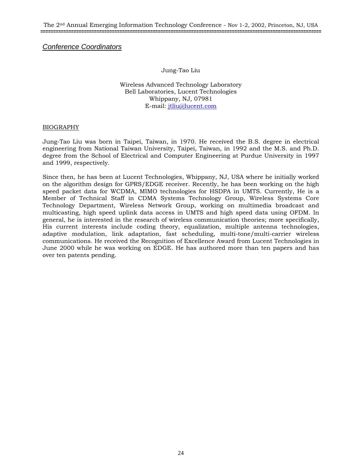*Conference Coordinators* 

Jung-Tao Liu

Wireless Advanced Technology Laboratory Bell Laboratories, Lucent Technologies Whippany, NJ, 07981 E-mail: jtliu@lucent.com

#### BIOGRAPHY

Jung-Tao Liu was born in Taipei, Taiwan, in 1970. He received the B.S. degree in electrical engineering from National Taiwan University, Taipei, Taiwan, in 1992 and the M.S. and Ph.D. degree from the School of Electrical and Computer Engineering at Purdue University in 1997 and 1999, respectively.

Since then, he has been at Lucent Technologies, Whippany, NJ, USA where he initially worked on the algorithm design for GPRS/EDGE receiver. Recently, he has been working on the high speed packet data for WCDMA, MIMO technologies for HSDPA in UMTS. Currently, He is a Member of Technical Staff in CDMA Systems Technology Group, Wireless Systems Core Technology Department, Wireless Network Group, working on multimedia broadcast and multicasting, high speed uplink data access in UMTS and high speed data using OFDM. In general, he is interested in the research of wireless communication theories; more specifically, His current interests include coding theory, equalization, multiple antenna technologies, adaptive modulation, link adaptation, fast scheduling, multi-tone/multi-carrier wireless communications. He received the Recognition of Excellence Award from Lucent Technologies in June 2000 while he was working on EDGE. He has authored more than ten papers and has over ten patents pending.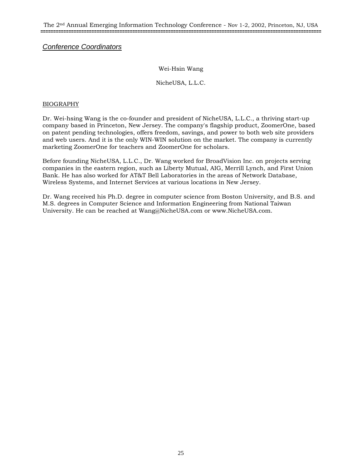# *Conference Coordinators*

#### Wei-Hsin Wang

#### NicheUSA, L.L.C.

#### BIOGRAPHY

Dr. Wei-hsing Wang is the co-founder and president of NicheUSA, L.L.C., a thriving start-up company based in Princeton, New Jersey. The company's flagship product, ZoomerOne, based on patent pending technologies, offers freedom, savings, and power to both web site providers and web users. And it is the only WIN-WIN solution on the market. The company is currently marketing ZoomerOne for teachers and ZoomerOne for scholars.

Before founding NicheUSA, L.L.C., Dr. Wang worked for BroadVision Inc. on projects serving companies in the eastern region, such as Liberty Mutual, AIG, Merrill Lynch, and First Union Bank. He has also worked for AT&T Bell Laboratories in the areas of Network Database, Wireless Systems, and Internet Services at various locations in New Jersey.

Dr. Wang received his Ph.D. degree in computer science from Boston University, and B.S. and M.S. degrees in Computer Science and Information Engineering from National Taiwan University. He can be reached at Wang@NicheUSA.com or www.NicheUSA.com.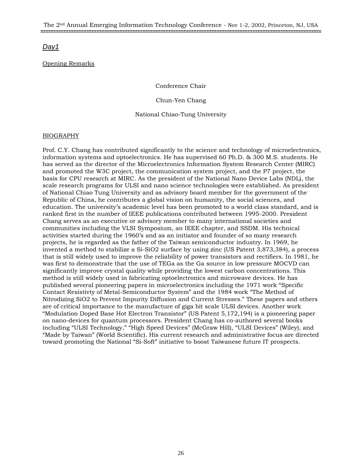# *Day1*

## Opening Remarks

Conference Chair

Chun-Yen Chang

National Chiao-Tung University

#### BIOGRAPHY

Prof. C.Y. Chang has contributed significantly to the science and technology of microelectronics, information systems and optoelectronics. He has supervised 60 Ph.D. & 300 M.S. students. He has served as the director of the Microelectronics Information System Research Center (MIRC) and promoted the W3C project, the communication system project, and the P7 project, the basis for CPU research at MIRC. As the president of the National Nano Device Labs (NDL), the scale research programs for ULSI and nano science technologies were established. As president of National Chiao Tung University and as advisory board member for the government of the Republic of China, he contributes a global vision on humanity, the social sciences, and education. The university's academic level has been promoted to a world class standard, and is ranked first in the number of IEEE publications contributed between 1995-2000. President Chang serves as an executive or advisory member to many international societies and communities including the VLSI Symposium, an IEEE chapter, and SSDM. His technical activities started during the 1960's and as an initiator and founder of so many research projects, he is regarded as the father of the Taiwan semiconductor industry. In 1969, he invented a method to stabilize a Si-SiO2 surface by using zinc (US Patent 3,873,384), a process that is still widely used to improve the reliability of power transistors and rectifiers. In 1981, he was first to demonstrate that the use of TEGa as the Ga source in low pressure MOCVD can significantly improve crystal quality while providing the lowest carbon concentrations. This method is still widely used in fabricating optoelectronics and microwave devices. He has published several pioneering papers in microelectronics including the 1971 work "Specific Contact Resistivty of Metal-Semiconductor System" and the 1984 work "The Method of Nitrodizing SiO2 to Prevent Impurity Diffusion and Current Stresses." These papers and others are of critical importance to the manufacture of giga bit scale ULSI devices. Another work "Modulation Doped Base Hot Electron Transistor" (US Patent 5,172,194) is a pioneering paper on nano-devices for quantum processors. President Chang has co-authored several books including "ULSI Technology," "High Speed Devices" (McGraw Hill), "ULSI Devices" (Wiley), and "Made by Taiwan" (World Scientific). His current research and administrative focus are directed toward promoting the National "Si-Soft" initiative to boost Taiwanese future IT prospects.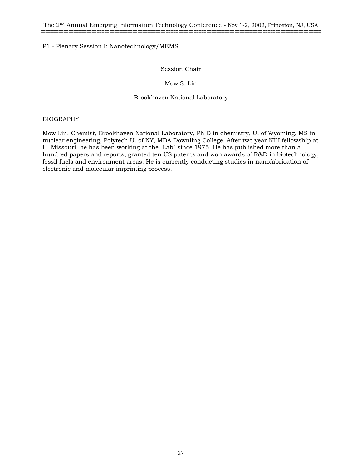#### Session Chair

#### Mow S. Lin

#### Brookhaven National Laboratory

#### BIOGRAPHY

Mow Lin, Chemist, Brookhaven National Laboratory, Ph D in chemistry, U. of Wyoming, MS in nuclear engineering, Polytech U. of NY, MBA Downling College. After two year NIH fellowship at U. Missouri, he has been working at the "Lab" since 1975. He has published more than a hundred papers and reports, granted ten US patents and won awards of R&D in biotechnology, fossil fuels and environment areas. He is currently conducting studies in nanofabrication of electronic and molecular imprinting process.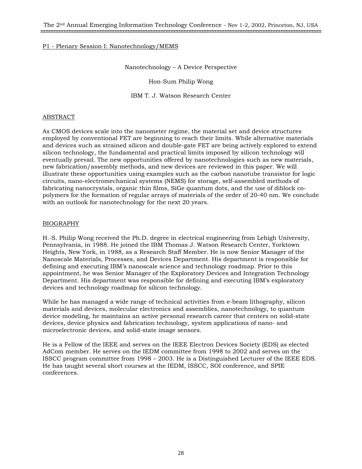#### Nanotechnology – A Device Perspective

Hon-Sum Philip Wong

IBM T. J. Watson Research Center

#### ABSTRACT

As CMOS devices scale into the nanometer regime, the material set and device structures employed by conventional FET are beginning to reach their limits. While alternative materials and devices such as strained silicon and double-gate FET are being actively explored to extend silicon technology, the fundamental and practical limits imposed by silicon technology will eventually prevail. The new opportunities offered by nanotechnologies such as new materials, new fabrication/assembly methods, and new devices are reviewed in this paper. We will illustrate these opportunities using examples such as the carbon nanotube transistor for logic circuits, nano-electromechanical systems (NEMS) for storage, self-assembled methods of fabricating nanocrystals, organic thin films, SiGe quantum dots, and the use of diblock copolymers for the formation of regular arrays of materials of the order of 20-40 nm. We conclude with an outlook for nanotechnology for the next 20 years.

#### BIOGRAPHY

H.-S. Philip Wong received the Ph.D. degree in electrical engineering from Lehigh University, Pennsylvania, in 1988. He joined the IBM Thomas J. Watson Research Center, Yorktown Heights, New York, in 1988, as a Research Staff Member. He is now Senior Manager of the Nanoscale Materials, Processes, and Devices Department. His department is responsible for defining and executing IBM's nanoscale science and technology roadmap. Prior to this appointment, he was Senior Manager of the Exploratory Devices and Integration Technology Department. His department was responsible for defining and executing IBM's exploratory devices and technology roadmap for silicon technology.

While he has managed a wide range of technical activities from e-beam lithography, silicon materials and devices, molecular electronics and assemblies, nanotechnology, to quantum device modeling, he maintains an active personal research career that centers on solid-state devices, device physics and fabrication technology, system applications of nano- and microelectronic devices, and solid-state image sensors.

He is a Fellow of the IEEE and serves on the IEEE Electron Devices Society (EDS) as elected AdCom member. He serves on the IEDM committee from 1998 to 2002 and serves on the ISSCC program committee from 1998 – 2003. He is a Distinguished Lecturer of the IEEE EDS. He has taught several short courses at the IEDM, ISSCC, SOI conference, and SPIE conferences.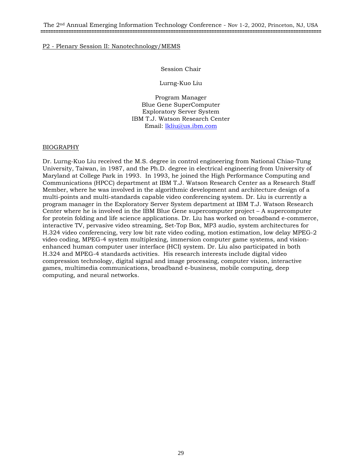#### Session Chair

Lurng-Kuo Liu

Program Manager Blue Gene SuperComputer Exploratory Server System IBM T.J. Watson Research Center Email: lkliu@us.ibm.com

#### BIOGRAPHY

Dr. Lurng-Kuo Liu received the M.S. degree in control engineering from National Chiao-Tung University, Taiwan, in 1987, and the Ph.D. degree in electrical engineering from University of Maryland at College Park in 1993. In 1993, he joined the High Performance Computing and Communications (HPCC) department at IBM T.J. Watson Research Center as a Research Staff Member, where he was involved in the algorithmic development and architecture design of a multi-points and multi-standards capable video conferencing system. Dr. Liu is currently a program manager in the Exploratory Server System department at IBM T.J. Watson Research Center where he is involved in the IBM Blue Gene supercomputer project – A supercomputer for protein folding and life science applications. Dr. Liu has worked on broadband e-commerce, interactive TV, pervasive video streaming, Set-Top Box, MP3 audio, system architectures for H.324 video conferencing, very low bit rate video coding, motion estimation, low delay MPEG-2 video coding, MPEG-4 system multiplexing, immersion computer game systems, and visionenhanced human computer user interface (HCI) system. Dr. Liu also participated in both H.324 and MPEG-4 standards activities. His research interests include digital video compression technology, digital signal and image processing, computer vision, interactive games, multimedia communications, broadband e-business, mobile computing, deep computing, and neural networks.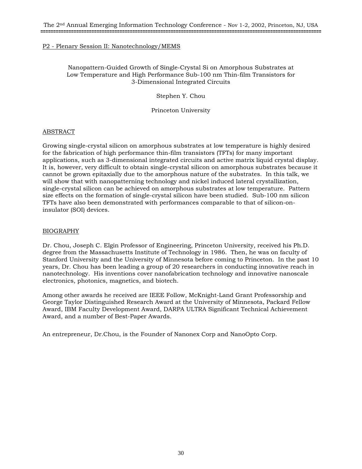#### Nanopattern-Guided Growth of Single-Crystal Si on Amorphous Substrates at Low Temperature and High Performance Sub-100 nm Thin-film Transistors for 3-Dimensional Integrated Circuits

Stephen Y. Chou

Princeton University

#### ABSTRACT

Growing single-crystal silicon on amorphous substrates at low temperature is highly desired for the fabrication of high performance thin-film transistors (TFTs) for many important applications, such as 3-dimensional integrated circuits and active matrix liquid crystal display. It is, however, very difficult to obtain single-crystal silicon on amorphous substrates because it cannot be grown epitaxially due to the amorphous nature of the substrates. In this talk, we will show that with nanopatterning technology and nickel induced lateral crystallization, single-crystal silicon can be achieved on amorphous substrates at low temperature. Pattern size effects on the formation of single-crystal silicon have been studied. Sub-100 nm silicon TFTs have also been demonstrated with performances comparable to that of silicon-oninsulator (SOI) devices.

#### BIOGRAPHY

Dr. Chou, Joseph C. Elgin Professor of Engineering, Princeton University, received his Ph.D. degree from the Massachusetts Institute of Technology in 1986. Then, he was on faculty of Stanford University and the University of Minnesota before coming to Princeton. In the past 10 years, Dr. Chou has been leading a group of 20 researchers in conducting innovative reach in nanotechnology. His inventions cover nanofabrication technology and innovative nanoscale electronics, photonics, magnetics, and biotech.

Among other awards he received are IEEE Follow, McKnight-Land Grant Professorship and George Taylor Distinguished Research Award at the University of Minnesota, Packard Fellow Award, IBM Faculty Development Award, DARPA ULTRA Significant Technical Achievement Award, and a number of Best-Paper Awards.

An entrepreneur, Dr.Chou, is the Founder of Nanonex Corp and NanoOpto Corp.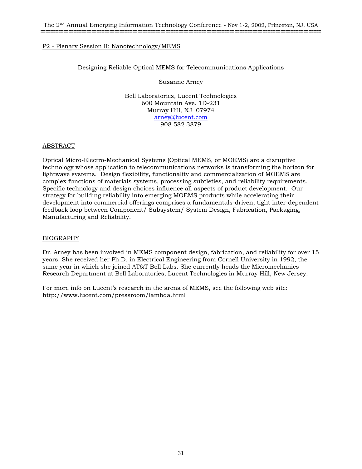#### Designing Reliable Optical MEMS for Telecommunications Applications

Susanne Arney

Bell Laboratories, Lucent Technologies 600 Mountain Ave. 1D-231 Murray Hill, NJ 07974 arney@lucent.com 908 582 3879

#### ABSTRACT

Optical Micro-Electro-Mechanical Systems (Optical MEMS, or MOEMS) are a disruptive technology whose application to telecommunications networks is transforming the horizon for lightwave systems. Design flexibility, functionality and commercialization of MOEMS are complex functions of materials systems, processing subtleties, and reliability requirements. Specific technology and design choices influence all aspects of product development. Our strategy for building reliability into emerging MOEMS products while accelerating their development into commercial offerings comprises a fundamentals-driven, tight inter-dependent feedback loop between Component/ Subsystem/ System Design, Fabrication, Packaging, Manufacturing and Reliability.

#### BIOGRAPHY

Dr. Arney has been involved in MEMS component design, fabrication, and reliability for over 15 years. She received her Ph.D. in Electrical Engineering from Cornell University in 1992, the same year in which she joined AT&T Bell Labs. She currently heads the Micromechanics Research Department at Bell Laboratories, Lucent Technologies in Murray Hill, New Jersey.

For more info on Lucent's research in the arena of MEMS, see the following web site: http://www.lucent.com/pressroom/lambda.html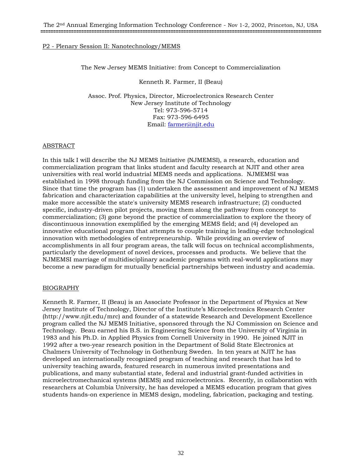The New Jersey MEMS Initiative: from Concept to Commercialization

Kenneth R. Farmer, II (Beau)

Assoc. Prof. Physics, Director, Microelectronics Research Center New Jersey Institute of Technology Tel: 973-596-5714 Fax: 973-596-6495 Email: farmer@njit.edu

#### ABSTRACT

In this talk I will describe the NJ MEMS Initiative (NJMEMSI), a research, education and commercialization program that links student and faculty research at NJIT and other area universities with real world industrial MEMS needs and applications. NJMEMSI was established in 1998 through funding from the NJ Commission on Science and Technology. Since that time the program has (1) undertaken the assessment and improvement of NJ MEMS fabrication and characterization capabilities at the university level, helping to strengthen and make more accessible the state's university MEMS research infrastructure; (2) conducted specific, industry-driven pilot projects, moving them along the pathway from concept to commercialization; (3) gone beyond the practice of commercialization to explore the theory of discontinuous innovation exemplified by the emerging MEMS field; and (4) developed an innovative educational program that attempts to couple training in leading-edge technological innovation with methodologies of entrepreneurship. While providing an overview of accomplishments in all four program areas, the talk will focus on technical accomplishments, particularly the development of novel devices, processes and products. We believe that the NJMEMSI marriage of multidisciplinary academic programs with real-world applications may become a new paradigm for mutually beneficial partnerships between industry and academia.

#### BIOGRAPHY

Kenneth R. Farmer, II (Beau) is an Associate Professor in the Department of Physics at New Jersey Institute of Technology, Director of the Institute's Microelectronics Research Center (http://www.njit.edu/mrc) and founder of a statewide Research and Development Excellence program called the NJ MEMS Initiative, sponsored through the NJ Commission on Science and Technology. Beau earned his B.S. in Engineering Science from the University of Virginia in 1983 and his Ph.D. in Applied Physics from Cornell University in 1990. He joined NJIT in 1992 after a two-year research position in the Department of Solid State Electronics at Chalmers University of Technology in Gothenburg Sweden. In ten years at NJIT he has developed an internationally recognized program of teaching and research that has led to university teaching awards, featured research in numerous invited presentations and publications, and many substantial state, federal and industrial grant-funded activities in microelectromechanical systems (MEMS) and microelectronics. Recently, in collaboration with researchers at Columbia University, he has developed a MEMS education program that gives students hands-on experience in MEMS design, modeling, fabrication, packaging and testing.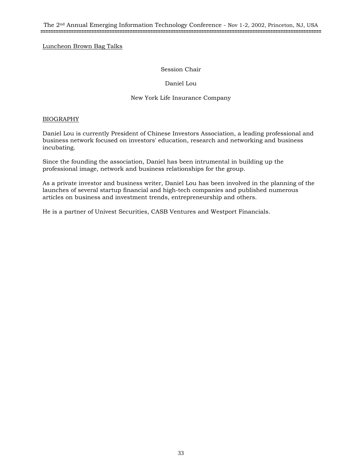The 2nd Annual Emerging Information Technology Conference - Nov 1-2, 2002, Princeton, NJ, USA **==============================================================================================================**

Luncheon Brown Bag Talks

#### Session Chair

#### Daniel Lou

#### New York Life Insurance Company

#### BIOGRAPHY

Daniel Lou is currently President of Chinese Investors Association, a leading professional and business network focused on investors' education, research and networking and business incubating.

Since the founding the association, Daniel has been intrumental in building up the professional image, network and business relationships for the group.

As a private investor and business writer, Daniel Lou has been involved in the planning of the launches of several startup financial and high-tech companies and published numerous articles on business and investment trends, entrepreneurship and others.

He is a partner of Univest Securities, CASB Ventures and Westport Financials.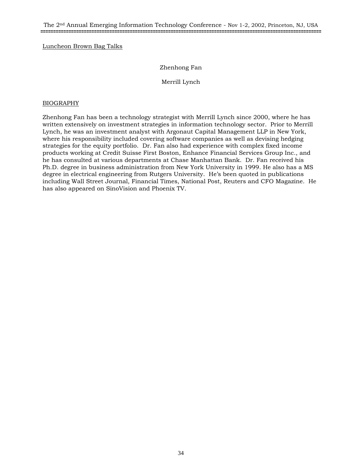#### Luncheon Brown Bag Talks

#### Zhenhong Fan

Merrill Lynch

#### BIOGRAPHY

Zhenhong Fan has been a technology strategist with Merrill Lynch since 2000, where he has written extensively on investment strategies in information technology sector. Prior to Merrill Lynch, he was an investment analyst with Argonaut Capital Management LLP in New York, where his responsibility included covering software companies as well as devising hedging strategies for the equity portfolio. Dr. Fan also had experience with complex fixed income products working at Credit Suisse First Boston, Enhance Financial Services Group Inc., and he has consulted at various departments at Chase Manhattan Bank. Dr. Fan received his Ph.D. degree in business administration from New York University in 1999. He also has a MS degree in electrical engineering from Rutgers University. He's been quoted in publications including Wall Street Journal, Financial Times, National Post, Reuters and CFO Magazine. He has also appeared on SinoVision and Phoenix TV.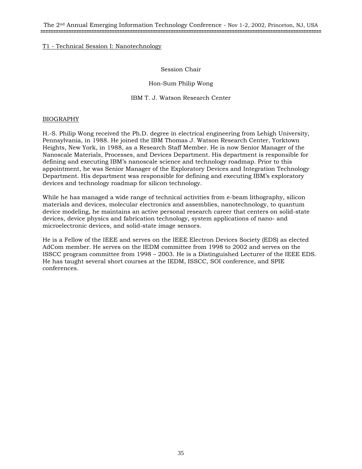The 2nd Annual Emerging Information Technology Conference - Nov 1-2, 2002, Princeton, NJ, USA **==============================================================================================================**

#### T1 - Technical Session I: Nanotechnology

#### Session Chair

#### Hon-Sum Philip Wong

#### IBM T. J. Watson Research Center

#### BIOGRAPHY

H.-S. Philip Wong received the Ph.D. degree in electrical engineering from Lehigh University, Pennsylvania, in 1988. He joined the IBM Thomas J. Watson Research Center, Yorktown Heights, New York, in 1988, as a Research Staff Member. He is now Senior Manager of the Nanoscale Materials, Processes, and Devices Department. His department is responsible for defining and executing IBM's nanoscale science and technology roadmap. Prior to this appointment, he was Senior Manager of the Exploratory Devices and Integration Technology Department. His department was responsible for defining and executing IBM's exploratory devices and technology roadmap for silicon technology.

While he has managed a wide range of technical activities from e-beam lithography, silicon materials and devices, molecular electronics and assemblies, nanotechnology, to quantum device modeling, he maintains an active personal research career that centers on solid-state devices, device physics and fabrication technology, system applications of nano- and microelectronic devices, and solid-state image sensors.

He is a Fellow of the IEEE and serves on the IEEE Electron Devices Society (EDS) as elected AdCom member. He serves on the IEDM committee from 1998 to 2002 and serves on the ISSCC program committee from 1998 – 2003. He is a Distinguished Lecturer of the IEEE EDS. He has taught several short courses at the IEDM, ISSCC, SOI conference, and SPIE conferences.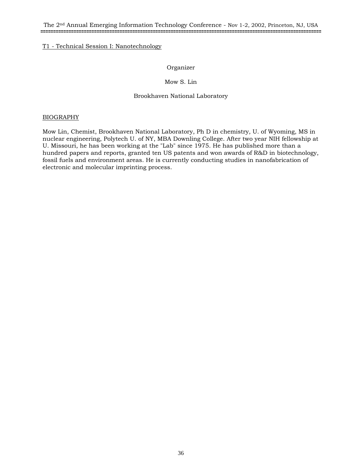#### T1 - Technical Session I: Nanotechnology

#### Organizer

#### Mow S. Lin

#### Brookhaven National Laboratory

#### BIOGRAPHY

Mow Lin, Chemist, Brookhaven National Laboratory, Ph D in chemistry, U. of Wyoming, MS in nuclear engineering, Polytech U. of NY, MBA Downling College. After two year NIH fellowship at U. Missouri, he has been working at the "Lab" since 1975. He has published more than a hundred papers and reports, granted ten US patents and won awards of R&D in biotechnology, fossil fuels and environment areas. He is currently conducting studies in nanofabrication of electronic and molecular imprinting process.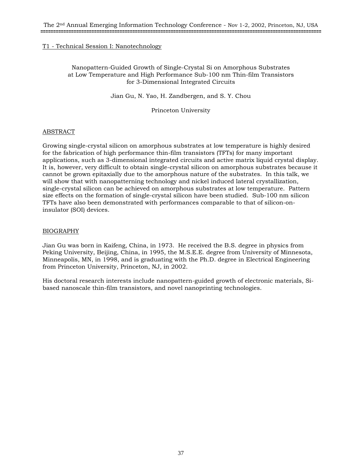## Nanopattern-Guided Growth of Single-Crystal Si on Amorphous Substrates at Low Temperature and High Performance Sub-100 nm Thin-film Transistors for 3-Dimensional Integrated Circuits

Jian Gu, N. Yao, H. Zandbergen, and S. Y. Chou

Princeton University

## ABSTRACT

Growing single-crystal silicon on amorphous substrates at low temperature is highly desired for the fabrication of high performance thin-film transistors (TFTs) for many important applications, such as 3-dimensional integrated circuits and active matrix liquid crystal display. It is, however, very difficult to obtain single-crystal silicon on amorphous substrates because it cannot be grown epitaxially due to the amorphous nature of the substrates. In this talk, we will show that with nanopatterning technology and nickel induced lateral crystallization, single-crystal silicon can be achieved on amorphous substrates at low temperature. Pattern size effects on the formation of single-crystal silicon have been studied. Sub-100 nm silicon TFTs have also been demonstrated with performances comparable to that of silicon-oninsulator (SOI) devices.

## BIOGRAPHY

Jian Gu was born in Kaifeng, China, in 1973. He received the B.S. degree in physics from Peking University, Beijing, China, in 1995, the M.S.E.E. degree from University of Minnesota, Minneapolis, MN, in 1998, and is graduating with the Ph.D. degree in Electrical Engineering from Princeton University, Princeton, NJ, in 2002.

His doctoral research interests include nanopattern-guided growth of electronic materials, Sibased nanoscale thin-film transistors, and novel nanoprinting technologies.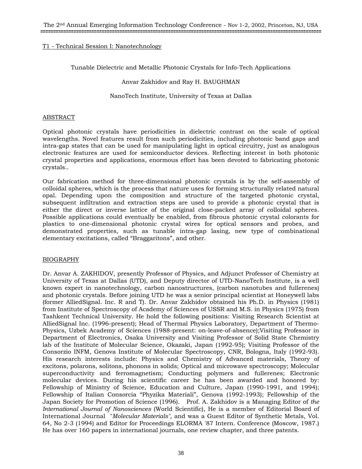Tunable Dielectric and Metallic Photonic Crystals for Info-Tech Applications

Anvar Zakhidov and Ray H. BAUGHMAN

NanoTech Institute, University of Texas at Dallas

#### ABSTRACT

Optical photonic crystals have periodicities in dielectric contrast on the scale of optical wavelengths. Novel features result from such periodicities, including photonic band gaps and intra-gap states that can be used for manipulating light in optical circuitry, just as analogous electronic features are used for semiconductor devices. Reflecting interest in both photonic crystal properties and applications, enormous effort has been devoted to fabricating photonic crystals..

Our fabrication method for three-dimensional photonic crystals is by the self-assembly of colloidal spheres, which is the process that nature uses for forming structurally related natural opal. Depending upon the composition and structure of the targeted photonic crystal, subsequent infiltration and extraction steps are used to provide a photonic crystal that is either the direct or inverse lattice of the original close-packed array of colloidal spheres. Possible applications could eventually be enabled, from fibrous photonic crystal colorants for plastics to one-dimensional photonic crystal wires for optical sensors and probes, and demonstrated properties, such as tunable intra-gap lasing, new type of combinational elementary excitations, called "Braggaritons", and other.

## BIOGRAPHY

Dr. Anvar A. ZAKHIDOV, presently Professor of Physics, and Adjunct Professor of Chemistry at University of Texas at Dallas (UTD), and Deputy director of UTD-NanoTech Institute, is a well known expert in nanotechnology, carbon nanostructures, (carbon nanotubes and fullerenes) and photonic crystals. Before joining UTD he was a senior principal scientist at Honeywell labs (former AlliedSignal. Inc. R and T). Dr. Anvar Zakhidov obtained his Ph.D. in Physics (1981) from Institute of Spectroscopy of Academy of Sciences of USSR and M.S. in Physics (1975) from Tashkent Technical University. He hold the following positions: Visiting Research Scientist at AlliedSignal Inc. (1996-present); Head of Thermal Physics Laboratory, Department of Thermo-Physics, Uzbek Academy of Sciences (1988-present: on-leave-of-absence);Visiting Professor in Department of Electronics, Osaka University and Visiting Professor of Solid State Chemistry lab of the Institute of Molecular Science, Okazaki, Japan (1992-95); Visiting Professor of the Consorzio INFM, Genova Institute of Molecular Spectroscopy, CNR, Bologna, Italy (1992-93). His research interests include: Physics and Chemistry of Advanced materials, Theory of excitons, polarons, solitons, phonons in solids; Optical and microwave spectroscopy; Molecular superconductivity and ferromagnetism; Conducting polymers and fullerenes; Electronic molecular devices. During his scientific career he has been awarded and honored by: Fellowship of Ministry of Science, Education and Culture, Japan (1990-1991, and 1994); Fellowship of Italian Consorcia "Phyzika Materiali", Genova (1992-1993); Fellowship of the Japan Society for Promotion of Science (1996). Prof. A. Zakhidov is a Managing Editor of *the International Journal of Nanosciences* (World Scientific), He is a member of Editorial Board of International Journal "*Molecular Materials",* and was a Guest Editor of Synthetic Metals, Vol. 64, No 2-3 (1994) and Editor for Proceedings ELORMA '87 Intern. Conference (Moscow, 1987.) He has over 160 papers in international journals, one review chapter, and three patents.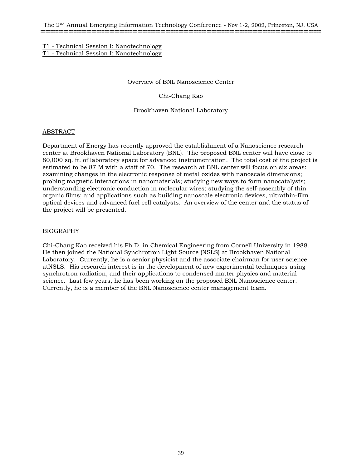## T1 - Technical Session I: Nanotechnology T1 - Technical Session I: Nanotechnology

Overview of BNL Nanoscience Center

Chi-Chang Kao

Brookhaven National Laboratory

# ABSTRACT

Department of Energy has recently approved the establishment of a Nanoscience research center at Brookhaven National Laboratory (BNL). The proposed BNL center will have close to 80,000 sq. ft. of laboratory space for advanced instrumentation. The total cost of the project is estimated to be 87 M with a staff of 70. The research at BNL center will focus on six areas: examining changes in the electronic response of metal oxides with nanoscale dimensions; probing magnetic interactions in nanomaterials; studying new ways to form nanocatalysts; understanding electronic conduction in molecular wires; studying the self-assembly of thin organic films; and applications such as building nanoscale electronic devices, ultrathin-film optical devices and advanced fuel cell catalysts. An overview of the center and the status of the project will be presented.

## BIOGRAPHY

Chi-Chang Kao received his Ph.D. in Chemical Engineering from Cornell University in 1988. He then joined the National Synchrotron Light Source (NSLS) at Brookhaven National Laboratory. Currently, he is a senior physicist and the associate chairman for user science atNSLS. His research interest is in the development of new experimental techniques using synchrotron radiation, and their applications to condensed matter physics and material science. Last few years, he has been working on the proposed BNL Nanoscience center. Currently, he is a member of the BNL Nanoscience center management team.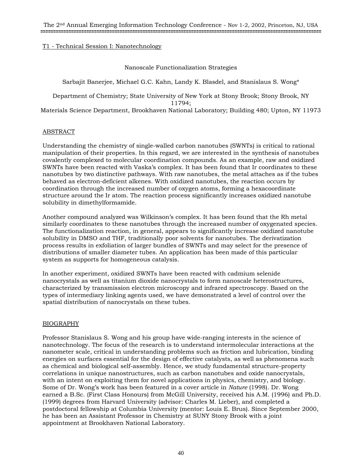## Nanoscale Functionalization Strategies

Sarbajit Banerjee, Michael G.C. Kahn, Landy K. Blasdel, and Stanislaus S. Wong\*

Department of Chemistry; State University of New York at Stony Brook; Stony Brook, NY 11794; Materials Science Department, Brookhaven National Laboratory; Building 480; Upton, NY 11973

# ABSTRACT

Understanding the chemistry of single-walled carbon nanotubes (SWNTs) is critical to rational manipulation of their properties. In this regard, we are interested in the synthesis of nanotubes covalently complexed to molecular coordination compounds. As an example, raw and oxidized SWNTs have been reacted with Vaska's complex. It has been found that Ir coordinates to these nanotubes by two distinctive pathways. With raw nanotubes, the metal attaches as if the tubes behaved as electron-deficient alkenes. With oxidized nanotubes, the reaction occurs by coordination through the increased number of oxygen atoms, forming a hexacoordinate structure around the Ir atom. The reaction process significantly increases oxidized nanotube solubility in dimethylformamide.

Another compound analyzed was Wilkinson's complex. It has been found that the Rh metal similarly coordinates to these nanotubes through the increased number of oxygenated species. The functionalization reaction, in general, appears to significantly increase oxidized nanotube solubility in DMSO and THF, traditionally poor solvents for nanotubes. The derivatization process results in exfoliation of larger bundles of SWNTs and may select for the presence of distributions of smaller diameter tubes. An application has been made of this particular system as supports for homogeneous catalysis.

In another experiment, oxidized SWNTs have been reacted with cadmium selenide nanocrystals as well as titanium dioxide nanocrystals to form nanoscale heterostructures, characterized by transmission electron microscopy and infrared spectroscopy. Based on the types of intermediary linking agents used, we have demonstrated a level of control over the spatial distribution of nanocrystals on these tubes.

## BIOGRAPHY

Professor Stanislaus S. Wong and his group have wide-ranging interests in the science of nanotechnology. The focus of the research is to understand intermolecular interactions at the nanometer scale, critical in understanding problems such as friction and lubrication, binding energies on surfaces essential for the design of effective catalysts, as well as phenomena such as chemical and biological self-assembly. Hence, we study fundamental structure-property correlations in unique nanostructures, such as carbon nanotubes and oxide nanocrystals, with an intent on exploiting them for novel applications in physics, chemistry, and biology. Some of Dr. Wong's work has been featured in a cover article in *Nature* (1998). Dr. Wong earned a B.Sc. (First Class Honours) from McGill University, received his A.M. (1996) and Ph.D. (1999) degrees from Harvard University (advisor: Charles M. Lieber), and completed a postdoctoral fellowship at Columbia University (mentor: Louis E. Brus). Since September 2000, he has been an Assistant Professor in Chemistry at SUNY Stony Brook with a joint appointment at Brookhaven National Laboratory.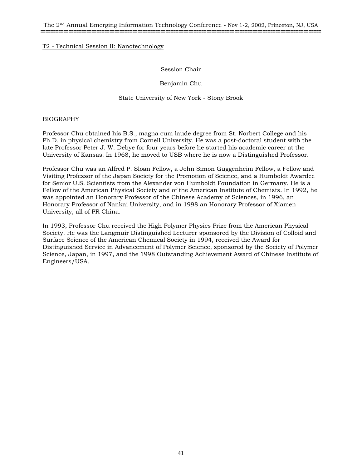## Session Chair

Benjamin Chu

## State University of New York - Stony Brook

## BIOGRAPHY

Professor Chu obtained his B.S., magna cum laude degree from St. Norbert College and his Ph.D. in physical chemistry from Cornell University. He was a post-doctoral student with the late Professor Peter J. W. Debye for four years before he started his academic career at the University of Kansas. In 1968, he moved to USB where he is now a Distinguished Professor.

Professor Chu was an Alfred P. Sloan Fellow, a John Simon Guggenheim Fellow, a Fellow and Visiting Professor of the Japan Society for the Promotion of Science, and a Humboldt Awardee for Senior U.S. Scientists from the Alexander von Humboldt Foundation in Germany. He is a Fellow of the American Physical Society and of the American Institute of Chemists. In 1992, he was appointed an Honorary Professor of the Chinese Academy of Sciences, in 1996, an Honorary Professor of Nankai University, and in 1998 an Honorary Professor of Xiamen University, all of PR China.

In 1993, Professor Chu received the High Polymer Physics Prize from the American Physical Society. He was the Langmuir Distinguished Lecturer sponsored by the Division of Colloid and Surface Science of the American Chemical Society in 1994, received the Award for Distinguished Service in Advancement of Polymer Science, sponsored by the Society of Polymer Science, Japan, in 1997, and the 1998 Outstanding Achievement Award of Chinese Institute of Engineers/USA.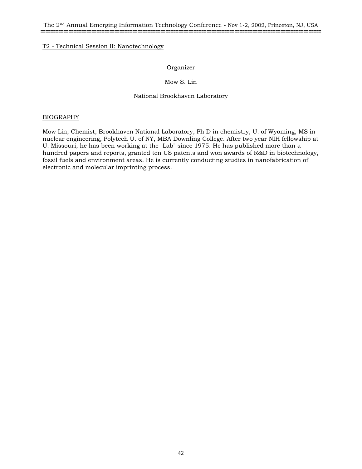## Organizer

## Mow S. Lin

## National Brookhaven Laboratory

## BIOGRAPHY

Mow Lin, Chemist, Brookhaven National Laboratory, Ph D in chemistry, U. of Wyoming, MS in nuclear engineering, Polytech U. of NY, MBA Downling College. After two year NIH fellowship at U. Missouri, he has been working at the "Lab" since 1975. He has published more than a hundred papers and reports, granted ten US patents and won awards of R&D in biotechnology, fossil fuels and environment areas. He is currently conducting studies in nanofabrication of electronic and molecular imprinting process.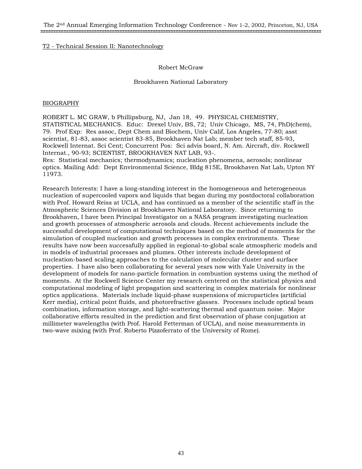The 2nd Annual Emerging Information Technology Conference - Nov 1-2, 2002, Princeton, NJ, USA **==============================================================================================================**

## T2 - Technical Session II: Nanotechnology

## Robert McGraw

## Brookhaven National Laboratory

## BIOGRAPHY

ROBERT L. MC GRAW, b Phillipsburg, NJ, Jan 18, 49. PHYSICAL CHEMISTRY, STATISTICAL MECHANICS. Educ: Drexel Univ, BS, 72; Univ Chicago, MS, 74, PhD(chem), 79. Prof Exp: Res assoc, Dept Chem and Biochem, Univ Calif, Los Angeles, 77-80; asst scientist, 81-83, assoc scientist 83-85, Brookhaven Nat Lab; member tech staff, 85-93, Rockwell Internat. Sci Cent; Concurrent Pos: Sci advis board, N. Am. Aircraft, div. Rockwell Internat., 90-93; SCIENTIST, BROOKHAVEN NAT LAB, 93-.

Res: Statistical mechanics; thermodynamics; nucleation phenomena, aerosols; nonlinear optics. Mailing Add: Dept Environmental Science, Bldg 815E, Brookhaven Nat Lab, Upton NY 11973.

Research Interests: I have a long-standing interest in the homogeneous and heterogeneous nucleation of supercooled vapors and liquids that began during my postdoctoral collaboration with Prof. Howard Reiss at UCLA, and has continued as a member of the scientific staff in the Atmospheric Sciences Division at Brookhaven National Laboratory. Since returning to Brookhaven, I have been Principal Investigator on a NASA program investigating nucleation and growth processes of atmospheric aerosols and clouds. Recent achievements include the successful development of computational techniques based on the method of moments for the simulation of coupled nucleation and growth processes in complex environments. These results have now been successfully applied in regional-to-global scale atmospheric models and in models of industrial processes and plumes. Other interests include development of nucleation-based scaling approaches to the calculation of molecular cluster and surface properties. I have also been collaborating for several years now with Yale University in the development of models for nano-particle formation in combustion systems using the method of moments. At the Rockwell Science Center my research centered on the statistical physics and computational modeling of light propagation and scattering in complex materials for nonlinear optics applications. Materials include liquid-phase suspensions of microparticles (artificial Kerr media), critical point fluids, and photorefractive glasses. Processes include optical beam combination, information storage, and light-scattering thermal and quantum noise. Major collaborative efforts resulted in the prediction and first observation of phase conjugation at millimeter wavelengths (with Prof. Harold Fetterman of UCLA), and noise measurements in two-wave mixing (with Prof. Roberto Pizzoferrato of the University of Rome).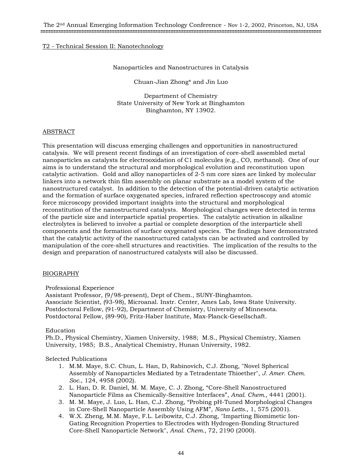## Nanoparticles and Nanostructures in Catalysis

Chuan-Jian Zhong\* and Jin Luo

Department of Chemistry State University of New York at Binghamton Binghamton, NY 13902.

## ABSTRACT

This presentation will discuss emerging challenges and opportunities in nanostructured catalysis. We will present recent findings of an investigation of core-shell assembled metal nanoparticles as catalysts for electrooxidation of C1 molecules (e.g., CO, methanol). One of our aims is to understand the structural and morphological evolution and reconstitution upon catalytic activation. Gold and alloy nanoparticles of 2-5 nm core sizes are linked by molecular linkers into a network thin film assembly on planar substrate as a model system of the nanostructured catalyst. In addition to the detection of the potential-driven catalytic activation and the formation of surface oxygenated species, infrared reflection spectroscopy and atomic force microscopy provided important insights into the structural and morphological reconstitution of the nanostructured catalysts. Morphological changes were detected in terms of the particle size and interparticle spatial properties. The catalytic activation in alkaline electrolytes is believed to involve a partial or complete desorption of the interparticle shell components and the formation of surface oxygenated species. The findings have demonstrated that the catalytic activity of the nanostructured catalysts can be activated and controlled by manipulation of the core-shell structures and reactivities. The implication of the results to the design and preparation of nanostructured catalysts will also be discussed.

## BIOGRAPHY

Professional Experience

Assistant Professor, (9/98-present), Dept of Chem., SUNY-Binghamton. Associate Scientist, (93-98), Microanal. Instr. Center, Ames Lab, Iowa State University. Postdoctoral Fellow, (91-92), Department of Chemistry, University of Minnesota. Postdoctoral Fellow, (89-90), Fritz-Haber Institute, Max-Planck-Gesellschaft.

## Education

Ph.D., Physical Chemistry, Xiamen University, 1988; M.S., Physical Chemistry, Xiamen University, 1985; B.S., Analytical Chemistry, Hunan University, 1982.

## Selected Publications

- 1. M.M. Maye, S.C. Chun, L. Han, D, Rabinovich, C.J. Zhong, "Novel Spherical Assembly of Nanoparticles Mediated by a Tetradentate Thioether", *J. Amer. Chem. Soc.*, 124, 4958 (2002).
- 2. L. Han, D. R. Daniel, M. M. Maye, C. J. Zhong, "Core-Shell Nanostructured Nanoparticle Films as Chemically-Sensitive Interfaces", *Anal. Chem.,* 4441 (2001).
- 3. M. M. Maye, J. Luo, L. Han, C.J. Zhong, "Probing pH-Tuned Morphological Changes in Core-Shell Nanoparticle Assembly Using AFM", *Nano Letts.*, 1, 575 (2001).
- 4. W.X. Zheng, M.M. Maye, F.L. Leibowitz, C.J. Zhong, "Imparting Biomimetic Ion-Gating Recognition Properties to Electrodes with Hydrogen-Bonding Structured Core-Shell Nanoparticle Network", *Anal. Chem.,* 72, 2190 (2000).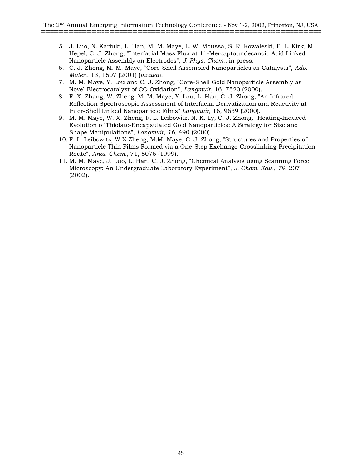- *5.* J. Luo, N. Kariuki, L. Han, M. M. Maye, L. W. Moussa, S. R. Kowaleski, F. L. Kirk, M. Hepel, C. J. Zhong, "Interfacial Mass Flux at 11-Mercaptoundecanoic Acid Linked Nanoparticle Assembly on Electrodes", *J. Phys. Chem*., in press.
- 6. C. J. Zhong, M. M. Maye, "Core-Shell Assembled Nanoparticles as Catalysts", *Adv. Mater.*, 13, 1507 (2001) (*invited*).
- 7. M. M. Maye, Y. Lou and C. J. Zhong, "Core-Shell Gold Nanoparticle Assembly as Novel Electrocatalyst of CO Oxidation", *Langmuir*, 16, 7520 (2000).
- 8. F. X. Zhang, W. Zheng, M. M. Maye, Y. Lou, L. Han, C. J. Zhong, "An Infrared Reflection Spectroscopic Assessment of Interfacial Derivatization and Reactivity at Inter-Shell Linked Nanoparticle Films" *Langmuir*, 16, 9639 (2000).
- 9. M. M. Maye, W. X. Zheng, F. L. Leibowitz, N. K. Ly, C. J. Zhong, "Heating-Induced Evolution of Thiolate-Encapsulated Gold Nanoparticles: A Strategy for Size and Shape Manipulations", *Langmuir*, *16*, 490 (2000).
- 10. F. L. Leibowitz, W.X Zheng, M.M. Maye, C. J. Zhong, "Structures and Properties of Nanoparticle Thin Films Formed via a One-Step Exchange-Crosslinking-Precipitation Route", *Anal. Chem.,* 71, 5076 (1999).
- 11. M. M. Maye, J. Luo, L. Han, C. J. Zhong, "Chemical Analysis using Scanning Force Microscopy: An Undergraduate Laboratory Experiment", *J. Chem. Edu.*, *79*, 207 (2002).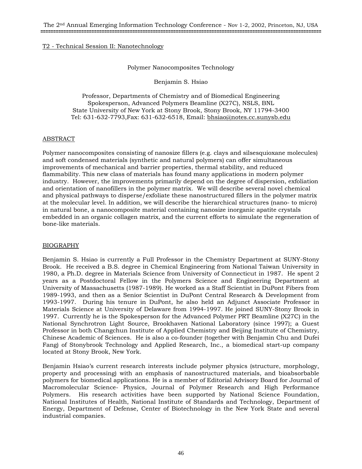## Polymer Nanocomposites Technology

Benjamin S. Hsiao

Professor, Departments of Chemistry and of Biomedical Engineering Spokesperson, Advanced Polymers Beamline (X27C), NSLS, BNL State University of New York at Stony Brook, Stony Brook, NY 11794-3400 Tel: 631-632-7793, Fax: 631-632-6518, Email: bhsiao@notes.cc.sunysb.edu

## ABSTRACT

Polymer nanocomposites consisting of nanosize fillers (e.g. clays and silsesquioxane molecules) and soft condensed materials (synthetic and natural polymers) can offer simultaneous improvements of mechanical and barrier properties, thermal stability, and reduced flammability. This new class of materials has found many applications in modern polymer industry. However, the improvements primarily depend on the degree of dispersion, exfoliation and orientation of nanofillers in the polymer matrix. We will describe several novel chemical and physical pathways to disperse/exfoliate these nanostructured fillers in the polymer matrix at the molecular level. In addition, we will describe the hierarchical structures (nano- to micro) in natural bone, a nanocomposite material containing nanosize inorganic apatite crystals embedded in an organic collagen matrix, and the current efforts to simulate the regeneration of bone-like materials.

## BIOGRAPHY

Benjamin S. Hsiao is currently a Full Professor in the Chemistry Department at SUNY-Stony Brook. He received a B.S. degree in Chemical Engineering from National Taiwan University in 1980, a Ph.D. degree in Materials Science from University of Connecticut in 1987. He spent 2 years as a Postdoctoral Fellow in the Polymers Science and Engineering Department at University of Massachusetts (1987-1989). He worked as a Staff Scientist in DuPont Fibers from 1989-1993, and then as a Senior Scientist in DuPont Central Research & Development from 1993-1997. During his tenure in DuPont, he also held an Adjunct Associate Professor in Materials Science at University of Delaware from 1994-1997. He joined SUNY-Stony Brook in 1997. Currently he is the Spokesperson for the Advanced Polymer PRT Beamline (X27C) in the National Synchrotron Light Source, Brookhaven National Laboratory (since 1997); a Guest Professor in both Changchun Institute of Applied Chemistry and Beijing Institute of Chemistry, Chinese Academic of Sciences. He is also a co-founder (together with Benjamin Chu and Dufei Fang) of Stonybrook Technology and Applied Research, Inc., a biomedical start-up company located at Stony Brook, New York.

Benjamin Hsiao's current research interests include polymer physics (structure, morphology, property and processing) with an emphasis of nanostructured materials, and bioabsorbable polymers for biomedical applications. He is a member of Editorial Advisory Board for Journal of Macromolecular Science- Physics, Journal of Polymer Research and High Performance Polymers. His research activities have been supported by National Science Foundation, National Institutes of Health, National Institute of Standards and Technology, Department of Energy, Department of Defense, Center of Biotechnology in the New York State and several industrial companies.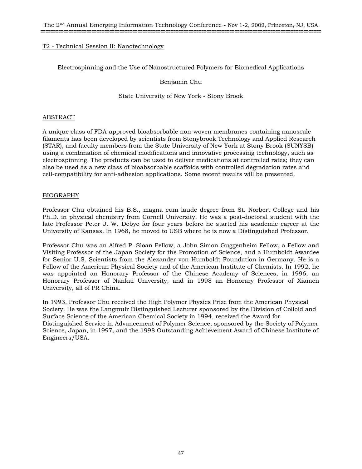Electrospinning and the Use of Nanostructured Polymers for Biomedical Applications

Benjamin Chu

State University of New York - Stony Brook

## ABSTRACT

A unique class of FDA-approved bioabsorbable non-woven membranes containing nanoscale filaments has been developed by scientists from Stonybrook Technology and Applied Research (STAR), and faculty members from the State University of New York at Stony Brook (SUNYSB) using a combination of chemical modifications and innovative processing technology, such as electrospinning. The products can be used to deliver medications at controlled rates; they can also be used as a new class of bioabsorbable scaffolds with controlled degradation rates and cell-compatibility for anti-adhesion applications. Some recent results will be presented.

## BIOGRAPHY

Professor Chu obtained his B.S., magna cum laude degree from St. Norbert College and his Ph.D. in physical chemistry from Cornell University. He was a post-doctoral student with the late Professor Peter J. W. Debye for four years before he started his academic career at the University of Kansas. In 1968, he moved to USB where he is now a Distinguished Professor.

Professor Chu was an Alfred P. Sloan Fellow, a John Simon Guggenheim Fellow, a Fellow and Visiting Professor of the Japan Society for the Promotion of Science, and a Humboldt Awardee for Senior U.S. Scientists from the Alexander von Humboldt Foundation in Germany. He is a Fellow of the American Physical Society and of the American Institute of Chemists. In 1992, he was appointed an Honorary Professor of the Chinese Academy of Sciences, in 1996, an Honorary Professor of Nankai University, and in 1998 an Honorary Professor of Xiamen University, all of PR China.

In 1993, Professor Chu received the High Polymer Physics Prize from the American Physical Society. He was the Langmuir Distinguished Lecturer sponsored by the Division of Colloid and Surface Science of the American Chemical Society in 1994, received the Award for Distinguished Service in Advancement of Polymer Science, sponsored by the Society of Polymer Science, Japan, in 1997, and the 1998 Outstanding Achievement Award of Chinese Institute of Engineers/USA.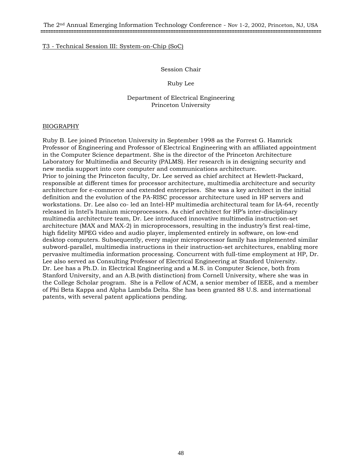## Session Chair

## Ruby Lee

## Department of Electrical Engineering Princeton University

#### BIOGRAPHY

Ruby B. Lee joined Princeton University in September 1998 as the Forrest G. Hamrick Professor of Engineering and Professor of Electrical Engineering with an affiliated appointment in the Computer Science department. She is the director of the Princeton Architecture Laboratory for Multimedia and Security (PALMS). Her research is in designing security and new media support into core computer and communications architecture. Prior to joining the Princeton faculty, Dr. Lee served as chief architect at Hewlett-Packard, responsible at different times for processor architecture, multimedia architecture and security architecture for e-commerce and extended enterprises. She was a key architect in the initial definition and the evolution of the PA-RISC processor architecture used in HP servers and workstations. Dr. Lee also co- led an Intel-HP multimedia architectural team for IA-64, recently released in Intel's Itanium microprocessors. As chief architect for HP's inter-disciplinary multimedia architecture team, Dr. Lee introduced innovative multimedia instruction-set architecture (MAX and MAX-2) in microprocessors, resulting in the industry's first real-time, high fidelity MPEG video and audio player, implemented entirely in software, on low-end desktop computers. Subsequently, every major microprocessor family has implemented similar subword-parallel, multimedia instructions in their instruction-set architectures, enabling more pervasive multimedia information processing. Concurrent with full-time employment at HP, Dr. Lee also served as Consulting Professor of Electrical Engineering at Stanford University. Dr. Lee has a Ph.D. in Electrical Engineering and a M.S. in Computer Science, both from Stanford University, and an A.B.(with distinction) from Cornell University, where she was in the College Scholar program. She is a Fellow of ACM, a senior member of IEEE, and a member of Phi Beta Kappa and Alpha Lambda Delta. She has been granted 88 U.S. and international patents, with several patent applications pending.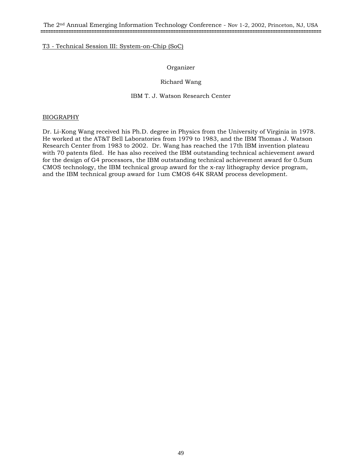The 2nd Annual Emerging Information Technology Conference - Nov 1-2, 2002, Princeton, NJ, USA **==============================================================================================================**

## T3 - Technical Session III: System-on-Chip (SoC)

## Organizer

## Richard Wang

## IBM T. J. Watson Research Center

## BIOGRAPHY

Dr. Li-Kong Wang received his Ph.D. degree in Physics from the University of Virginia in 1978. He worked at the AT&T Bell Laboratories from 1979 to 1983, and the IBM Thomas J. Watson Research Center from 1983 to 2002. Dr. Wang has reached the 17th IBM invention plateau with 70 patents filed. He has also received the IBM outstanding technical achievement award for the design of G4 processors, the IBM outstanding technical achievement award for 0.5um CMOS technology, the IBM technical group award for the x-ray lithography device program, and the IBM technical group award for 1um CMOS 64K SRAM process development.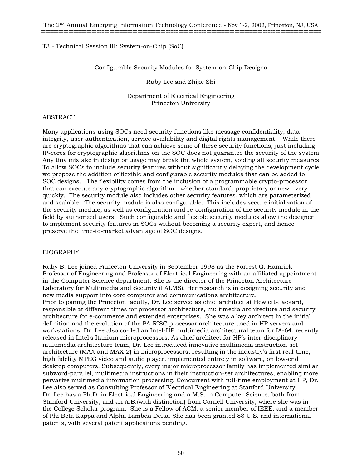#### Configurable Security Modules for System-on-Chip Designs

Ruby Lee and Zhijie Shi

Department of Electrical Engineering Princeton University

#### ABSTRACT

Many applications using SOCs need security functions like message confidentiality, data integrity, user authentication, service availability and digital rights management. While there are cryptographic algorithms that can achieve some of these security functions, just including IP-cores for cryptographic algorithms on the SOC does not guarantee the security of the system. Any tiny mistake in design or usage may break the whole system, voiding all security measures. To allow SOCs to include security features without significantly delaying the development cycle, we propose the addition of flexible and configurable security modules that can be added to SOC designs. The flexibility comes from the inclusion of a programmable crypto-processor that can execute any cryptographic algorithm - whether standard, proprietary or new - very quickly. The security module also includes other security features, which are parameterized and scalable. The security module is also configurable. This includes secure initialization of the security module, as well as configuration and re-configuration of the security module in the field by authorized users. Such configurable and flexible security modules allow the designer to implement security features in SOCs without becoming a security expert, and hence preserve the time-to-market advantage of SOC designs.

#### BIOGRAPHY

Ruby B. Lee joined Princeton University in September 1998 as the Forrest G. Hamrick Professor of Engineering and Professor of Electrical Engineering with an affiliated appointment in the Computer Science department. She is the director of the Princeton Architecture Laboratory for Multimedia and Security (PALMS). Her research is in designing security and new media support into core computer and communications architecture. Prior to joining the Princeton faculty, Dr. Lee served as chief architect at Hewlett-Packard, responsible at different times for processor architecture, multimedia architecture and security architecture for e-commerce and extended enterprises. She was a key architect in the initial definition and the evolution of the PA-RISC processor architecture used in HP servers and workstations. Dr. Lee also co- led an Intel-HP multimedia architectural team for IA-64, recently released in Intel's Itanium microprocessors. As chief architect for HP's inter-disciplinary multimedia architecture team, Dr. Lee introduced innovative multimedia instruction-set architecture (MAX and MAX-2) in microprocessors, resulting in the industry's first real-time, high fidelity MPEG video and audio player, implemented entirely in software, on low-end desktop computers. Subsequently, every major microprocessor family has implemented similar subword-parallel, multimedia instructions in their instruction-set architectures, enabling more pervasive multimedia information processing. Concurrent with full-time employment at HP, Dr. Lee also served as Consulting Professor of Electrical Engineering at Stanford University. Dr. Lee has a Ph.D. in Electrical Engineering and a M.S. in Computer Science, both from Stanford University, and an A.B.(with distinction) from Cornell University, where she was in the College Scholar program. She is a Fellow of ACM, a senior member of IEEE, and a member of Phi Beta Kappa and Alpha Lambda Delta. She has been granted 88 U.S. and international patents, with several patent applications pending.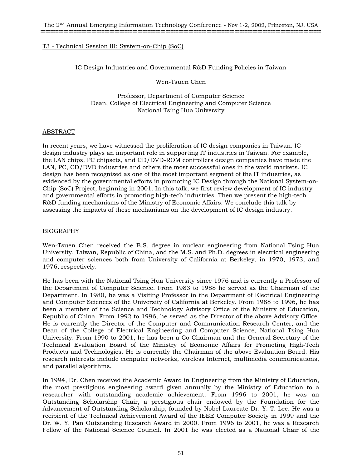IC Design Industries and Governmental R&D Funding Policies in Taiwan

Wen-Tsuen Chen

Professor, Department of Computer Science Dean, College of Electrical Engineering and Computer Science National Tsing Hua University

## ABSTRACT

In recent years, we have witnessed the proliferation of IC design companies in Taiwan. IC design industry plays an important role in supporting IT industries in Taiwan. For example, the LAN chips, PC chipsets, and CD/DVD-ROM controllers design companies have made the LAN, PC, CD/DVD industries and others the most successful ones in the world markets. IC design has been recognized as one of the most important segment of the IT industries, as evidenced by the governmental efforts in promoting IC Design through the National System-on-Chip (SoC) Project, beginning in 2001. In this talk, we first review development of IC industry and governmental efforts in promoting high-tech industries. Then we present the high-tech R&D funding mechanisms of the Ministry of Economic Affairs. We conclude this talk by assessing the impacts of these mechanisms on the development of IC design industry.

## BIOGRAPHY

Wen-Tsuen Chen received the B.S. degree in nuclear engineering from National Tsing Hua University, Taiwan, Republic of China, and the M.S. and Ph.D. degrees in electrical engineering and computer sciences both from University of California at Berkeley, in 1970, 1973, and 1976, respectively.

He has been with the National Tsing Hua University since 1976 and is currently a Professor of the Department of Computer Science. From 1983 to 1988 he served as the Chairman of the Department. In 1980, he was a Visiting Professor in the Department of Electrical Engineering and Computer Sciences of the University of California at Berkeley. From 1988 to 1996, he has been a member of the Science and Technology Advisory Office of the Ministry of Education, Republic of China. From 1992 to 1996, he served as the Director of the above Advisory Office. He is currently the Director of the Computer and Communication Research Center, and the Dean of the College of Electrical Engineering and Computer Science, National Tsing Hua University. From 1990 to 2001, he has been a Co-Chairman and the General Secretary of the Technical Evaluation Board of the Ministry of Economic Affairs for Promoting High-Tech Products and Technologies. He is currently the Chairman of the above Evaluation Board. His research interests include computer networks, wireless Internet, multimedia communications, and parallel algorithms.

In 1994, Dr. Chen received the Academic Award in Engineering from the Ministry of Education, the most prestigious engineering award given annually by the Ministry of Education to a researcher with outstanding academic achievement. From 1996 to 2001, he was an Outstanding Scholarship Chair, a prestigious chair endowed by the Foundation for the Advancement of Outstanding Scholarship, founded by Nobel Laureate Dr. Y. T. Lee. He was a recipient of the Technical Achievement Award of the IEEE Computer Society in 1999 and the Dr. W. Y. Pan Outstanding Research Award in 2000. From 1996 to 2001, he was a Research Fellow of the National Science Council. In 2001 he was elected as a National Chair of the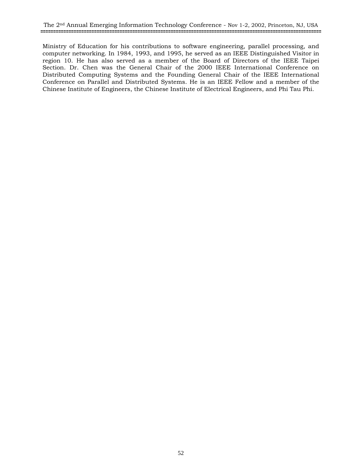Ministry of Education for his contributions to software engineering, parallel processing, and computer networking. In 1984, 1993, and 1995, he served as an IEEE Distinguished Visitor in region 10. He has also served as a member of the Board of Directors of the IEEE Taipei Section. Dr. Chen was the General Chair of the 2000 IEEE International Conference on Distributed Computing Systems and the Founding General Chair of the IEEE International Conference on Parallel and Distributed Systems. He is an IEEE Fellow and a member of the Chinese Institute of Engineers, the Chinese Institute of Electrical Engineers, and Phi Tau Phi.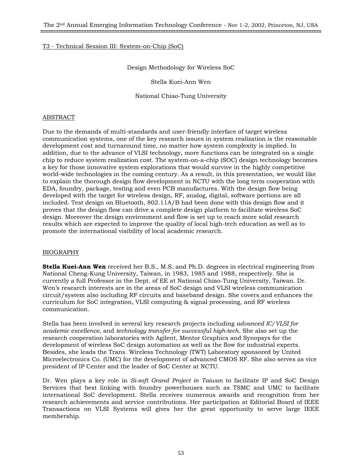## Design Methodology for Wireless SoC

Stella Kuei-Ann Wen

National Chiao-Tung University

## ABSTRACT

Due to the demands of multi-standards and user-friendly interface of target wireless communication systems, one of the key research issues in system realization is the reasonable development cost and turnaround time, no matter how system complexity is implied. In addition, due to the advance of VLSI technology, more functions can be integrated on a single chip to reduce system realization cost. The system-on-a-chip (SOC) design technology becomes a key for those innovative system explorations that would survive in the highly competitive world-wide technologies in the coming century. As a result, in this presentation, we would like to explain the thorough design flow development in NCTU with the long term cooperation with EDA, foundry, package, testing and even PCB manufactures. With the design flow being developed with the target for wireless design, RF, analog, digital, software portions are all included. Test design on Bluetooth, 802.11A/B had been done with this design flow and it proves that the design flow can drive a complete design platform to facilitate wireless SoC design. Moreover the design environment and flow is set up to reach more solid research results which are expected to improve the quality of local high-tech education as well as to promote the international visibility of local academic research.

## BIOGRAPHY

**Stella Kuei-Ann Wen** received her B.S., M.S. and Ph.D. degrees in electrical engineering from National Cheng-Kung University, Taiwan, in 1983, 1985 and 1988, respectively. She is currently a full Professor in the Dept. of EE at National Chiao-Tung University, Taiwan. Dr. Wen's research interests are in the areas of SoC design and VLSI wireless communication circuit/system also including RF circuits and baseband design. She covers and enhances the curriculum for SoC integration, VLSI computing & signal processing, and RF wireless communication.

Stella has been involved in several key research projects including *advanced IC/VLSI for academic excellence*, and *technology transfer for successful high-tech*. She also set up the research cooperation laboratories with Agilent, Mentor Graphics and Synopsys for the development of wireless SoC design automation as well as the flow for industrial experts. Besides, she leads the Trans. Wireless Technology (TWT) Laboratory sponsored by United Microelectronics Co. (UMC) for the development of advanced CMOS RF. She also serves as vice president of IP Center and the leader of SoC Center at NCTU.

Dr. Wen plays a key role in *Si-soft Grand Project in Taiwan* to facilitate IP and SoC Design Services that best linking with foundry powerhouses such as TSMC and UMC to facilitate international SoC development. Stella receives numerous awards and recognition from her research achievements and service contributions. Her participation at Editorial Board of IEEE Transactions on VLSI Systems will gives her the great opportunity to serve large IEEE membership.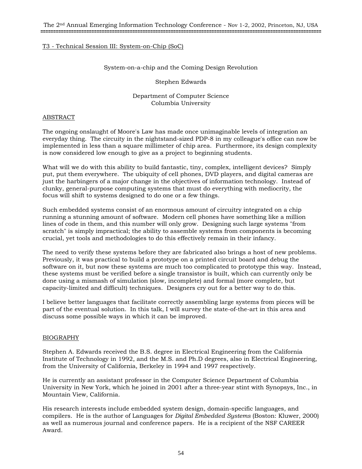## System-on-a-chip and the Coming Design Revolution

## Stephen Edwards

## Department of Computer Science Columbia University

#### ABSTRACT

The ongoing onslaught of Moore's Law has made once unimaginable levels of integration an everyday thing. The circuity in the nightstand-sized PDP-8 in my colleague's office can now be implemented in less than a square millimeter of chip area. Furthermore, its design complexity is now considered low enough to give as a project to beginning students.

What will we do with this ability to build fantastic, tiny, complex, intelligent devices? Simply put, put them everywhere. The ubiquity of cell phones, DVD players, and digital cameras are just the harbingers of a major change in the objectives of information technology. Instead of clunky, general-purpose computing systems that must do everything with mediocrity, the focus will shift to systems designed to do one or a few things.

Such embedded systems consist of an enormous amount of circuitry integrated on a chip running a stunning amount of software. Modern cell phones have something like a million lines of code in them, and this number will only grow. Designing such large systems "from scratch" is simply impractical; the ability to assemble systems from components is becoming crucial, yet tools and methodologies to do this effectively remain in their infancy.

The need to verify these systems before they are fabricated also brings a host of new problems. Previously, it was practical to build a prototype on a printed circuit board and debug the software on it, but now these systems are much too complicated to prototype this way. Instead, these systems must be verified before a single transistor is built, which can currently only be done using a mismash of simulation (slow, incomplete) and formal (more complete, but capacity-limited and difficult) techniques. Designers cry out for a better way to do this.

I believe better languages that facilitate correctly assembling large systems from pieces will be part of the eventual solution. In this talk, I will survey the state-of-the-art in this area and discuss some possible ways in which it can be improved.

## BIOGRAPHY

Stephen A. Edwards received the B.S. degree in Electrical Engineering from the California Institute of Technology in 1992, and the M.S. and Ph.D degrees, also in Electrical Engineering, from the University of California, Berkeley in 1994 and 1997 respectively.

He is currently an assistant professor in the Computer Science Department of Columbia University in New York, which he joined in 2001 after a three-year stint with Synopsys, Inc., in Mountain View, California.

His research interests include embedded system design, domain-specific languages, and compilers. He is the author of Languages for *Digital Embedded Systems* (Boston: Kluwer, 2000) as well as numerous journal and conference papers. He is a recipient of the NSF CAREER Award.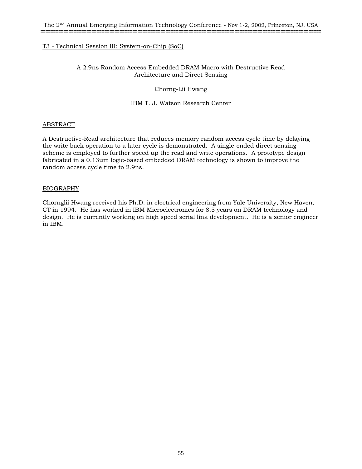# A 2.9ns Random Access Embedded DRAM Macro with Destructive Read Architecture and Direct Sensing

## Chorng-Lii Hwang

## IBM T. J. Watson Research Center

## ABSTRACT

A Destructive-Read architecture that reduces memory random access cycle time by delaying the write back operation to a later cycle is demonstrated. A single-ended direct sensing scheme is employed to further speed up the read and write operations. A prototype design fabricated in a 0.13um logic-based embedded DRAM technology is shown to improve the random access cycle time to 2.9ns.

## BIOGRAPHY

Chornglii Hwang received his Ph.D. in electrical engineering from Yale University, New Haven, CT in 1994. He has worked in IBM Microelectronics for 8.5 years on DRAM technology and design. He is currently working on high speed serial link development. He is a senior engineer in IBM.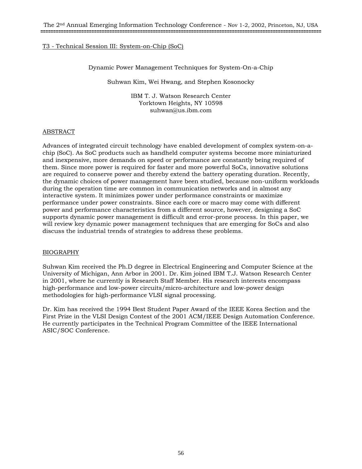Dynamic Power Management Techniques for System-On-a-Chip

Suhwan Kim, Wei Hwang, and Stephen Kosonocky

IBM T. J. Watson Research Center Yorktown Heights, NY 10598 suhwan@us.ibm.com

## ABSTRACT

Advances of integrated circuit technology have enabled development of complex system-on-achip (SoC). As SoC products such as handheld computer systems become more miniaturized and inexpensive, more demands on speed or performance are constantly being required of them. Since more power is required for faster and more powerful SoCs, innovative solutions are required to conserve power and thereby extend the battery operating duration. Recently, the dynamic choices of power management have been studied, because non-uniform workloads during the operation time are common in communication networks and in almost any interactive system. It minimizes power under performance constraints or maximize performance under power constraints. Since each core or macro may come with different power and performance characteristics from a different source, however, designing a SoC supports dynamic power management is difficult and error-prone process. In this paper, we will review key dynamic power management techniques that are emerging for SoCs and also discuss the industrial trends of strategies to address these problems.

## BIOGRAPHY

Suhwan Kim received the Ph.D degree in Electrical Engineering and Computer Science at the University of Michigan, Ann Arbor in 2001. Dr. Kim joined IBM T.J. Watson Research Center in 2001, where he currently is Research Staff Member. His research interests encompass high-performance and low-power circuits/micro-architecture and low-power design methodologies for high-performance VLSI signal processing.

Dr. Kim has received the 1994 Best Student Paper Award of the IEEE Korea Section and the First Prize in the VLSI Design Contest of the 2001 ACM/IEEE Design Automation Conference. He currently participates in the Technical Program Committee of the IEEE International ASIC/SOC Conference.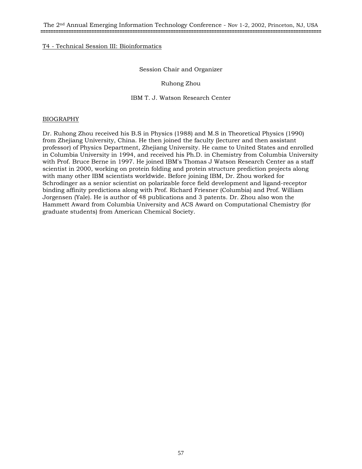## Session Chair and Organizer

## Ruhong Zhou

## IBM T. J. Watson Research Center

## BIOGRAPHY

Dr. Ruhong Zhou received his B.S in Physics (1988) and M.S in Theoretical Physics (1990) from Zhejiang University, China. He then joined the faculty (lecturer and then assistant professor) of Physics Department, Zhejiang University. He came to United States and enrolled in Columbia University in 1994, and received his Ph.D. in Chemistry from Columbia University with Prof. Bruce Berne in 1997. He joined IBM's Thomas J Watson Research Center as a staff scientist in 2000, working on protein folding and protein structure prediction projects along with many other IBM scientists worldwide. Before joining IBM, Dr. Zhou worked for Schrodinger as a senior scientist on polarizable force field development and ligand-receptor binding affinity predictions along with Prof. Richard Friesner (Columbia) and Prof. William Jorgensen (Yale). He is author of 48 publications and 3 patents. Dr. Zhou also won the Hammett Award from Columbia University and ACS Award on Computational Chemistry (for graduate students) from American Chemical Society.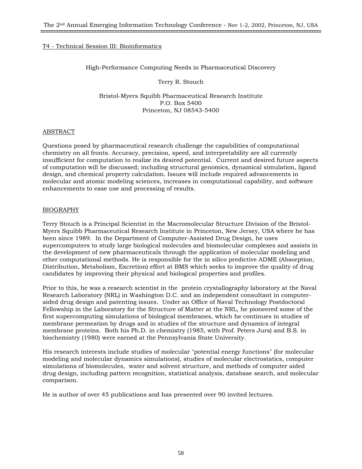## High-Performance Computing Needs in Pharmaceutical Discovery

Terry R. Stouch

Bristol-Myers Squibb Pharmaceutical Research Institute P.O. Box 5400 Princeton, NJ 08543-5400

## ABSTRACT

Questions posed by pharmaceutical research challenge the capabilities of computational chemistry on all fronts. Accuracy, precision, speed, and interpretability are all currently insufficient for computation to realize its desired potential. Current and desired future aspects of computation will be discussed; including structural genomics, dynamical simulation, ligand design, and chemical property calculation. Issues will include required advancements in molecular and atomic modeling sciences, increases in computational capability, and software enhancements to ease use and processing of results.

## BIOGRAPHY

Terry Stouch is a Principal Scientist in the Macromolecular Structure Division of the Bristol-Myers Squibb Pharmaceutical Research Institute in Princeton, New Jersey, USA where he has been since 1989. In the Department of Computer-Assisted Drug Design, he uses supercomputers to study large biological molecules and biomolecular complexes and assists in the development of new pharmaceuticals through the application of molecular modeling and other computational methods. He is responsible for the in silico predictive ADME (Absorption, Distribution, Metabolism, Excretion) effort at BMS which seeks to improve the quality of drug candidates by improving their physical and biological properties and profiles.

Prior to this, he was a research scientist in the protein crystallography laboratory at the Naval Research Laboratory (NRL) in Washington D.C. and an independent consultant in computeraided drug design and patenting issues. Under an Office of Naval Technology Postdoctoral Fellowship in the Laboratory for the Structure of Matter at the NRL, he pioneered some of the first supercomputing simulations of biological membranes, which he continues in studies of membrane permeation by drugs and in studies of the structure and dynamics of integral membrane proteins. Both his Ph.D. in chemistry (1985, with Prof. Peters Jurs) and B.S. in biochemistry (1980) were earned at the Pennsylvania State University.

His research interests include studies of molecular "potential energy functions" (for molecular modeling and molecular dynamics simulations), studies of molecular electrostatics, computer simulations of biomolecules, water and solvent structure, and methods of computer aided drug design, including pattern recognition, statistical analysis, database search, and molecular comparison.

He is author of over 45 publications and has presented over 90 invited lectures.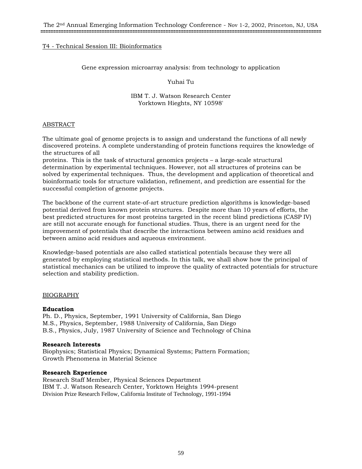## Gene expression microarray analysis: from technology to application

## Yuhai Tu

## IBM T. J. Watson Research Center Yorktown Hieghts, NY 10598'

## ABSTRACT

The ultimate goal of genome projects is to assign and understand the functions of all newly discovered proteins. A complete understanding of protein functions requires the knowledge of the structures of all

proteins. This is the task of structural genomics projects – a large-scale structural determination by experimental techniques. However, not all structures of proteins can be solved by experimental techniques. Thus, the development and application of theoretical and bioinformatic tools for structure validation, refinement, and prediction are essential for the successful completion of genome projects.

The backbone of the current state-of-art structure prediction algorithms is knowledge-based potential derived from known protein structures. Despite more than 10 years of efforts, the best predicted structures for most proteins targeted in the recent blind predictions (CASP IV) are still not accurate enough for functional studies. Thus, there is an urgent need for the improvement of potentials that describe the interactions between amino acid residues and between amino acid residues and aqueous environment.

Knowledge-based potentials are also called statistical potentials because they were all generated by employing statistical methods. In this talk, we shall show how the principal of statistical mechanics can be utilized to improve the quality of extracted potentials for structure selection and stability prediction.

## BIOGRAPHY

## **Education**

Ph. D., Physics, September, 1991 University of California, San Diego M.S., Physics, September, 1988 University of California, San Diego B.S., Physics, July, 1987 University of Science and Technology of China

## **Research Interests**

Biophysics; Statistical Physics; Dynamical Systems; Pattern Formation; Growth Phenomena in Material Science

## **Research Experience**

Research Staff Member, Physical Sciences Department IBM T. J. Watson Research Center, Yorktown Heights 1994-present Division Prize Research Fellow, California Institute of Technology, 1991-1994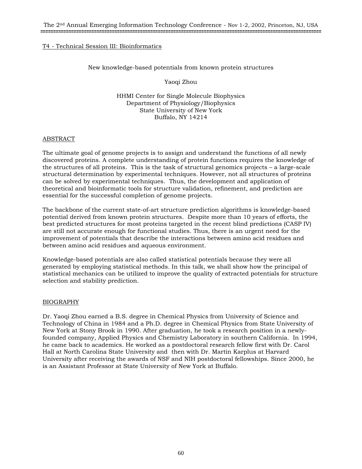## New knowledge-based potentials from known protein structures

Yaoqi Zhou

HHMI Center for Single Molecule Biophysics Department of Physiology/Biophysics State University of New York Buffalo, NY 14214

## ABSTRACT

The ultimate goal of genome projects is to assign and understand the functions of all newly discovered proteins. A complete understanding of protein functions requires the knowledge of the structures of all proteins. This is the task of structural genomics projects – a large-scale structural determination by experimental techniques. However, not all structures of proteins can be solved by experimental techniques. Thus, the development and application of theoretical and bioinformatic tools for structure validation, refinement, and prediction are essential for the successful completion of genome projects.

The backbone of the current state-of-art structure prediction algorithms is knowledge-based potential derived from known protein structures. Despite more than 10 years of efforts, the best predicted structures for most proteins targeted in the recent blind predictions (CASP IV) are still not accurate enough for functional studies. Thus, there is an urgent need for the improvement of potentials that describe the interactions between amino acid residues and between amino acid residues and aqueous environment.

Knowledge-based potentials are also called statistical potentials because they were all generated by employing statistical methods. In this talk, we shall show how the principal of statistical mechanics can be utilized to improve the quality of extracted potentials for structure selection and stability prediction.

## BIOGRAPHY

Dr. Yaoqi Zhou earned a B.S. degree in Chemical Physics from University of Science and Technology of China in 1984 and a Ph.D. degree in Chemical Physics from State University of New York at Stony Brook in 1990. After graduation, he took a research position in a newlyfounded company, Applied Physics and Chemistry Laboratory in southern California. In 1994, he came back to academics. He worked as a postdoctoral research fellow first with Dr. Carol Hall at North Carolina State University and then with Dr. Martin Karplus at Harvard University after receiving the awards of NSF and NIH postdoctoral fellowships. Since 2000, he is an Assistant Professor at State University of New York at Buffalo.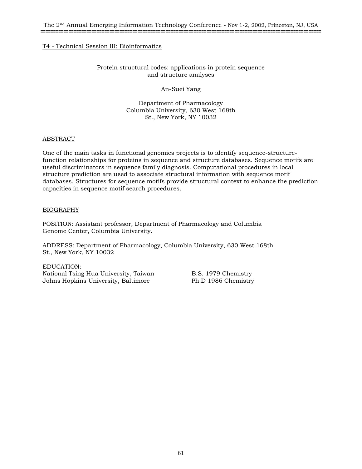## Protein structural codes: applications in protein sequence and structure analyses

An-Suei Yang

Department of Pharmacology Columbia University, 630 West 168th St., New York, NY 10032

## ABSTRACT

One of the main tasks in functional genomics projects is to identify sequence-structurefunction relationships for proteins in sequence and structure databases. Sequence motifs are useful discriminators in sequence family diagnosis. Computational procedures in local structure prediction are used to associate structural information with sequence motif databases. Structures for sequence motifs provide structural context to enhance the prediction capacities in sequence motif search procedures.

## BIOGRAPHY

POSITION: Assistant professor, Department of Pharmacology and Columbia Genome Center, Columbia University.

ADDRESS: Department of Pharmacology, Columbia University, 630 West 168th St., New York, NY 10032

EDUCATION: National Tsing Hua University, Taiwan B.S. 1979 Chemistry Johns Hopkins University, Baltimore Ph.D 1986 Chemistry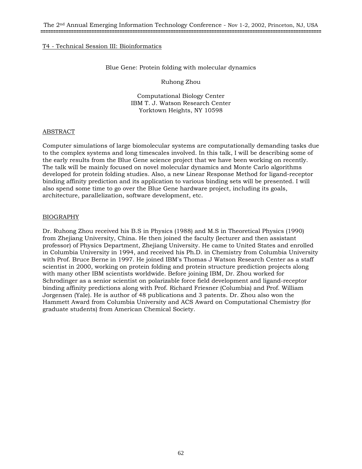#### Blue Gene: Protein folding with molecular dynamics

Ruhong Zhou

Computational Biology Center IBM T. J. Watson Research Center Yorktown Heights, NY 10598

## ABSTRACT

Computer simulations of large biomolecular systems are computationally demanding tasks due to the complex systems and long timescales involved. In this talk, I will be describing some of the early results from the Blue Gene science project that we have been working on recently. The talk will be mainly focused on novel molecular dynamics and Monte Carlo algorithms developed for protein folding studies. Also, a new Linear Response Method for ligand-receptor binding affinity prediction and its application to various binding sets will be presented. I will also spend some time to go over the Blue Gene hardware project, including its goals, architecture, parallelization, software development, etc.

## BIOGRAPHY

Dr. Ruhong Zhou received his B.S in Physics (1988) and M.S in Theoretical Physics (1990) from Zhejiang University, China. He then joined the faculty (lecturer and then assistant professor) of Physics Department, Zhejiang University. He came to United States and enrolled in Columbia University in 1994, and received his Ph.D. in Chemistry from Columbia University with Prof. Bruce Berne in 1997. He joined IBM's Thomas J Watson Research Center as a staff scientist in 2000, working on protein folding and protein structure prediction projects along with many other IBM scientists worldwide. Before joining IBM, Dr. Zhou worked for Schrodinger as a senior scientist on polarizable force field development and ligand-receptor binding affinity predictions along with Prof. Richard Friesner (Columbia) and Prof. William Jorgensen (Yale). He is author of 48 publications and 3 patents. Dr. Zhou also won the Hammett Award from Columbia University and ACS Award on Computational Chemistry (for graduate students) from American Chemical Society.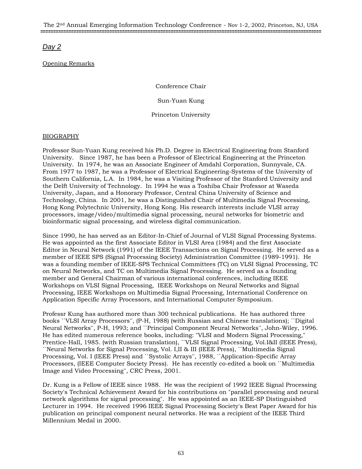# *Day 2*

# Opening Remarks

Conference Chair

Sun-Yuan Kung

Princeton University

## BIOGRAPHY

Professor Sun-Yuan Kung received his Ph.D. Degree in Electrical Engineering from Stanford University. Since 1987, he has been a Professor of Electrical Engineering at the Princeton University. In 1974, he was an Associate Engineer of Amdahl Corporation, Sunnyvale, CA. From 1977 to 1987, he was a Professor of Electrical Engineering-Systems of the University of Southern California, L.A. In 1984, he was a Visiting Professor of the Stanford University and the Delft University of Technology. In 1994 he was a Toshiba Chair Professor at Waseda University, Japan, and a Honorary Professor, Central China University of Science and Technology, China. In 2001, he was a Distinguished Chair of Multimedia Signal Processing, Hong Kong Polytechnic University, Hong Kong. His research interests include VLSI array processors, image/video/multimedia signal processing, neural networks for biometric and bioinformatic signal processing, and wireless digital communication.

Since 1990, he has served as an Editor-In-Chief of Journal of VLSI Signal Processing Systems. He was appointed as the first Associate Editor in VLSI Area (1984) and the first Associate Editor in Neural Network (1991) of the IEEE Transactions on Signal Processing. He served as a member of IEEE SPS (Signal Processing Society) Administration Committee (1989-1991). He was a founding member of IEEE-SPS Technical Committees (TC) on VLSI Signal Processing, TC on Neural Networks, and TC on Multimedia Signal Processing. He served as a founding member and General Chairman of various international conferences, including IEEE Workshops on VLSI Signal Processing, IEEE Workshops on Neural Networks and Signal Processing, IEEE Workshops on Multimedia Signal Processing, International Conference on Application Specific Array Processors, and International Computer Symposium.

Professr Kung has authored more than 300 technical publications. He has authored three books ``VLSI Array Processors'', (P-H, 1988) (with Russian and Chinese translations); ``Digital Neural Networks'', P-H, 1993; and ``Principal Component Neural Networks'', John-Wiley, 1996. He has edited numerous reference books, including: "VLSI and Modern Signal Processing," Prentice-Hall, 1985. (with Russian translation), ``VLSI Signal Processing, Vol.I&II (IEEE Press), ``Neural Networks for Signal Processing, Vol. I,II & III (IEEE Press), ``Multimedia Signal Processing, Vol. I (IEEE Press) and ``Systolic Arrays'', 1988, ``Application-Specific Array Processors, (IEEE Computer Society Press). He has recently co-edited a book on ``Multimedia Image and Video Processing'', CRC Press, 2001.

Dr. Kung is a Fellow of IEEE since 1988. He was the recipient of 1992 IEEE Signal Processing Society's Technical Achievement Award for his contributions on "parallel processing and neural network algorithms for signal processing". He was appointed as an IEEE-SP Distinguished Lecturer in 1994. He received 1996 IEEE Signal Processing Society's Best Paper Award for his publication on principal component neural networks. He was a recipient of the IEEE Third Millennium Medal in 2000.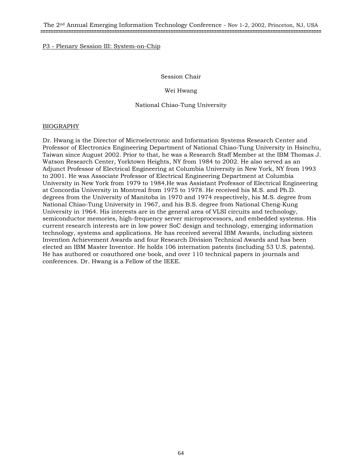## P3 - Plenary Session III: System-on-Chip

## Session Chair

## Wei Hwang

## National Chiao-Tung University

## BIOGRAPHY

Dr. Hwang is the Director of Microelectronic and Information Systems Research Center and Professor of Electronics Engineering Department of National Chiao-Tung University in Hsinchu, Taiwan since August 2002. Prior to that, he was a Research Staff Member at the IBM Thomas J. Watson Research Center, Yorktown Heights, NY from 1984 to 2002. He also served as an Adjunct Professor of Electrical Engineering at Columbia University in New York, NY from 1993 to 2001. He was Associate Professor of Electrical Engineering Department at Columbia University in New York from 1979 to 1984.He was Assistant Professor of Electrical Engineering at Concordia University in Montreal from 1975 to 1978. He received his M.S. and Ph.D. degrees from the University of Manitoba in 1970 and 1974 respectively, his M.S. degree from National Chiao-Tung University in 1967, and his B.S. degree from National Cheng-Kung University in 1964. His interests are in the general area of VLSI circuits and technology, semiconductor memories, high-frequency server microprocessors, and embedded systems. His current research interests are in low power SoC design and technology, emerging information technology, systems and applications. He has received several IBM Awards, including sixteen Invention Achievement Awards and four Research Division Technical Awards and has been elected an IBM Master Inventor. He holds 106 internation patents (including 53 U.S. patents). He has authored or coauthored one book, and over 110 technical papers in journals and conferences. Dr. Hwang is a Fellow of the IEEE.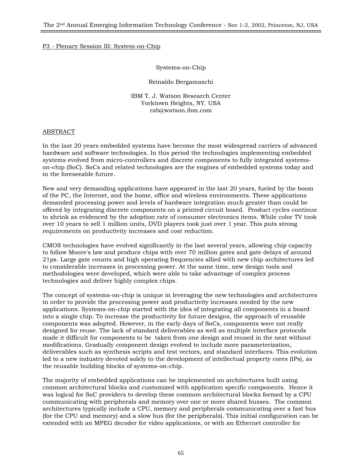## P3 - Plenary Session III: System-on-Chip

Systems-on-Chip

Reinaldo Bergamaschi

IBM T. J. Watson Research Center Yorktown Heights, NY. USA rab@watson.ibm.com

## ABSTRACT

In the last 20 years embedded systems have become the most widespread carriers of advanced hardware and software technologies. In this period the technologies implementing embedded systems evolved from micro-controllers and discrete components to fully integrated systemson-chip (SoC). SoCs and related technologies are the engines of embedded systems today and in the foreseeable future.

New and very demanding applications have appeared in the last 20 years, fueled by the boom of the PC, the Internet, and the home, office and wireless environments. These applications demanded processing power and levels of hardware integration much greater than could be offered by integrating discrete components on a printed circuit board. Product cycles continue to shrink as evidenced by the adoption rate of consumer electronics items. While color TV took over 10 years to sell 1 million units, DVD players took just over 1 year. This puts strong requirements on productivity increases and cost reduction.

CMOS technologies have evolved significantly in the last several years, allowing chip capacity to follow Moore's law and produce chips with over 70 million gates and gate delays of around 21ps. Large gate counts and high operating frequencies allied with new chip architectures led to considerable increases in processing power. At the same time, new design tools and methodologies were developed, which were able to take advantage of complex process technologies and deliver highly complex chips.

The concept of systems-on-chip is unique in leveraging the new technologies and architectures in order to provide the processing power and productivity increases needed by the new applications. Systems-on-chip started with the idea of integrating all components in a board into a single chip. To increase the productivity for future designs, the approach of reusable components was adopted. However, in the early days of SoCs, components were not really designed for reuse. The lack of standard deliverables as well as multiple interface protocols made it difficult for components to be taken from one design and reused in the next without modifications. Gradually component design evolved to include more parameterization, deliverables such as synthesis scripts and test vectors, and standard interfaces. This evolution led to a new industry devoted solely to the development of intellectual property cores (IPs), as the reusable building blocks of systems-on-chip.

The majority of embedded applications can be implemented on architectures built using common architectural blocks and customized with application specific components. Hence it was logical for SoC providers to develop these common architectural blocks formed by a CPU communicating with peripherals and memory over one or more shared busses. The common architectures typically include a CPU, memory and peripherals communicating over a fast bus (for the CPU and memory) and a slow bus (for the peripherals). This initial configuration can be extended with an MPEG decoder for video applications, or with an Ethernet controller for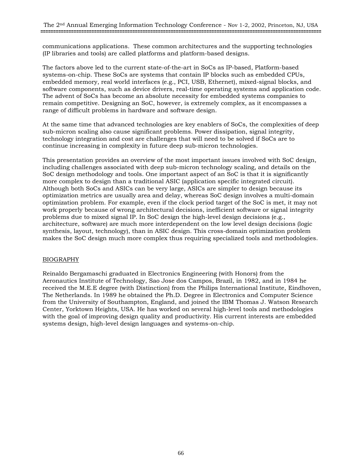communications applications. These common architectures and the supporting technologies (IP libraries and tools) are called platforms and platform-based designs.

The factors above led to the current state-of-the-art in SoCs as IP-based, Platform-based systems-on-chip. These SoCs are systems that contain IP blocks such as embedded CPUs, embedded memory, real world interfaces (e.g., PCI, USB, Ethernet), mixed-signal blocks, and software components, such as device drivers, real-time operating systems and application code. The advent of SoCs has become an absolute necessity for embedded systems companies to remain competitive. Designing an SoC, however, is extremely complex, as it encompasses a range of difficult problems in hardware and software design.

At the same time that advanced technologies are key enablers of SoCs, the complexities of deep sub-micron scaling also cause significant problems. Power dissipation, signal integrity, technology integration and cost are challenges that will need to be solved if SoCs are to continue increasing in complexity in future deep sub-micron technologies.

This presentation provides an overview of the most important issues involved with SoC design, including challenges associated with deep sub-micron technology scaling, and details on the SoC design methodology and tools. One important aspect of an SoC is that it is significantly more complex to design than a traditional ASIC (application specific integrated circuit). Although both SoCs and ASICs can be very large, ASICs are simpler to design because its optimization metrics are usually area and delay, whereas SoC design involves a multi-domain optimization problem. For example, even if the clock period target of the SoC is met, it may not work properly because of wrong architectural decisions, inefficient software or signal integrity problems due to mixed signal IP. In SoC design the high-level design decisions (e.g., architecture, software) are much more interdependent on the low level design decisions (logic synthesis, layout, technology), than in ASIC design. This cross-domain optimization problem makes the SoC design much more complex thus requiring specialized tools and methodologies.

# BIOGRAPHY

Reinaldo Bergamaschi graduated in Electronics Engineering (with Honors) from the Aeronautics Institute of Technology, Sao Jose dos Campos, Brazil, in 1982, and in 1984 he received the M.E.E degree (with Distinction) from the Philips International Institute, Eindhoven, The Netherlands. In 1989 he obtained the Ph.D. Degree in Electronics and Computer Science from the University of Southampton, England, and joined the IBM Thomas J. Watson Research Center, Yorktown Heights, USA. He has worked on several high-level tools and methodologies with the goal of improving design quality and productivity. His current interests are embedded systems design, high-level design languages and systems-on-chip.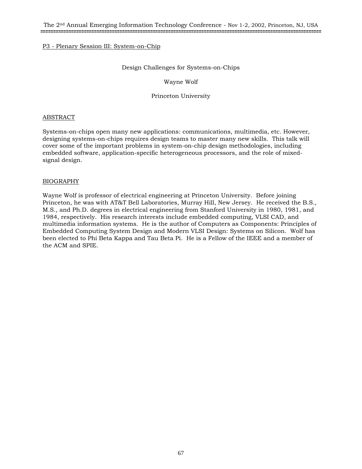## P3 - Plenary Session III: System-on-Chip

## Design Challenges for Systems-on-Chips

Wayne Wolf

Princeton University

#### ABSTRACT

Systems-on-chips open many new applications: communications, multimedia, etc. However, designing systems-on-chips requires design teams to master many new skills. This talk will cover some of the important problems in system-on-chip design methodologies, including embedded software, application-specific heterogeneous processors, and the role of mixedsignal design.

## BIOGRAPHY

Wayne Wolf is professor of electrical engineering at Princeton University. Before joining Princeton, he was with AT&T Bell Laboratories, Murray Hill, New Jersey. He received the B.S., M.S., and Ph.D. degrees in electrical engineering from Stanford University in 1980, 1981, and 1984, respectively. His research interests include embedded computing, VLSI CAD, and multimedia information systems. He is the author of Computers as Components: Principles of Embedded Computing System Design and Modern VLSI Design: Systems on Silicon. Wolf has been elected to Phi Beta Kappa and Tau Beta Pi. He is a Fellow of the IEEE and a member of the ACM and SPIE.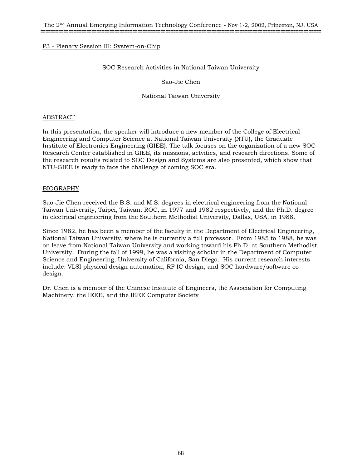## P3 - Plenary Session III: System-on-Chip

## SOC Research Activities in National Taiwan University

Sao-Jie Chen

National Taiwan University

## ABSTRACT

In this presentation, the speaker will introduce a new member of the College of Electrical Engineering and Computer Science at National Taiwan University (NTU), the Graduate Institute of Electronics Engineering (GIEE). The talk focuses on the organization of a new SOC Research Center established in GIEE, its missions, actvities, and research directions. Some of the research results related to SOC Design and Systems are also presented, which show that NTU-GIEE is ready to face the challenge of coming SOC era.

## BIOGRAPHY

Sao-Jie Chen received the B.S. and M.S. degrees in electrical engineering from the National Taiwan University, Taipei, Taiwan, ROC, in 1977 and 1982 respectively, and the Ph.D. degree in electrical engineering from the Southern Methodist University, Dallas, USA, in 1988.

Since 1982, he has been a member of the faculty in the Department of Electrical Engineering, National Taiwan University, where he is currently a full professor. From 1985 to 1988, he was on leave from National Taiwan University and working toward his Ph.D. at Southern Methodist University. During the fall of 1999, he was a visiting scholar in the Department of Computer Science and Engineering, University of California, San Diego. His current research interests include: VLSI physical design automation, RF IC design, and SOC hardware/software codesign.

Dr. Chen is a member of the Chinese Institute of Engineers, the Association for Computing Machinery, the IEEE, and the IEEE Computer Society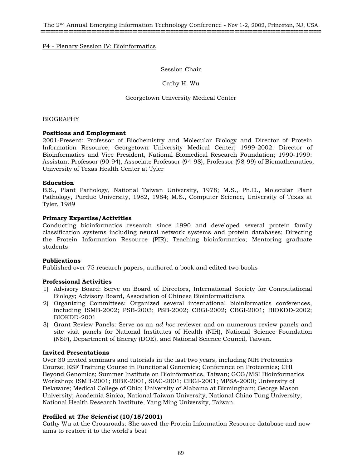## P4 - Plenary Session IV: Bioinformatics

## Session Chair

## Cathy H. Wu

## Georgetown University Medical Center

## BIOGRAPHY

## **Positions and Employment**

2001-Present: Professor of Biochemistry and Molecular Biology and Director of Protein Information Resource, Georgetown University Medical Center; 1999-2002: Director of Bioinformatics and Vice President, National Biomedical Research Foundation; 1990-1999: Assistant Professor (90-94), Associate Professor (94-98), Professor (98-99) of Biomathematics, University of Texas Health Center at Tyler

#### **Education**

B.S., Plant Pathology, National Taiwan University, 1978; M.S., Ph.D., Molecular Plant Pathology, Purdue University, 1982, 1984; M.S., Computer Science, University of Texas at Tyler, 1989

## **Primary Expertise/Activities**

Conducting bioinformatics research since 1990 and developed several protein family classification systems including neural network systems and protein databases; Directing the Protein Information Resource (PIR); Teaching bioinformatics; Mentoring graduate students

## **Publications**

Published over 75 research papers, authored a book and edited two books

## **Professional Activities**

- 1) Advisory Board: Serve on Board of Directors, International Society for Computational Biology; Advisory Board, Association of Chinese Bioinformaticians
- 2) Organizing Committees: Organized several international bioinformatics conferences, including ISMB-2002; PSB-2003; PSB-2002; CBGI-2002; CBGI-2001; BIOKDD-2002; BIOKDD-2001
- 3) Grant Review Panels: Serve as an *ad hoc* reviewer and on numerous review panels and site visit panels for National Institutes of Health (NIH), National Science Foundation (NSF), Department of Energy (DOE), and National Science Council, Taiwan.

## **Invited Presentations**

Over 30 invited seminars and tutorials in the last two years, including NIH Proteomics Course; ESF Training Course in Functional Genomics; Conference on Proteomics; CHI Beyond Genomics; Summer Institute on Bioinformatics, Taiwan; GCG/MSI Bioinformatics Workshop; ISMB-2001; BIBE-2001, SIAC-2001; CBGI-2001; MPSA-2000; University of Delaware; Medical College of Ohio; University of Alabama at Birmingham; George Mason University; Academia Sinica, National Taiwan University, National Chiao Tung University, National Health Research Institute, Yang Ming University, Taiwan

# **Profiled at** *The Scientist* **(10/15/2001)**

Cathy Wu at the Crossroads: She saved the Protein Information Resource database and now aims to restore it to the world's best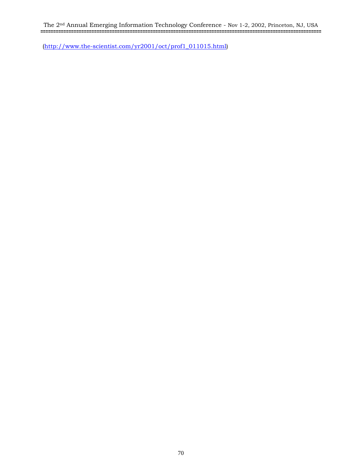The 2nd Annual Emerging Information Technology Conference - Nov 1-2, 2002, Princeton, NJ, USA **==============================================================================================================**

(http://www.the-scientist.com/yr2001/oct/prof1\_011015.html)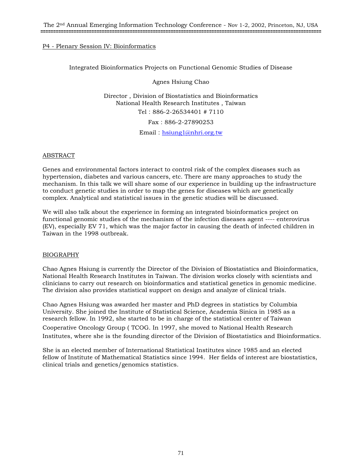## P4 - Plenary Session IV: Bioinformatics

Integrated Bioinformatics Projects on Functional Genomic Studies of Disease

Agnes Hsiung Chao

Director , Division of Biostatistics and Bioinformatics National Health Research Institutes , Taiwan Tel:886-2-26534401 # 7110 Fax:886-2-27890253

Email: hsiung1@nhri.org.tw

## ABSTRACT

Genes and environmental factors interact to control risk of the complex diseases such as hypertension, diabetes and various cancers, etc. There are many approaches to study the mechanism. In this talk we will share some of our experience in building up the infrastructure to conduct genetic studies in order to map the genes for diseases which are genetically complex. Analytical and statistical issues in the genetic studies will be discussed.

We will also talk about the experience in forming an integrated bioinformatics project on functional genomic studies of the mechanism of the infection diseases agent ---- enterovirus (EV), especially EV 71, which was the major factor in causing the death of infected children in Taiwan in the 1998 outbreak.

## BIOGRAPHY

Chao Agnes Hsiung is currently the Director of the Division of Biostatistics and Bioinformatics, National Health Research Institutes in Taiwan. The division works closely with scientists and clinicians to carry out research on bioinformatics and statistical genetics in genomic medicine. The division also provides statistical support on design and analyze of clinical trials.

Chao Agnes Hsiung was awarded her master and PhD degrees in statistics by Columbia University. She joined the Institute of Statistical Science, Academia Sinica in 1985 as a research fellow. In 1992, she started to be in charge of the statistical center of Taiwan Cooperative Oncology Group(TCOG. In 1997, she moved to National Health Research Institutes, where she is the founding director of the Division of Biostatistics and Bioinformatics.

She is an elected member of International Statistical Institutes since 1985 and an elected fellow of Institute of Mathematical Statistics since 1994. Her fields of interest are biostatistics, clinical trials and genetics/genomics statistics.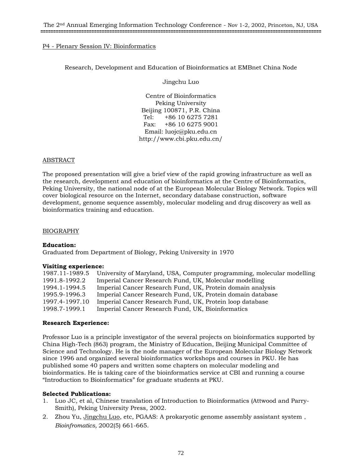## P4 - Plenary Session IV: Bioinformatics

## Research, Development and Education of Bioinformatics at EMBnet China Node

Jingchu Luo

Centre of Bioinformatics Peking University Beijing 100871, P.R. China Tel: +86 10 6275 7281 Fax: +86 10 6275 9001 Email: luojc@pku.edu.cn http://www.cbi.pku.edu.cn/

## ABSTRACT

The proposed presentation will give a brief view of the rapid growing infrastructure as well as the research, development and education of bioinformatics at the Centre of Bioinformatics, Peking University, the national node of at the European Molecular Biology Network. Topics will cover biological resource on the Internet, secondary database construction, software development, genome sequence assembly, molecular modeling and drug discovery as well as bioinformatics training and education.

## BIOGRAPHY

## **Education:**

Graduated from Department of Biology, Peking University in 1970

#### **Visiting experience:**

| 1987.11-1989.5 | University of Maryland, USA, Computer programming, molecular modelling |
|----------------|------------------------------------------------------------------------|
| 1991.8-1992.2  | Imperial Cancer Research Fund, UK, Molecular modelling                 |
| 1994.1-1994.5  | Imperial Cancer Research Fund, UK, Protein domain analysis             |
| 1995.9-1996.3  | Imperial Cancer Research Fund, UK, Protein domain database             |
| 1997.4-1997.10 | Imperial Cancer Research Fund, UK, Protein loop database               |
| 1998.7-1999.1  | Imperial Cancer Research Fund, UK, Bioinformatics                      |

#### **Research Experience:**

Professor Luo is a principle investigator of the several projects on bioinformatics supported by China High-Tech (863) program, the Ministry of Education, Beijing Municipal Committee of Science and Technology. He is the node manager of the European Molecular Biology Network since 1996 and organized several bioinformatics workshops and courses in PKU. He has published some 40 papers and written some chapters on molecular modeling and bioinformatics. He is taking care of the bioinformatics service at CBI and running a course "Introduction to Bioinformatics" for graduate students at PKU.

## **Selected Publications:**

- 1. Luo JC, et al, Chinese translation of Introduction to Bioinformatics (Attwood and Parry-Smith), Peking University Press, 2002.
- 2. Zhou Yu, Jingchu Luo, etc, PGAAS: A prokaryotic genome assembly assistant system, *Bioinfromatics,* 2002(5) 661-665.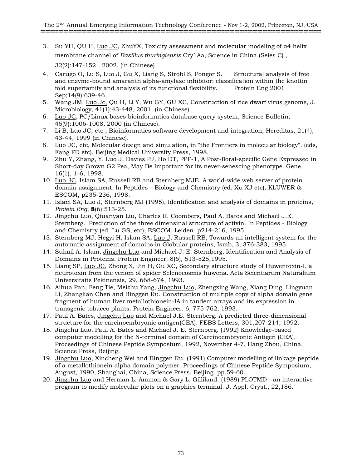3. Su YH, QU H, Luo JC, ZhuYX, Toxicity assessment and molecular modeling of α4 helix membrane channel of *Basillus thuringiensis* Cry1Aa, Science in China (Seies C),

32(2):147-152,2002. (in Chinese)

- 4. Carugo O, Lu S, Luo J, Gu X, Liang S, Strobl S, Pongor S. Structural analysis of free and enzyme-bound amaranth alpha-amylase inhibitor: classification within the knottin fold superfamily and analysis of its functional flexibility. Protein Eng 2001 Sep;14(9):639-46.
- 5. Wang JM, Luo Jc, Qu H, Li Y, Wu GY, GU XC, Construction of rice dwarf virus genome, J. Microbiology, 41(1):43-448, 2001. (in Chinese)
- 6. Luo JC, PC/Linux bases bioinformatics database query system, Science Bulletin, 45(9):1006-1008, 2000 (in Chinese).
- 7. Li B, Luo JC, etc , Bioinformatics software development and integration, Hereditas, 21(4), 43-44, 1999 (in Chinese).
- 8. Luo JC, etc, Molecular design and simulation, in "the Frontiers in molecular biology". (eds, Fang FD etc), Beijing Medical University Press, 1998.
- 9. Zhu Y, Zhang, Y, Luo J, Davies PJ, Ho DT, PPF-1, A Post-floral-specific Gene Expressed in Short-day Grown G2 Pea, May Be Important for its never-senescing phenotype. Gene, 16(1), 1-6, 1998.
- 10. Luo JC, Islam SA, Russell RB and Sternberg MJE. A world-wide web server of protein domain assignment. In Peptides – Biology and Chemistry (ed. Xu XJ etc), KLUWER & ESCOM, p235-236, 1998.
- 11. Islam SA, Luo J, Sternberg MJ (1995), Identification and analysis of domains in proteins, *Protein Eng*, **8**(6):513-25.
- 12. Jingchu Luo, Qiuanyan Liu, Charles R. Coombers, Paul A. Bates and Michael J.E. Sternberg. Prediction of the three dimensinal structure of activin. In Peptides - Biology and Chemistry (ed. Lu GS, etc), ESCOM, Leiden. p214-216, 1995.
- 13. Sternberg MJ, Hegyi H, Islam SA, Luo J, Russell RB, Towards an intelligent system for the automatic assignment of domains in Globular proteins, Ismb, 3, 376-383, 1995.
- 14. Suhail A. Islam, Jingchu Luo and Michael J. E. Sternberg, Identification and Analysis of Domains in Proteins. Protein Engineer. 8(6), 513-525,1995.
- 15. Liang SP, Luo JC, Zhong X, Jin H, Gu XC, Secondary structure study of Huwentoxin-I, a neurotoxin from the venom of spider Selenocosmis huwena. Acta Scientiarum Naturalium Universitatis Pekinensis, 29, 668-674, 1993.
- 16. Aihua Pan, Feng Tie, Meizhu Yang, Jingchu Luo, Zhengxing Wang, Xiang Ding, Lingyuan Li, Zhanglian Chen and Binggen Ru. Construction of multiple copy of alpha domain gene fragment of human liver metallothionein-IA in tandem arrays and its expression in transgenic tobacco plants. Protein Engineer. 6, 775-762, 1993.
- 17. Paul A. Bates, Jingchu Luo and Michael J.E. Sternberg. A predicted three-dimensional structure for the carcinoembryonic antigen(CEA). FEBS Letters, 301,207-214, 1992.
- 18. Jingchu Luo, Paul A. Bates and Michael J. E. Sternberg. (1992) Knowledge-based computer modelling for the N-terminal domain of Carcinoembryonic Antigen (CEA). Proceedings of Chinese Peptide Symposium, 1992, November 4-7, Hang Zhou, China, Science Press, Beijing.
- 19. Jingchu Luo, Xincheng Wei and Binggen Ru. (1991) Computer modelling of linkage peptide of a metallothionein alpha domain polymer. Proceedings of Chinese Peptide Symposium, August, 1990, Shanghai, China, Science Press, Beijing. pp.59-60.
- 20. Jingchu Luo and Herman L. Ammon & Gary L. Gilliland. (1989) PLOTMD an interactive program to modify molecular plots on a graphics terminal. J. Appl. Cryst., 22,186.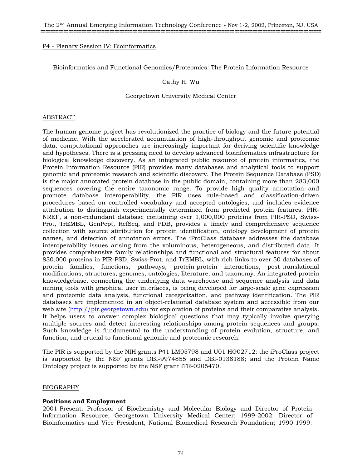# P4 - Plenary Session IV: Bioinformatics

Bioinformatics and Functional Genomics/Proteomics: The Protein Information Resource

## Cathy H. Wu

## Georgetown University Medical Center

#### ABSTRACT

The human genome project has revolutionized the practice of biology and the future potential of medicine. With the accelerated accumulation of high-throughput genomic and proteomic data, computational approaches are increasingly important for deriving scientific knowledge and hypotheses. There is a pressing need to develop advanced bioinformatics infrastructure for biological knowledge discovery. As an integrated public resource of protein informatics, the Protein Information Resource (PIR) provides many databases and analytical tools to support genomic and proteomic research and scientific discovery. The Protein Sequence Database (PSD) is the major annotated protein database in the public domain, containing more than 283,000 sequences covering the entire taxonomic range. To provide high quality annotation and promote database interoperability, the PIR uses rule-based and classification-driven procedures based on controlled vocabulary and accepted ontologies, and includes evidence attribution to distinguish experimentally determined from predicted protein features. PIR-NREF, a non-redundant database containing over 1,000,000 proteins from PIR-PSD, Swiss-Prot, TrEMBL, GenPept, RefSeq, and PDB, provides a timely and comprehensive sequence collection with source attribution for protein identification, ontology development of protein names, and detection of annotation errors. The iProClass database addresses the database interoperability issues arising from the voluminous, heterogeneous, and distributed data. It provides comprehensive family relationships and functional and structural features for about 830,000 proteins in PIR-PSD, Swiss-Prot, and TrEMBL, with rich links to over 50 databases of protein families, functions, pathways, protein-protein interactions, post-translational modifications, structures, genomes, ontologies, literature, and taxonomy. An integrated protein knowledgebase, connecting the underlying data warehouse and sequence analysis and data mining tools with graphical user interfaces, is being developed for large-scale gene expression and proteomic data analysis, functional categorization, and pathway identification. The PIR databases are implemented in an object-relational database system and accessible from our web site (http://pir.georgetown.edu) for exploration of proteins and their comparative analysis. It helps users to answer complex biological questions that may typically involve querying multiple sources and detect interesting relationships among protein sequences and groups. Such knowledge is fundamental to the understanding of protein evolution, structure, and function, and crucial to functional genomic and proteomic research.

The PIR is supported by the NIH grants P41 LM05798 and U01 HG02712; the iProClass project is supported by the NSF grants DBI-9974855 and DBI-0138188; and the Protein Name Ontology project is supported by the NSF grant ITR-0205470.

### BIOGRAPHY

### **Positions and Employment**

2001-Present: Professor of Biochemistry and Molecular Biology and Director of Protein Information Resource, Georgetown University Medical Center; 1999-2002: Director of Bioinformatics and Vice President, National Biomedical Research Foundation; 1990-1999: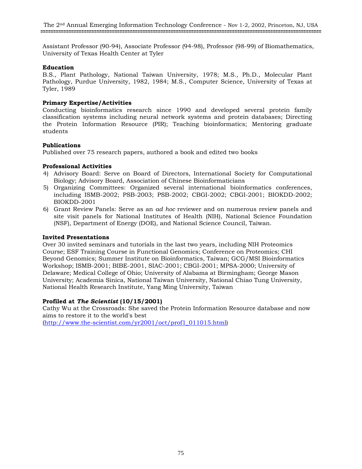Assistant Professor (90-94), Associate Professor (94-98), Professor (98-99) of Biomathematics, University of Texas Health Center at Tyler

# **Education**

B.S., Plant Pathology, National Taiwan University, 1978; M.S., Ph.D., Molecular Plant Pathology, Purdue University, 1982, 1984; M.S., Computer Science, University of Texas at Tyler, 1989

# **Primary Expertise/Activities**

Conducting bioinformatics research since 1990 and developed several protein family classification systems including neural network systems and protein databases; Directing the Protein Information Resource (PIR); Teaching bioinformatics; Mentoring graduate students

# **Publications**

Published over 75 research papers, authored a book and edited two books

# **Professional Activities**

- 4) Advisory Board: Serve on Board of Directors, International Society for Computational Biology; Advisory Board, Association of Chinese Bioinformaticians
- 5) Organizing Committees: Organized several international bioinformatics conferences, including ISMB-2002; PSB-2003; PSB-2002; CBGI-2002; CBGI-2001; BIOKDD-2002; BIOKDD-2001
- 6) Grant Review Panels: Serve as an *ad hoc* reviewer and on numerous review panels and site visit panels for National Institutes of Health (NIH), National Science Foundation (NSF), Department of Energy (DOE), and National Science Council, Taiwan.

## **Invited Presentations**

Over 30 invited seminars and tutorials in the last two years, including NIH Proteomics Course; ESF Training Course in Functional Genomics; Conference on Proteomics; CHI Beyond Genomics; Summer Institute on Bioinformatics, Taiwan; GCG/MSI Bioinformatics Workshop; ISMB-2001; BIBE-2001, SIAC-2001; CBGI-2001; MPSA-2000; University of Delaware; Medical College of Ohio; University of Alabama at Birmingham; George Mason University; Academia Sinica, National Taiwan University, National Chiao Tung University, National Health Research Institute, Yang Ming University, Taiwan

# **Profiled at** *The Scientist* **(10/15/2001)**

Cathy Wu at the Crossroads: She saved the Protein Information Resource database and now aims to restore it to the world's best (http://www.the-scientist.com/yr2001/oct/prof1\_011015.html)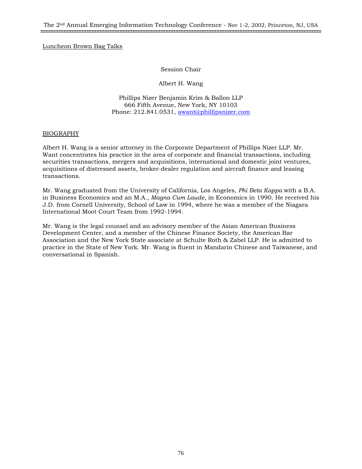Luncheon Brown Bag Talks

Session Chair

Albert H. Wang

Phillips Nizer Benjamin Krim & Ballon LLP 666 Fifth Avenue, New York, NY 10103 Phone: 212.841.0531, awant@phillipsnizer.com

# BIOGRAPHY

Albert H. Wang is a senior attorney in the Corporate Department of Phillips Nizer LLP. Mr. Want concentrates his practice in the area of corporate and financial transactions, including securities transactions, mergers and acquisitions, international and domestic joint ventures, acquisitions of distressed assets, broker-dealer regulation and aircraft finance and leasing transactions.

Mr. Wang graduated from the University of California, Los Angeles, *Phi Beta Kappa* with a B.A. in Business Economics and an M.A., *Magna Cum Laude*, in Economics in 1990. He received his J.D. from Cornell University, School of Law in 1994, where he was a member of the Niagara International Moot Court Team from 1992-1994.

Mr. Wang is the legal counsel and an advisory member of the Asian American Business Development Center, and a member of the Chinese Finance Society, the American Bar Association and the New York State associate at Schulte Roth & Zabel LLP. He is admitted to practice in the State of New York. Mr. Wang is fluent in Mandarin Chinese and Taiwanese, and conversational in Spanish.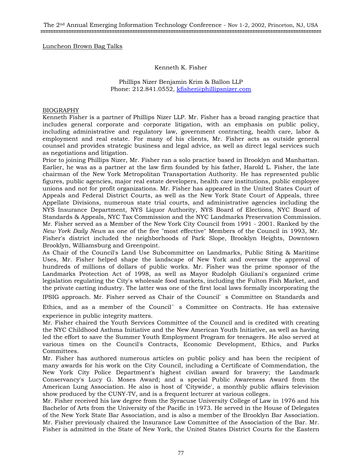Luncheon Brown Bag Talks

#### Kenneth K. Fisher

Phillips Nizer Benjamin Krim & Ballon LLP Phone: 212.841.0552, kfisher@phillipsnizer.com

#### BIOGRAPHY

Kenneth Fisher is a partner of Phillips Nizer LLP. Mr. Fisher has a broad ranging practice that includes general corporate and corporate litigation, with an emphasis on public policy, including administrative and regulatory law, government contracting, health care, labor & employment and real estate. For many of his clients, Mr. Fisher acts as outside general counsel and provides strategic business and legal advice, as well as direct legal services such as negotiations and litigation.

Prior to joining Phillips Nizer, Mr. Fisher ran a solo practice based in Brooklyn and Manhattan. Earlier, he was as a partner at the law firm founded by his father, Harold L. Fisher, the late chairman of the New York Metropolitan Transportation Authority. He has represented public figures, public agencies, major real estate developers, health care institutions, public employee unions and not for profit organizations. Mr. Fisher has appeared in the United States Court of Appeals and Federal District Courts, as well as the New York State Court of Appeals, three Appellate Divisions, numerous state trial courts, and administrative agencies including the NYS Insurance Department, NYS Liquor Authority, NYS Board of Elections, NYC Board of Standards & Appeals, NYC Tax Commission and the NYC Landmarks Preservation Commission. Mr. Fisher served as a Member of the New York City Council from 1991 - 2001. Ranked by the *New York Daily News* as one of the five "most effective" Members of the Council in 1993, Mr. Fisher's district included the neighborhoods of Park Slope, Brooklyn Heights, Downtown Brooklyn, Williamsburg and Greenpoint.

As Chair of the Council's Land Use Subcommittee on Landmarks, Public Siting & Maritime Uses, Mr. Fisher helped shape the landscape of New York and oversaw the approval of hundreds of millions of dollars of public works. Mr. Fisher was the prime sponsor of the Landmarks Protection Act of 1998, as well as Mayor Rudolph Giuliani's organized crime legislation regulating the City's wholesale food markets, including the Fulton Fish Market, and the private carting industry. The latter was one of the first local laws formally incorporating the

IPSIG approach. Mr. Fisher served as Chair of the Council' s Committee on Standards and

Ethics, and as a member of the Council ' s Committee on Contracts. He has extensive experience in public integrity matters.

Mr. Fisher chaired the Youth Services Committee of the Council and is credited with creating the NYC Childhood Asthma Initiative and the New American Youth Initiative, as well as having led the effort to save the Summer Youth Employment Program for teenagers. He also served at various times on the Council's Contracts, Economic Development, Ethics, and Parks Committees.

Mr. Fisher has authored numerous articles on public policy and has been the recipient of many awards for his work on the City Council, including a Certificate of Commendation, the New York City Police Department's highest civilian award for bravery; the Landmark Conservancy's Lucy G. Moses Award; and a special Public Awareness Award from the American Lung Association. He also is host of 'Citywide', a monthly public affairs television show produced by the CUNY-TV, and is a frequent lecturer at various colleges.

Mr. Fisher received his law degree from the Syracuse University College of Law in 1976 and his Bachelor of Arts from the University of the Pacific in 1973. He served in the House of Delegates of the New York State Bar Association, and is also a member of the Brooklyn Bar Association. Mr. Fisher previously chaired the Insurance Law Committee of the Association of the Bar. Mr. Fisher is admitted in the State of New York, the United States District Courts for the Eastern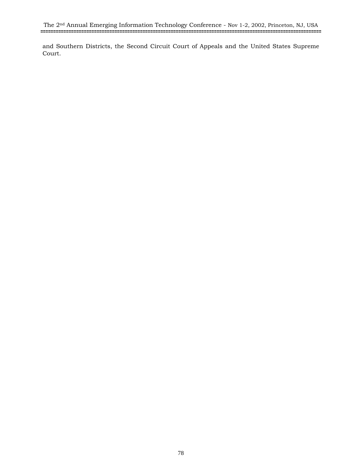and Southern Districts, the Second Circuit Court of Appeals and the United States Supreme Court.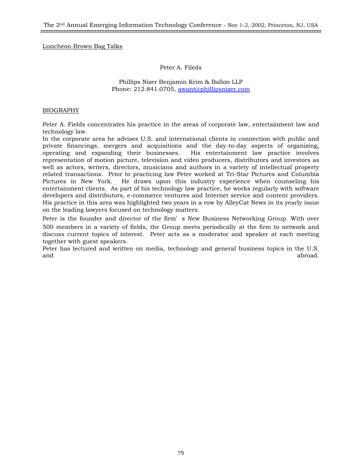Luncheon Brown Bag Talks

## Peter A. Fileds

## Phillips Nizer Benjamin Krim & Ballon LLP Phone: 212.841.0705, awant@phillipsnizer.com

# BIOGRAPHY

Peter A. Fields concentrates his practice in the areas of corporate law, entertainment law and technology law.

In the corporate area he advises U.S. and international clients in connection with public and private financings, mergers and acquisitions and the day-to-day aspects of organizing, operating and expanding their businesses. His entertainment law practice involves representation of motion picture, television and video producers, distributors and investors as well as actors, writers, directors, musicians and authors in a variety of intellectual property related transactions. Prior to practicing law Peter worked at Tri-Star Pictures and Columbia Pictures in New York. He draws upon this industry experience when counseling his entertainment clients. As part of his technology law practice, he works regularly with software developers and distributors, e-commerce ventures and Internet service and content providers. His practice in this area was highlighted two years in a row by AlleyCat News in its yearly issue on the leading lawyers focused on technology matters.

Peter is the founder and director of the firm' s New Business Networking Group. With over 500 members in a variety of fields, the Group meets periodically at the firm to network and discuss current topics of interest. Peter acts as a moderator and speaker at each meeting together with guest speakers.

Peter has lectured and written on media, technology and general business topics in the U.S. and abroad. The contract of the contract of the contract of the contract of the contract of the contract of the contract of the contract of the contract of the contract of the contract of the contract of the contract of th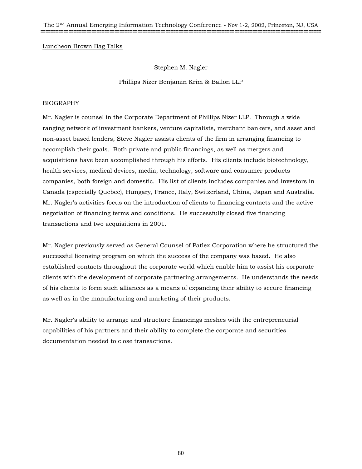The 2nd Annual Emerging Information Technology Conference - Nov 1-2, 2002, Princeton, NJ, USA **==============================================================================================================**

Luncheon Brown Bag Talks

Stephen M. Nagler

Phillips Nizer Benjamin Krim & Ballon LLP

# BIOGRAPHY

Mr. Nagler is counsel in the Corporate Department of Phillips Nizer LLP. Through a wide ranging network of investment bankers, venture capitalists, merchant bankers, and asset and non-asset based lenders, Steve Nagler assists clients of the firm in arranging financing to accomplish their goals. Both private and public financings, as well as mergers and acquisitions have been accomplished through his efforts. His clients include biotechnology, health services, medical devices, media, technology, software and consumer products companies, both foreign and domestic. His list of clients includes companies and investors in Canada (especially Quebec), Hungary, France, Italy, Switzerland, China, Japan and Australia. Mr. Nagler's activities focus on the introduction of clients to financing contacts and the active negotiation of financing terms and conditions. He successfully closed five financing transactions and two acquisitions in 2001.

Mr. Nagler previously served as General Counsel of Patlex Corporation where he structured the successful licensing program on which the success of the company was based. He also established contacts throughout the corporate world which enable him to assist his corporate clients with the development of corporate partnering arrangements. He understands the needs of his clients to form such alliances as a means of expanding their ability to secure financing as well as in the manufacturing and marketing of their products.

Mr. Nagler's ability to arrange and structure financings meshes with the entrepreneurial capabilities of his partners and their ability to complete the corporate and securities documentation needed to close transactions.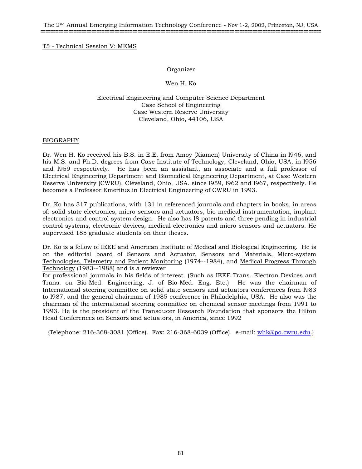# Organizer

# Wen H. Ko

Electrical Engineering and Computer Science Department Case School of Engineering Case Western Reserve University Cleveland, Ohio, 44106, USA

# BIOGRAPHY

Dr. Wen H. Ko received his B.S. in E.E. from Amoy (Xiamen) University of China in l946, and his M.S. and Ph.D. degrees from Case Institute of Technology, Cleveland, Ohio, USA, in l956 and l959 respectively. He has been an assistant, an associate and a full professor of Electrical Engineering Department and Biomedical Engineering Department, at Case Western Reserve University (CWRU), Cleveland, Ohio, USA. since l959, l962 and l967, respectively. He becomes a Professor Emeritus in Electrical Engineering of CWRU in 1993.

Dr. Ko has 317 publications, with 131 in referenced journals and chapters in books, in areas of: solid state electronics, micro-sensors and actuators, bio-medical instrumentation, implant electronics and control system design. He also has l8 patents and three pending in industrial control systems, electronic devices, medical electronics and micro sensors and actuators. He supervised 185 graduate students on their theses.

Dr. Ko is a fellow of IEEE and American Institute of Medical and Biological Engineering. He is on the editorial board of Sensors and Actuator, Sensors and Materials, Micro-system Technologies, Telemetry and Patient Monitoring (1974--1984), and Medical Progress Through Technology (1983--1988) and is a reviewer

for professional journals in his fields of interest. (Such as IEEE Trans. Electron Devices and Trans. on Bio-Med. Engineering, J. of Bio-Med. Eng. Etc.) He was the chairman of International steering committee on solid state sensors and actuators conferences from l983 to l987, and the general chairman of 1985 conference in Philadelphia, USA. He also was the chairman of the international steering committee on chemical sensor meetings from 1991 to 1993. He is the president of the Transducer Research Foundation that sponsors the Hilton Head Conferences on Sensors and actuators, in America, since 1992

{Telephone: 216-368-3081 (Office). Fax: 216-368-6039 (Office). e-mail: whk@po.cwru.edu.}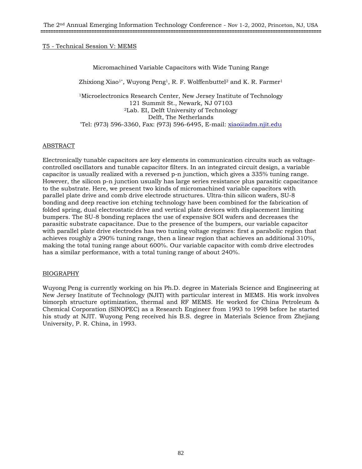# Micromachined Variable Capacitors with Wide Tuning Range

Zhixiong Xiao<sup>1\*</sup>, Wuyong Peng<sup>1</sup>, R. F. Wolffenbuttel<sup>2</sup> and K. R. Farmer<sup>1</sup>

<sup>1</sup>Microelectronics Research Center, New Jersey Institute of Technology 121 Summit St., Newark, NJ 07103 2Lab. EI, Delft University of Technology Delft, The Netherlands<br>Tel: (973) 596-3360, Fax: (973) 596-6495, E-mail: xiao@adm.njit.edu\*

# ABSTRACT

Electronically tunable capacitors are key elements in communication circuits such as voltagecontrolled oscillators and tunable capacitor filters. In an integrated circuit design, a variable capacitor is usually realized with a reversed p-n junction, which gives a 335% tuning range. However, the silicon p-n junction usually has large series resistance plus parasitic capacitance to the substrate. Here, we present two kinds of micromachined variable capacitors with parallel plate drive and comb drive electrode structures. Ultra-thin silicon wafers, SU-8 bonding and deep reactive ion etching technology have been combined for the fabrication of folded spring, dual electrostatic drive and vertical plate devices with displacement limiting bumpers. The SU-8 bonding replaces the use of expensive SOI wafers and decreases the parasitic substrate capacitance. Due to the presence of the bumpers, our variable capacitor with parallel plate drive electrodes has two tuning voltage regimes: first a parabolic region that achieves roughly a 290% tuning range, then a linear region that achieves an additional 310%, making the total tuning range about 600%. Our variable capacitor with comb drive electrodes has a similar performance, with a total tuning range of about 240%.

### BIOGRAPHY

Wuyong Peng is currently working on his Ph.D. degree in Materials Science and Engineering at New Jersey Institute of Technology (NJIT) with particular interest in MEMS. His work involves bimorph structure optimization, thermal and RF MEMS. He worked for China Petroleum & Chemical Corporation (SINOPEC) as a Research Engineer from 1993 to 1998 before he started his study at NJIT. Wuyong Peng received his B.S. degree in Materials Science from Zhejiang University, P. R. China, in 1993.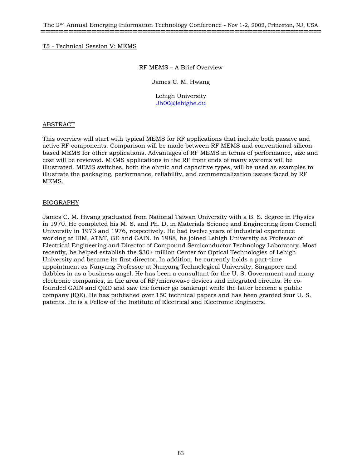### RF MEMS – A Brief Overview

James C. M. Hwang

Lehigh University Jh00@lehighe.du

### ABSTRACT

This overview will start with typical MEMS for RF applications that include both passive and active RF components. Comparison will be made between RF MEMS and conventional siliconbased MEMS for other applications. Advantages of RF MEMS in terms of performance, size and cost will be reviewed. MEMS applications in the RF front ends of many systems will be illustrated. MEMS switches, both the ohmic and capacitive types, will be used as examples to illustrate the packaging, performance, reliability, and commercialization issues faced by RF MEMS.

# BIOGRAPHY

James C. M. Hwang graduated from National Taiwan University with a B. S. degree in Physics in 1970. He completed his M. S. and Ph. D. in Materials Science and Engineering from Cornell University in 1973 and 1976, respectively. He had twelve years of industrial experience working at IBM, AT&T, GE and GAIN. In 1988, he joined Lehigh University as Professor of Electrical Engineering and Director of Compound Semiconductor Technology Laboratory. Most recently, he helped establish the \$30+ million Center for Optical Technologies of Lehigh University and became its first director. In addition, he currently holds a part-time appointment as Nanyang Professor at Nanyang Technological University, Singapore and dabbles in as a business angel. He has been a consultant for the U. S. Government and many electronic companies, in the area of RF/microwave devices and integrated circuits. He cofounded GAIN and QED and saw the former go bankrupt while the latter become a public company (IQE). He has published over 150 technical papers and has been granted four U. S. patents. He is a Fellow of the Institute of Electrical and Electronic Engineers.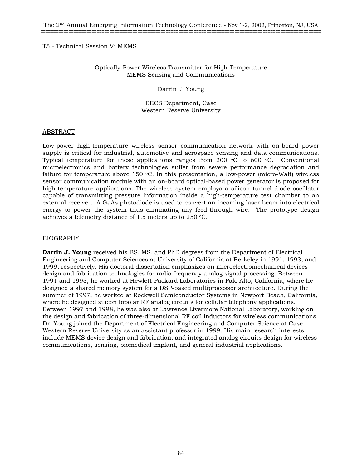# Optically-Power Wireless Transmitter for High-Temperature MEMS Sensing and Communications

Darrin J. Young

EECS Department, Case Western Reserve University

#### ABSTRACT

Low-power high-temperature wireless sensor communication network with on-board power supply is critical for industrial, automotive and aerospace sensing and data communications. Typical temperature for these applications ranges from 200  $\degree$ C to 600  $\degree$ C. Conventional microelectronics and battery technologies suffer from severe performance degradation and failure for temperature above 150  $\degree$ C. In this presentation, a low-power (micro-Walt) wireless sensor communication module with an on-board optical-based power generator is proposed for high-temperature applications. The wireless system employs a silicon tunnel diode oscillator capable of transmitting pressure information inside a high-temperature test chamber to an external receiver. A GaAs photodiode is used to convert an incoming laser beam into electrical energy to power the system thus eliminating any feed-through wire. The prototype design achieves a telemetry distance of 1.5 meters up to 250 °C.

### BIOGRAPHY

**Darrin J. Young** received his BS, MS, and PhD degrees from the Department of Electrical Engineering and Computer Sciences at University of California at Berkeley in 1991, 1993, and 1999, respectively. His doctoral dissertation emphasizes on microelectromechanical devices design and fabrication technologies for radio frequency analog signal processing. Between 1991 and 1993, he worked at Hewlett-Packard Laboratories in Palo Alto, California, where he designed a shared memory system for a DSP-based multiprocessor architecture. During the summer of 1997, he worked at Rockwell Semiconductor Systems in Newport Beach, California, where he designed silicon bipolar RF analog circuits for cellular telephony applications. Between 1997 and 1998, he was also at Lawrence Livermore National Laboratory, working on the design and fabrication of three-dimensional RF coil inductors for wireless communications. Dr. Young joined the Department of Electrical Engineering and Computer Science at Case Western Reserve University as an assistant professor in 1999. His main research interests include MEMS device design and fabrication, and integrated analog circuits design for wireless communications, sensing, biomedical implant, and general industrial applications.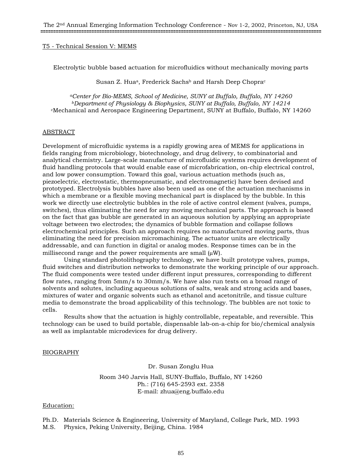Electrolytic bubble based actuation for microfluidics without mechanically moving parts

Susan Z. Hua<sup>a</sup>, Frederick Sachs<sup>b</sup> and Harsh Deep Chopra<sup>c</sup>

*aCenter for Bio-MEMS, School of Medicine, SUNY at Buffalo, Buffalo, NY 14260 bDepartment of Physiology & Biophysics, SUNY at Buffalo, Buffalo, NY 14214* cMechanical and Aerospace Engineering Department, SUNY at Buffalo, Buffalo, NY 14260

### ABSTRACT

Development of microfluidic systems is a rapidly growing area of MEMS for applications in fields ranging from microbiology, biotechnology, and drug delivery, to combinatorial and analytical chemistry. Large-scale manufacture of microfluidic systems requires development of fluid handling protocols that would enable ease of microfabrication, on-chip electrical control, and low power consumption. Toward this goal, various actuation methods (such as, piezoelectric, electrostatic, thermopneumatic, and electromagnetic) have been devised and prototyped. Electrolysis bubbles have also been used as one of the actuation mechanisms in which a membrane or a flexible moving mechanical part is displaced by the bubble. In this work we directly use electrolytic bubbles in the role of active control element (valves, pumps, switches), thus eliminating the need for any moving mechanical parts. The approach is based on the fact that gas bubble are generated in an aqueous solution by applying an appropriate voltage between two electrodes; the dynamics of bubble formation and collapse follows electrochemical principles. Such an approach requires no manufactured moving parts, thus eliminating the need for precision micromachining. The actuator units are electrically addressable, and can function in digital or analog modes. Response times can be in the millisecond range and the power requirements are small  $\mu$ W).

Using standard photolithography technology, we have built prototype valves, pumps, fluid switches and distribution networks to demonstrate the working principle of our approach. The fluid components were tested under different input pressures, corresponding to different flow rates, ranging from 5mm/s to 30mm/s. We have also run tests on a broad range of solvents and solutes, including aqueous solutions of salts, weak and strong acids and bases, mixtures of water and organic solvents such as ethanol and acetonitrile, and tissue culture media to demonstrate the broad applicability of this technology. The bubbles are not toxic to cells.

Results show that the actuation is highly controllable, repeatable, and reversible. This technology can be used to build portable, dispensable lab-on-a-chip for bio/chemical analysis as well as implantable microdevices for drug delivery.

### BIOGRAPHY

Dr. Susan Zonglu Hua Room 340 Jarvis Hall, SUNY-Buffalo, Buffalo, NY 14260

Ph.: (716) 645-2593 ext. 2358 E-mail: zhua@eng.buffalo.edu

### Education:

Ph.D. Materials Science & Engineering, University of Maryland, College Park, MD. 1993 M.S. Physics, Peking University, Beijing, China. 1984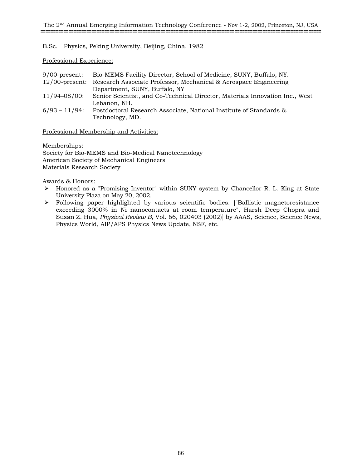# B.Sc. Physics, Peking University, Beijing, China. 1982

Professional Experience:

| $9/00$ -present: | Bio-MEMS Facility Director, School of Medicine, SUNY, Buffalo, NY.              |
|------------------|---------------------------------------------------------------------------------|
|                  | 12/00-present: Research Associate Professor, Mechanical & Aerospace Engineering |
|                  | Department, SUNY, Buffalo, NY                                                   |
| 11/94-08/00:     | Senior Scientist, and Co-Technical Director, Materials Innovation Inc., West    |
|                  | Lebanon, NH.                                                                    |
| $6/93 - 11/94$ : | Postdoctoral Research Associate, National Institute of Standards &              |
|                  | Technology, MD.                                                                 |

# Professional Membership and Activities:

Memberships: Society for Bio-MEMS and Bio-Medical Nanotechnology American Society of Mechanical Engineers Materials Research Society

Awards & Honors:

- ¾ Honored as a "Promising Inventor" within SUNY system by Chancellor R. L. King at State University Plaza on May 20, 2002.
- ¾ Following paper highlighted by various scientific bodies: ["Ballistic magnetoresistance exceeding 3000% in Ni nanocontacts at room temperature", Harsh Deep Chopra and Susan Z. Hua, *Physical Review B*, Vol. 66, 020403 (2002)] by AAAS, Science, Science News, Physics World, AIP/APS Physics News Update, NSF, etc.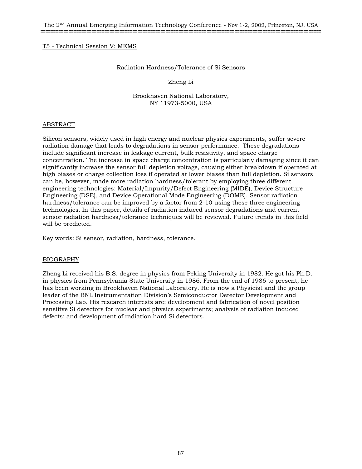#### Radiation Hardness/Tolerance of Si Sensors

### Zheng Li

#### Brookhaven National Laboratory, NY 11973-5000, USA

### ABSTRACT

Silicon sensors, widely used in high energy and nuclear physics experiments, suffer severe radiation damage that leads to degradations in sensor performance. These degradations include significant increase in leakage current, bulk resistivity, and space charge concentration. The increase in space charge concentration is particularly damaging since it can significantly increase the sensor full depletion voltage, causing either breakdown if operated at high biases or charge collection loss if operated at lower biases than full depletion. Si sensors can be, however, made more radiation hardness/tolerant by employing three different engineering technologies: Material/Impurity/Defect Engineering (MIDE), Device Structure Engineering (DSE), and Device Operational Mode Engineering (DOME). Sensor radiation hardness/tolerance can be improved by a factor from 2-10 using these three engineering technologies. In this paper, details of radiation induced sensor degradations and current sensor radiation hardness/tolerance techniques will be reviewed. Future trends in this field will be predicted.

Key words: Si sensor, radiation, hardness, tolerance.

### BIOGRAPHY

Zheng Li received his B.S. degree in physics from Peking University in 1982. He got his Ph.D. in physics from Pennsylvania State University in 1986. From the end of 1986 to present, he has been working in Brookhaven National Laboratory. He is now a Physicist and the group leader of the BNL Instrumentation Division's Semiconductor Detector Development and Processing Lab. His research interests are: development and fabrication of novel position sensitive Si detectors for nuclear and physics experiments; analysis of radiation induced defects; and development of radiation hard Si detectors.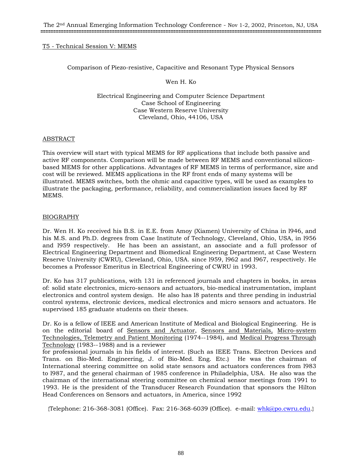Comparison of Piezo-resistive, Capacitive and Resonant Type Physical Sensors

Wen H. Ko

Electrical Engineering and Computer Science Department Case School of Engineering Case Western Reserve University Cleveland, Ohio, 44106, USA

### ABSTRACT

This overview will start with typical MEMS for RF applications that include both passive and active RF components. Comparison will be made between RF MEMS and conventional siliconbased MEMS for other applications. Advantages of RF MEMS in terms of performance, size and cost will be reviewed. MEMS applications in the RF front ends of many systems will be illustrated. MEMS switches, both the ohmic and capacitive types, will be used as examples to illustrate the packaging, performance, reliability, and commercialization issues faced by RF MEMS.

# BIOGRAPHY

Dr. Wen H. Ko received his B.S. in E.E. from Amoy (Xiamen) University of China in l946, and his M.S. and Ph.D. degrees from Case Institute of Technology, Cleveland, Ohio, USA, in l956 and l959 respectively. He has been an assistant, an associate and a full professor of Electrical Engineering Department and Biomedical Engineering Department, at Case Western Reserve University (CWRU), Cleveland, Ohio, USA. since l959, l962 and l967, respectively. He becomes a Professor Emeritus in Electrical Engineering of CWRU in 1993.

Dr. Ko has 317 publications, with 131 in referenced journals and chapters in books, in areas of: solid state electronics, micro-sensors and actuators, bio-medical instrumentation, implant electronics and control system design. He also has l8 patents and three pending in industrial control systems, electronic devices, medical electronics and micro sensors and actuators. He supervised 185 graduate students on their theses.

Dr. Ko is a fellow of IEEE and American Institute of Medical and Biological Engineering. He is on the editorial board of Sensors and Actuator, Sensors and Materials, Micro-system Technologies, Telemetry and Patient Monitoring (1974--1984), and Medical Progress Through Technology (1983--1988) and is a reviewer

for professional journals in his fields of interest. (Such as IEEE Trans. Electron Devices and Trans. on Bio-Med. Engineering, J. of Bio-Med. Eng. Etc.) He was the chairman of International steering committee on solid state sensors and actuators conferences from l983 to l987, and the general chairman of 1985 conference in Philadelphia, USA. He also was the chairman of the international steering committee on chemical sensor meetings from 1991 to 1993. He is the president of the Transducer Research Foundation that sponsors the Hilton Head Conferences on Sensors and actuators, in America, since 1992

{Telephone: 216-368-3081 (Office). Fax: 216-368-6039 (Office). e-mail: whk@po.cwru.edu.}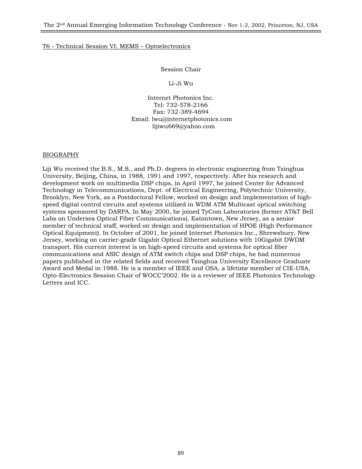Session Chair

Li-Ji Wu

Internet Photonics Inc. Tel: 732-578-2166 Fax: 732-389-4694 Email: lwu@internetphotonics.com lijiwu669@yahoo.com

# BIOGRAPHY

Liji Wu received the B.S., M.S., and Ph.D. degrees in electronic engineering from Tsinghua University, Beijing, China, in 1988, 1991 and 1997, respectively. After his research and development work on multimedia DSP chips, in April 1997, he joined Center for Advanced Technology in Telecommunications, Dept. of Electrical Engineering, Polytechnic University, Brooklyn, New York, as a Postdoctoral Fellow, worked on design and implementation of highspeed digital control circuits and systems utilized in WDM ATM Multicast optical switching systems sponsored by DARPA. In May 2000, he joined TyCom Laboratories (former AT&T Bell Labs on Undersea Optical Fiber Communications), Eatontown, New Jersey, as a senior member of technical staff, worked on design and implementation of HPOE (High Performance Optical Equipment). In October of 2001, he joined Internet Photonics Inc., Shrewsbury, New Jersey, working on carrier-grade Gigabit Optical Ethernet solutions with 10Gigabit DWDM transport. His current interest is on high-speed circuits and systems for optical fiber communications and ASIC design of ATM switch chips and DSP chips, he had numerous papers published in the related fields and received Tsinghua University Excellence Graduate Award and Medal in 1988. He is a member of IEEE and OSA, a lifetime member of CIE-USA, Opto-Electronics Session Chair of WOCC'2002. He is a reviewer of IEEE Photonics Technology Letters and ICC.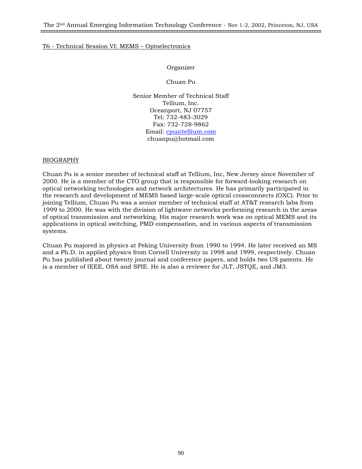## Organizer

Chuan Pu

Senior Member of Technical Staff Tellium, Inc. Oceanport, NJ 07757 Tel: 732-483-3029 Fax: 732-728-9862 Email: cpu@tellium.com chuanpu@hotmail.com

### BIOGRAPHY

Chuan Pu is a senior member of technical staff at Tellium, Inc, New Jersey since November of 2000. He is a member of the CTO group that is responsible for forward-looking research on optical networking technologies and network architectures. He has primarily participated in the research and development of MEMS based large-scale optical crossconnects (OXC). Prior to joining Tellium, Chuan Pu was a senior member of technical staff at AT&T research labs from 1999 to 2000. He was with the division of lightwave networks performing research in the areas of optical transmission and networking. His major research work was on optical MEMS and its applications in optical switching, PMD compensation, and in various aspects of transmission systems.

Chuan Pu majored in physics at Peking University from 1990 to 1994. He later received an MS and a Ph.D. in applied physics from Cornell University in 1998 and 1999, respectively. Chuan Pu has published about twenty journal and conference papers, and holds two US patents. He is a member of IEEE, OSA and SPIE. He is also a reviewer for JLT, JSTQE, and JM3.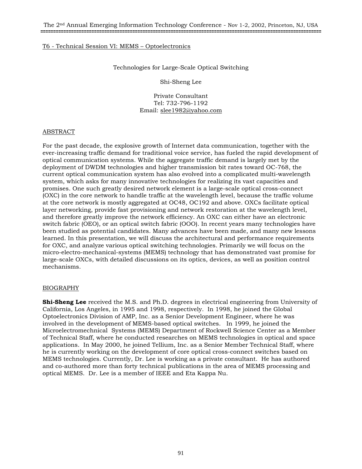Technologies for Large-Scale Optical Switching

Shi-Sheng Lee

Private Consultant Tel: 732-796-1192 Email: slee1982@yahoo.com

### ABSTRACT

For the past decade, the explosive growth of Internet data communication, together with the ever-increasing traffic demand for traditional voice service, has fueled the rapid development of optical communication systems. While the aggregate traffic demand is largely met by the deployment of DWDM technologies and higher transmission bit rates toward OC-768, the current optical communication system has also evolved into a complicated multi-wavelength system, which asks for many innovative technologies for realizing its vast capacities and promises. One such greatly desired network element is a large-scale optical cross-connect (OXC) in the core network to handle traffic at the wavelength level, because the traffic volume at the core network is mostly aggregated at OC48, OC192 and above. OXCs facilitate optical layer networking, provide fast provisioning and network restoration at the wavelength level, and therefore greatly improve the network efficiency. An OXC can either have an electronic switch fabric (OEO), or an optical switch fabric (OOO). In recent years many technologies have been studied as potential candidates. Many advances have been made, and many new lessons learned. In this presentation, we will discuss the architectural and performance requirements for OXC, and analyze various optical switching technologies. Primarily we will focus on the micro-electro-mechanical-systems (MEMS) technology that has demonstrated vast promise for large-scale OXCs, with detailed discussions on its optics, devices, as well as position control mechanisms.

### BIOGRAPHY

**Shi-Sheng Lee** received the M.S. and Ph.D. degrees in electrical engineering from University of California, Los Angeles, in 1995 and 1998, respectively. In 1998, he joined the Global Optoelectronics Division of AMP, Inc. as a Senior Development Engineer, where he was involved in the development of MEMS-based optical switches. In 1999, he joined the Microelectromechnical Systems (MEMS) Department of Rockwell Science Center as a Member of Technical Staff, where he conducted researches on MEMS technologies in optical and space applications. In May 2000, he joined Tellium, Inc. as a Senior Member Technical Staff, where he is currently working on the development of core optical cross-connect switches based on MEMS technologies. Currently, Dr. Lee is working as a private consultant. He has authored and co-authored more than forty technical publications in the area of MEMS processing and optical MEMS. Dr. Lee is a member of IEEE and Eta Kappa Nu.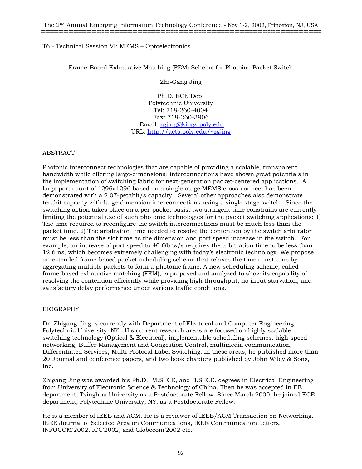# Frame-Based Exhaustive Matching (FEM) Scheme for Photoinc Packet Switch

Zhi-Gang Jing

Ph.D. ECE Dept Polytechnic University Tel: 718-260-4004 Fax: 718-260-3906 Email: zgjing@kings.poly.edu URL: http://acts.poly.edu/~zgjing

### ABSTRACT

Photonic interconnect technologies that are capable of providing a scalable, transparent bandwidth while offering large-dimensional interconnections have shown great potentials in the implementation of switching fabric for next-generation packet-centered applications. A large port count of 1296x1296 based on a single-stage MEMS cross-connect has been demonstrated with a 2.07-petabit/s capacity. Several other approaches also demonstrate terabit capacity with large-dimension interconnections using a single stage switch. Since the switching action takes place on a per-packet basis, two stringent time constrains are currently limiting the potential use of such photonic technologies for the packet switching applications: 1) The time required to reconfigure the switch interconnections must be much less than the packet time. 2) The arbitration time needed to resolve the contention by the switch arbitrator must be less than the slot time as the dimension and port speed increase in the switch. For example, an increase of port speed to 40 Gbits/s requires the arbitration time to be less than 12.6 ns, which becomes extremely challenging with today's electronic technology. We propose an extended frame-based packet-scheduling scheme that relaxes the time constrains by aggregating multiple packets to form a photonic frame. A new scheduling scheme, called frame-based exhaustive matching (FEM), is proposed and analyzed to show its capability of resolving the contention efficiently while providing high throughput, no input starvation, and satisfactory delay performance under various traffic conditions.

### BIOGRAPHY

Dr. Zhigang Jing is currently with Department of Electrical and Computer Engineering, Polytechnic University, NY. His current research areas are focused on highly scalable switching technology (Optical & Electrical), implementable scheduling schemes, high-speed networking, Buffer Management and Congestion Control, multimedia communication, Differentiated Services, Multi-Protocal Label Switching. In these areas, he published more than 20 Journal and conference papers, and two book chapters published by John Wiley & Sons, Inc.

Zhigang Jing was awarded his Ph.D., M.S.E.E, and B.S.E.E. degrees in Electrical Engineering from University of Electronic Science & Technology of China. Then he was accepted in EE department, Tsinghua University as a Postdoctorate Fellow. Since March 2000, he joined ECE department, Polytechnic University, NY, as a Postdoctorate Fellow.

He is a member of IEEE and ACM. He is a reviewer of IEEE/ACM Transaction on Networking, IEEE Journal of Selected Area on Communications, IEEE Communication Letters, INFOCOM'2002, ICC'2002, and Globecom'2002 etc.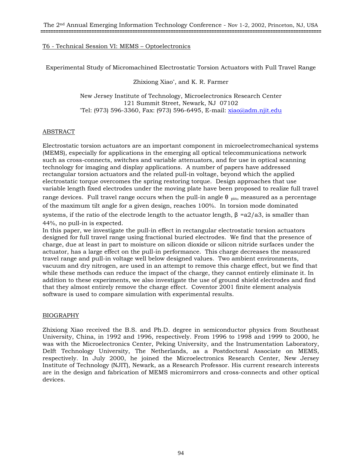Experimental Study of Micromachined Electrostatic Torsion Actuators with Full Travel Range

Zhixiong Xiao\*, and K. R. Farmer

New Jersey Institute of Technology, Microelectronics Research Center 121 Summit Street, Newark, NJ 07102<br>Tel: (973) 596-3360, Fax: (973) 596-6495, E-mail: xiao@adm.njit.edu\*

# ABSTRACT

Electrostatic torsion actuators are an important component in microelectromechanical systems (MEMS), especially for applications in the emerging all optical telecommunications network such as cross-connects, switches and variable attenuators, and for use in optical scanning technology for imaging and display applications. A number of papers have addressed rectangular torsion actuators and the related pull-in voltage, beyond which the applied electrostatic torque overcomes the spring restoring torque. Design approaches that use variable length fixed electrodes under the moving plate have been proposed to realize full travel range devices. Full travel range occurs when the pull-in angle  $\theta$  pin, measured as a percentage of the maximum tilt angle for a given design, reaches 100%. In torsion mode dominated systems, if the ratio of the electrode length to the actuator length,  $\beta = a2/a3$ , is smaller than 44%, no pull-in is expected.

In this paper, we investigate the pull-in effect in rectangular electrostatic torsion actuators designed for full travel range using fractional buried electrodes. We find that the presence of charge, due at least in part to moisture on silicon dioxide or silicon nitride surfaces under the actuator, has a large effect on the pull-in performance. This charge decreases the measured travel range and pull-in voltage well below designed values. Two ambient environments, vacuum and dry nitrogen, are used in an attempt to remove this charge effect, but we find that while these methods can reduce the impact of the charge, they cannot entirely eliminate it. In addition to these experiments, we also investigate the use of ground shield electrodes and find that they almost entirely remove the charge effect. Coventor 2001 finite element analysis software is used to compare simulation with experimental results.

# BIOGRAPHY

Zhixiong Xiao received the B.S. and Ph.D. degree in semiconductor physics from Southeast University, China, in 1992 and 1996, respectively. From 1996 to 1998 and 1999 to 2000, he was with the Microelectronics Center, Peking University, and the Instrumentation Laboratory, Delft Technology University, The Netherlands, as a Postdoctoral Associate on MEMS, respectively. In July 2000, he joined the Microelectronics Research Center, New Jersey Institute of Technology (NJIT), Newark, as a Research Professor. His current research interests are in the design and fabrication of MEMS micromirrors and cross-connects and other optical devices.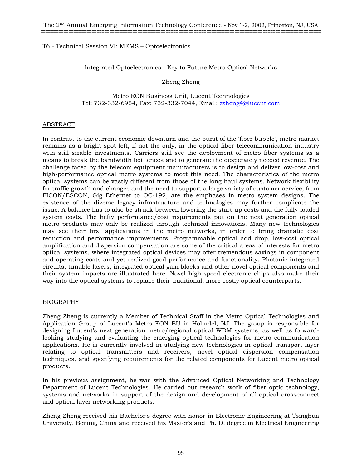Integrated Optoelectronics—Key to Future Metro Optical Networks

Zheng Zheng

Metro EON Business Unit, Lucent Technologies Tel: 732-332-6954, Fax: 732-332-7044, Email: zzheng4@lucent.com

### ABSTRACT

In contrast to the current economic downturn and the burst of the 'fiber bubble', metro market remains as a bright spot left, if not the only, in the optical fiber telecommunication industry with still sizable investments. Carriers still see the deployment of metro fiber systems as a means to break the bandwidth bottleneck and to generate the desperately needed revenue. The challenge faced by the telecom equipment manufacturers is to design and deliver low-cost and high-performance optical metro systems to meet this need. The characteristics of the metro optical systems can be vastly different from those of the long haul systems. Network flexibility for traffic growth and changes and the need to support a large variety of customer service, from FICON/ESCON, Gig Ethernet to OC-192, are the emphases in metro system designs. The existence of the diverse legacy infrastructure and technologies may further complicate the issue. A balance has to also be struck between lowering the start-up costs and the fully-loaded system costs. The hefty performance/cost requirements put on the next generation optical metro products may only be realized through technical innovations. Many new technologies may see their first applications in the metro networks, in order to bring dramatic cost reduction and performance improvements. Programmable optical add drop, low-cost optical amplification and dispersion compensation are some of the critical areas of interests for metro optical systems, where integrated optical devices may offer tremendous savings in component and operating costs and yet realized good performance and functionality. Photonic integrated circuits, tunable lasers, integrated optical gain blocks and other novel optical components and their system impacts are illustrated here. Novel high-speed electronic chips also make their way into the optical systems to replace their traditional, more costly optical counterparts.

### BIOGRAPHY

Zheng Zheng is currently a Member of Technical Staff in the Metro Optical Technologies and Application Group of Lucent's Metro EON BU in Holmdel, NJ. The group is responsible for designing Lucent's next generation metro/regional optical WDM systems, as well as forwardlooking studying and evaluating the emerging optical technologies for metro communication applications. He is currently involved in studying new technologies in optical transport layer relating to optical transmitters and receivers, novel optical dispersion compensation techniques, and specifying requirements for the related components for Lucent metro optical products.

In his previous assignment, he was with the Advanced Optical Networking and Technology Department of Lucent Technologies. He carried out research work of fiber optic technology, systems and networks in support of the design and development of all-optical crossconnect and optical layer networking products.

Zheng Zheng received his Bachelor's degree with honor in Electronic Engineering at Tsinghua University, Beijing, China and received his Master's and Ph. D. degree in Electrical Engineering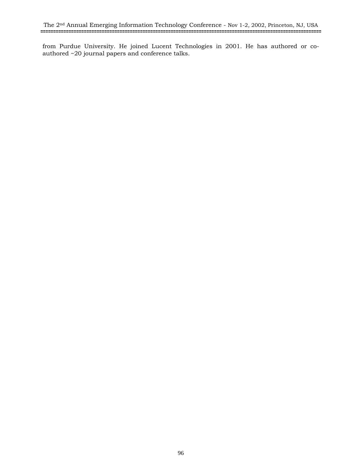from Purdue University. He joined Lucent Technologies in 2001. He has authored or coauthored ~20 journal papers and conference talks.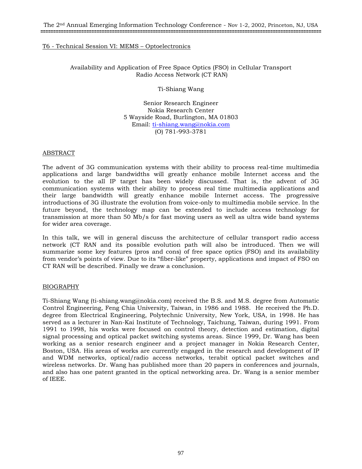Availability and Application of Free Space Optics (FSO) in Cellular Transport Radio Access Network (CT RAN)

Ti-Shiang Wang

Senior Research Engineer Nokia Research Center 5 Wayside Road, Burlington, MA 01803 Email: ti-shiang.wang@nokia.com (O) 781-993-3781

#### ABSTRACT

The advent of 3G communication systems with their ability to process real-time multimedia applications and large bandwidths will greatly enhance mobile Internet access and the evolution to the all IP target has been widely discussed. That is, the advent of 3G communication systems with their ability to process real time multimedia applications and their large bandwidth will greatly enhance mobile Internet access. The progressive introductions of 3G illustrate the evolution from voice-only to multimedia mobile service. In the future beyond, the technology map can be extended to include access technology for transmission at more than 50 Mb/s for fast moving users as well as ultra wide band systems for wider area coverage.

In this talk, we will in general discuss the architecture of cellular transport radio access network (CT RAN and its possible evolution path will also be introduced. Then we will summarize some key features (pros and cons) of free space optics (FSO) and its availability from vendor's points of view. Due to its "fiber-like" property, applications and impact of FSO on CT RAN will be described. Finally we draw a conclusion.

### BIOGRAPHY

Ti-Shiang Wang (ti-shiang.wang@nokia.com) received the B.S. and M.S. degree from Automatic Control Engineering, Feng Chia University, Taiwan, in 1986 and 1988. He received the Ph.D. degree from Electrical Engineering, Polytechnic University, New York, USA, in 1998. He has served as a lecturer in Nan-Kai Institute of Technology, Taichung, Taiwan, during 1991. From 1991 to 1998, his works were focused on control theory, detection and estimation, digital signal processing and optical packet switching systems areas. Since 1999, Dr. Wang has been working as a senior research engineer and a project manager in Nokia Research Center, Boston, USA. His areas of works are currently engaged in the research and development of IP and WDM networks, optical/radio access networks, terabit optical packet switches and wireless networks. Dr. Wang has published more than 20 papers in conferences and journals, and also has one patent granted in the optical networking area. Dr. Wang is a senior member of IEEE.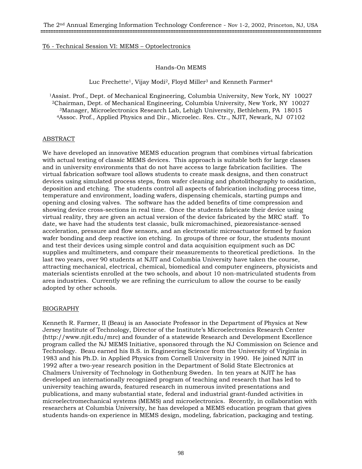# Hands-On MEMS

Luc Frechette<sup>1</sup>, Vijay Modi<sup>2</sup>, Floyd Miller<sup>3</sup> and Kenneth Farmer<sup>4</sup>

1Assist. Prof., Dept. of Mechanical Engineering, Columbia University, New York, NY 10027 2Chairman, Dept. of Mechanical Engineering, Columbia University, New York, NY 10027 <sup>3</sup>Manager, Microelectronics Research Lab, Lehigh University, Bethlehem, PA 18015<br><sup>4</sup>Assoc. Prof., Applied Physics and Dir., Microelec. Res. Ctr., NJIT, Newark, NJ 07102

### ABSTRACT

We have developed an innovative MEMS education program that combines virtual fabrication with actual testing of classic MEMS devices. This approach is suitable both for large classes and in university environments that do not have access to large fabrication facilities. The virtual fabrication software tool allows students to create mask designs, and then construct devices using simulated process steps, from wafer cleaning and photolithography to oxidation, deposition and etching. The students control all aspects of fabrication including process time, temperature and environment, loading wafers, dispensing chemicals, starting pumps and opening and closing valves. The software has the added benefits of time compression and showing device cross-sections in real time. Once the students fabricate their device using virtual reality, they are given an actual version of the device fabricated by the MRC staff. To date, we have had the students test classic, bulk micromachined, piezoresistance-sensed acceleration, pressure and flow sensors, and an electrostatic microactuator formed by fusion wafer bonding and deep reactive ion etching. In groups of three or four, the students mount and test their devices using simple control and data acquisition equipment such as DC supplies and multimeters, and compare their measurements to theoretical predictions. In the last two years, over 90 students at NJIT and Columbia University have taken the course, attracting mechanical, electrical, chemical, biomedical and computer engineers, physicists and materials scientists enrolled at the two schools, and about 10 non-matriculated students from area industries. Currently we are refining the curriculum to allow the course to be easily adopted by other schools.

### BIOGRAPHY

Kenneth R. Farmer, II (Beau) is an Associate Professor in the Department of Physics at New Jersey Institute of Technology, Director of the Institute's Microelectronics Research Center (http://www.njit.edu/mrc) and founder of a statewide Research and Development Excellence program called the NJ MEMS Initiative, sponsored through the NJ Commission on Science and Technology. Beau earned his B.S. in Engineering Science from the University of Virginia in 1983 and his Ph.D. in Applied Physics from Cornell University in 1990. He joined NJIT in 1992 after a two-year research position in the Department of Solid State Electronics at Chalmers University of Technology in Gothenburg Sweden. In ten years at NJIT he has developed an internationally recognized program of teaching and research that has led to university teaching awards, featured research in numerous invited presentations and publications, and many substantial state, federal and industrial grant-funded activities in microelectromechanical systems (MEMS) and microelectronics. Recently, in collaboration with researchers at Columbia University, he has developed a MEMS education program that gives students hands-on experience in MEMS design, modeling, fabrication, packaging and testing.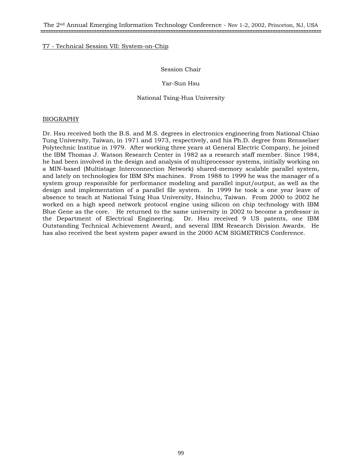# Session Chair

## Yar-Sun Hsu

## National Tsing-Hua University

## BIOGRAPHY

Dr. Hsu received both the B.S. and M.S. degrees in electronics engineering from National Chiao Tung University, Taiwan, in 1971 and 1973, respectively, and his Ph.D. degree from Rensselaer Polytechnic Institue in 1979. After working three years at General Electric Company, he joined the IBM Thomas J. Watson Research Center in 1982 as a research staff member. Since 1984, he had been involved in the design and analysis of multiprocessor systems, initially working on a MIN-based (Multistage Interconnection Network) shared-memory scalable parallel system, and lately on technologies for IBM SPx machines. From 1988 to 1999 he was the manager of a system group responsible for performance modeling and parallel input/output, as well as the design and implementation of a parallel file system. In 1999 he took a one year leave of absence to teach at National Tsing Hua University, Hsinchu, Taiwan. From 2000 to 2002 he worked on a high speed network protocol engine using silicon on chip technology with IBM Blue Gene as the core. He returned to the same university in 2002 to become a professor in the Department of Electrical Engineering. Dr. Hsu received 9 US patents, one IBM Outstanding Technical Achievement Award, and several IBM Research Division Awards. He has also received the best system paper award in the 2000 ACM SIGMETRICS Conference.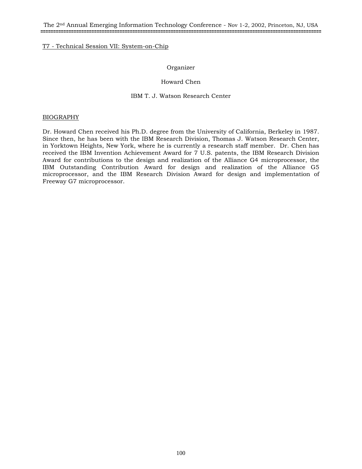## Organizer

# Howard Chen

## IBM T. J. Watson Research Center

### BIOGRAPHY

Dr. Howard Chen received his Ph.D. degree from the University of California, Berkeley in 1987. Since then, he has been with the IBM Research Division, Thomas J. Watson Research Center, in Yorktown Heights, New York, where he is currently a research staff member. Dr. Chen has received the IBM Invention Achievement Award for 7 U.S. patents, the IBM Research Division Award for contributions to the design and realization of the Alliance G4 microprocessor, the IBM Outstanding Contribution Award for design and realization of the Alliance G5 microprocessor, and the IBM Research Division Award for design and implementation of Freeway G7 microprocessor.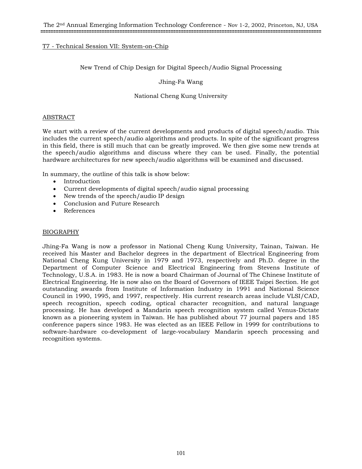# New Trend of Chip Design for Digital Speech/Audio Signal Processing

Jhing-Fa Wang

National Cheng Kung University

### ABSTRACT

We start with a review of the current developments and products of digital speech/audio. This includes the current speech/audio algorithms and products. In spite of the significant progress in this field, there is still much that can be greatly improved. We then give some new trends at the speech/audio algorithms and discuss where they can be used. Finally, the potential hardware architectures for new speech/audio algorithms will be examined and discussed.

In summary, the outline of this talk is show below:

- Introduction
- Current developments of digital speech/audio signal processing
- New trends of the speech/audio IP design
- Conclusion and Future Research
- References

### BIOGRAPHY

Jhing-Fa Wang is now a professor in National Cheng Kung University, Tainan, Taiwan. He received his Master and Bachelor degrees in the department of Electrical Engineering from National Cheng Kung University in 1979 and 1973, respectively and Ph.D. degree in the Department of Computer Science and Electrical Engineering from Stevens Institute of Technology, U.S.A. in 1983. He is now a board Chairman of Journal of The Chinese Institute of Electrical Engineering. He is now also on the Board of Governors of IEEE Taipei Section. He got outstanding awards from Institute of Information Industry in 1991 and National Science Council in 1990, 1995, and 1997, respectively. His current research areas include VLSI/CAD, speech recognition, speech coding, optical character recognition, and natural language processing. He has developed a Mandarin speech recognition system called Venus-Dictate known as a pioneering system in Taiwan. He has published about 77 journal papers and 185 conference papers since 1983. He was elected as an IEEE Fellow in 1999 for contributions to software-hardware co-development of large-vocabulary Mandarin speech processing and recognition systems.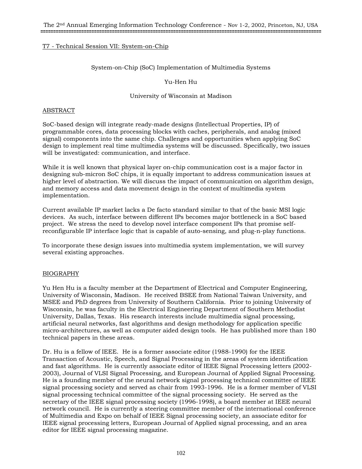# System-on-Chip (SoC) Implementation of Multimedia Systems

## Yu-Hen Hu

# University of Wisconsin at Madison

## ABSTRACT

SoC-based design will integrate ready-made designs (Intellectual Properties, IP) of programmable cores, data processing blocks with caches, peripherals, and analog (mixed signal) components into the same chip. Challenges and opportunities when applying SoC design to implement real time multimedia systems will be discussed. Specifically, two issues will be investigated: communication, and interface.

While it is well known that physical layer on-chip communication cost is a major factor in designing sub-micron SoC chips, it is equally important to address communication issues at higher level of abstraction. We will discuss the impact of communication on algorithm design, and memory access and data movement design in the context of multimedia system implementation.

Current available IP market lacks a De facto standard similar to that of the basic MSI logic devices. As such, interface between different IPs becomes major bottleneck in a SoC based project. We stress the need to develop novel interface component IPs that promise selfreconfigurable IP interface logic that is capable of auto-sensing, and plug-n-play functions.

To incorporate these design issues into multimedia system implementation, we will survey several existing approaches.

### BIOGRAPHY

Yu Hen Hu is a faculty member at the Department of Electrical and Computer Engineering, University of Wisconsin, Madison. He received BSEE from National Taiwan University, and MSEE and PhD degrees from University of Southern California. Prior to joining University of Wisconsin, he was faculty in the Electrical Engineering Department of Southern Methodist University, Dallas, Texas. His research interests include multimedia signal processing, artificial neural networks, fast algorithms and design methodology for application specific micro-architectures, as well as computer aided design tools. He has published more than 180 technical papers in these areas.

Dr. Hu is a fellow of IEEE. He is a former associate editor (1988-1990) for the IEEE Transaction of Acoustic, Speech, and Signal Processing in the areas of system identification and fast algorithms. He is currently associate editor of IEEE Signal Processing letters (2002- 2003), Journal of VLSI Signal Processing, and European Journal of Applied Signal Processing. He is a founding member of the neural network signal processing technical committee of IEEE signal processing society and served as chair from 1993-1996. He is a former member of VLSI signal processing technical committee of the signal processing society. He served as the secretary of the IEEE signal processing society (1996-1998), a board member at IEEE neural network council. He is currently a steering committee member of the international conference of Multimedia and Expo on behalf of IEEE Signal processing society, an associate editor for IEEE signal processing letters, European Journal of Applied signal processing, and an area editor for IEEE signal processing magazine.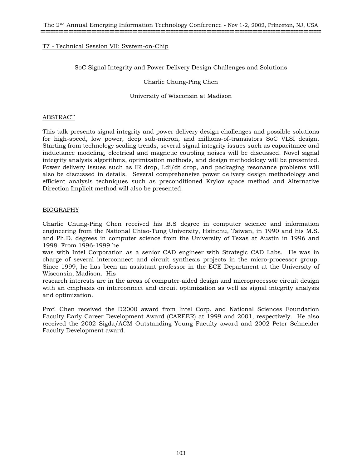SoC Signal Integrity and Power Delivery Design Challenges and Solutions

Charlie Chung-Ping Chen

University of Wisconsin at Madison

### ABSTRACT

This talk presents signal integrity and power delivery design challenges and possible solutions for high-speed, low power, deep sub-micron, and millions-of-transistors SoC VLSI design. Starting from technology scaling trends, several signal integrity issues such as capacitance and inductance modeling, electrical and magnetic coupling noises will be discussed. Novel signal integrity analysis algorithms, optimization methods, and design methodology will be presented. Power delivery issues such as IR drop, Ldi/dt drop, and packaging resonance problems will also be discussed in details. Several comprehensive power delivery design methodology and efficient analysis techniques such as preconditioned Krylov space method and Alternative Direction Implicit method will also be presented.

# BIOGRAPHY

Charlie Chung-Ping Chen received his B.S degree in computer science and information engineering from the National Chiao-Tung University, Hsinchu, Taiwan, in 1990 and his M.S. and Ph.D. degrees in computer science from the University of Texas at Austin in 1996 and 1998. From 1996-1999 he

was with Intel Corporation as a senior CAD engineer with Strategic CAD Labs. He was in charge of several interconnect and circuit synthesis projects in the micro-processor group. Since 1999, he has been an assistant professor in the ECE Department at the University of Wisconsin, Madison. His

research interests are in the areas of computer-aided design and microprocessor circuit design with an emphasis on interconnect and circuit optimization as well as signal integrity analysis and optimization.

Prof. Chen received the D2000 award from Intel Corp. and National Sciences Foundation Faculty Early Career Development Award (CAREER) at 1999 and 2001, respectively. He also received the 2002 Sigda/ACM Outstanding Young Faculty award and 2002 Peter Schneider Faculty Development award.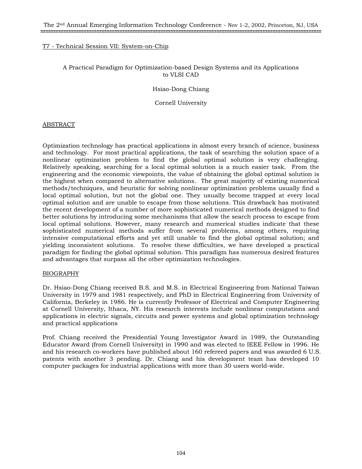# A Practical Paradigm for Optimization-based Design Systems and its Applications to VLSI CAD

### Hsiao-Dong Chiang

## Cornell University

# ABSTRACT

Optimization technology has practical applications in almost every branch of science, business and technology. For most practical applications, the task of searching the solution space of a nonlinear optimization problem to find the global optimal solution is very challenging. Relatively speaking, searching for a local optimal solution is a much easier task. From the engineering and the economic viewpoints, the value of obtaining the global optimal solution is the highest when compared to alternative solutions. The great majority of existing numerical methods/techniques, and heuristic for solving nonlinear optimization problems usually find a local optimal solution, but not the global one. They usually become trapped at every local optimal solution and are unable to escape from those solutions. This drawback has motivated the recent development of a number of more sophisticated numerical methods designed to find better solutions by introducing some mechanisms that allow the search process to escape from local optimal solutions. However, many research and numerical studies indicate that these sophisticated numerical methods suffer from several problems, among others, requiring intensive computational efforts and yet still unable to find the global optimal solution; and yielding inconsistent solutions. To resolve these difficulties, we have developed a practical paradigm for finding the global optimal solution. This paradigm has numerous desired features and advantages that surpass all the other optimization technologies.

### BIOGRAPHY

Dr. Hsiao-Dong Chiang received B.S. and M.S. in Electrical Engineering from National Taiwan University in 1979 and 1981 respectively, and PhD in Electrical Engineering from University of California, Berkeley in 1986. He is currently Professor of Electrical and Computer Engineering at Cornell University, Ithaca, NY. His research interests include nonlinear computations and applications in electric signals, circuits and power systems and global optimization technology and practical applications

Prof. Chiang received the Presidential Young Investigator Award in 1989, the Outstanding Educator Award (from Cornell University) in 1990 and was elected to IEEE Fellow in 1996. He and his research co-workers have published about 160 refereed papers and was awarded 6 U.S. patents with another 3 pending. Dr. Chiang and his development team has developed 10 computer packages for industrial applications with more than 30 users world-wide.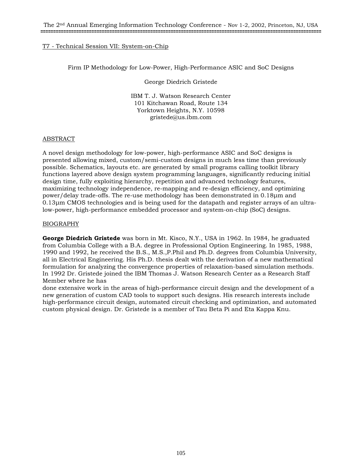Firm IP Methodology for Low-Power, High-Performance ASIC and SoC Designs

George Diedrich Gristede

IBM T. J. Watson Research Center 101 Kitchawan Road, Route 134 Yorktown Heights, N.Y. 10598 gristede@us.ibm.com

# ABSTRACT

A novel design methodology for low-power, high-performance ASIC and SoC designs is presented allowing mixed, custom/semi-custom designs in much less time than previously possible. Schematics, layouts etc. are generated by small programs calling toolkit library functions layered above design system programming languages, significantly reducing initial design time, fully exploiting hierarchy, repetition and advanced technology features, maximizing technology independence, re-mapping and re-design efficiency, and optimizing power/delay trade-offs. The re-use methodology has been demonstrated in 0.18µm and 0.13µm CMOS technologies and is being used for the datapath and register arrays of an ultralow-power, high-performance embedded processor and system-on-chip (SoC) designs.

# BIOGRAPHY

**George Diedrich Gristede** was born in Mt. Kisco, N.Y., USA in 1962. In 1984, he graduated from Columbia College with a B.A. degree in Professional Option Engineering. In 1985, 1988, 1990 and 1992, he received the B.S., M.S.,P.Phil and Ph.D. degrees from Columbia University, all in Electrical Engineering. His Ph.D. thesis dealt with the derivation of a new mathematical formulation for analyzing the convergence properties of relaxation-based simulation methods. In 1992 Dr. Gristede joined the IBM Thomas J. Watson Research Center as a Research Staff Member where he has

done extensive work in the areas of high-performance circuit design and the development of a new generation of custom CAD tools to support such designs. His research interests include high-performance circuit design, automated circuit checking and optimization, and automated custom physical design. Dr. Gristede is a member of Tau Beta Pi and Eta Kappa Knu.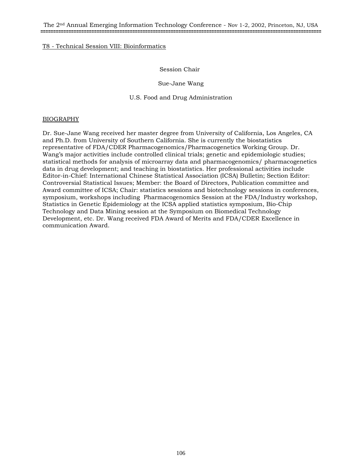# T8 - Technical Session VIII: Bioinformatics

# Session Chair

Sue-Jane Wang

U.S. Food and Drug Administration

### BIOGRAPHY

Dr. Sue-Jane Wang received her master degree from University of California, Los Angeles, CA and Ph.D. from University of Southern California. She is currently the biostatistics representative of FDA/CDER Pharmacogenomics/Pharmacogenetics Working Group. Dr. Wang's major activities include controlled clinical trials; genetic and epidemiologic studies; statistical methods for analysis of microarray data and pharmacogenomics/ pharmacogenetics data in drug development; and teaching in biostatistics. Her professional activities include Editor-in-Chief: International Chinese Statistical Association (ICSA) Bulletin; Section Editor: Controversial Statistical Issues; Member: the Board of Directors, Publication committee and Award committee of ICSA; Chair: statistics sessions and biotechnology sessions in conferences, symposium, workshops including Pharmacogenomics Session at the FDA/Industry workshop, Statistics in Genetic Epidemiology at the ICSA applied statistics symposium, Bio-Chip Technology and Data Mining session at the Symposium on Biomedical Technology Development, etc. Dr. Wang received FDA Award of Merits and FDA/CDER Excellence in communication Award.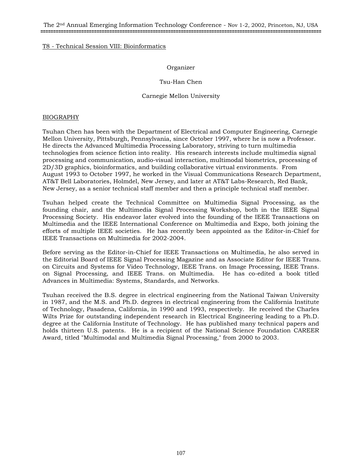The 2nd Annual Emerging Information Technology Conference - Nov 1-2, 2002, Princeton, NJ, USA **==============================================================================================================**

## T8 - Technical Session VIII: Bioinformatics

## Organizer

# Tsu-Han Chen

## Carnegie Mellon University

### BIOGRAPHY

Tsuhan Chen has been with the Department of Electrical and Computer Engineering, Carnegie Mellon University, Pittsburgh, Pennsylvania, since October 1997, where he is now a Professor. He directs the Advanced Multimedia Processing Laboratory, striving to turn multimedia technologies from science fiction into reality. His research interests include multimedia signal processing and communication, audio-visual interaction, multimodal biometrics, processing of 2D/3D graphics, bioinformatics, and building collaborative virtual environments. From August 1993 to October 1997, he worked in the Visual Communications Research Department, AT&T Bell Laboratories, Holmdel, New Jersey, and later at AT&T Labs-Research, Red Bank, New Jersey, as a senior technical staff member and then a principle technical staff member.

Tsuhan helped create the Technical Committee on Multimedia Signal Processing, as the founding chair, and the Multimedia Signal Processing Workshop, both in the IEEE Signal Processing Society. His endeavor later evolved into the founding of the IEEE Transactions on Multimedia and the IEEE International Conference on Multimedia and Expo, both joining the efforts of multiple IEEE societies. He has recently been appointed as the Editor-in-Chief for IEEE Transactions on Multimedia for 2002-2004.

Before serving as the Editor-in-Chief for IEEE Transactions on Multimedia, he also served in the Editorial Board of IEEE Signal Processing Magazine and as Associate Editor for IEEE Trans. on Circuits and Systems for Video Technology, IEEE Trans. on Image Processing, IEEE Trans. on Signal Processing, and IEEE Trans. on Multimedia. He has co-edited a book titled Advances in Multimedia: Systems, Standards, and Networks.

Tsuhan received the B.S. degree in electrical engineering from the National Taiwan University in 1987, and the M.S. and Ph.D. degrees in electrical engineering from the California Institute of Technology, Pasadena, California, in 1990 and 1993, respectively. He received the Charles Wilts Prize for outstanding independent research in Electrical Engineering leading to a Ph.D. degree at the California Institute of Technology. He has published many technical papers and holds thirteen U.S. patents. He is a recipient of the National Science Foundation CAREER Award, titled "Multimodal and Multimedia Signal Processing," from 2000 to 2003.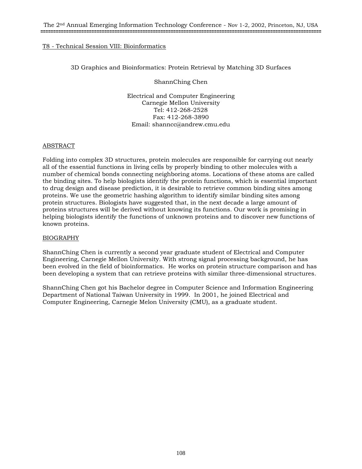# T8 - Technical Session VIII: Bioinformatics

3D Graphics and Bioinformatics: Protein Retrieval by Matching 3D Surfaces

ShannChing Chen

Electrical and Computer Engineering Carnegie Mellon University Tel: 412-268-2528 Fax: 412-268-3890 Email: shanncc@andrew.cmu.edu

# ABSTRACT

Folding into complex 3D structures, protein molecules are responsible for carrying out nearly all of the essential functions in living cells by properly binding to other molecules with a number of chemical bonds connecting neighboring atoms. Locations of these atoms are called the binding sites. To help biologists identify the protein functions, which is essential important to drug design and disease prediction, it is desirable to retrieve common binding sites among proteins. We use the geometric hashing algorithm to identify similar binding sites among protein structures. Biologists have suggested that, in the next decade a large amount of proteins structures will be derived without knowing its functions. Our work is promising in helping biologists identify the functions of unknown proteins and to discover new functions of known proteins.

### BIOGRAPHY

ShannChing Chen is currently a second year graduate student of Electrical and Computer Engineering, Carnegie Mellon University. With strong signal processing background, he has been evolved in the field of bioinformatics. He works on protein structure comparison and has been developing a system that can retrieve proteins with similar three-dimensional structures.

ShannChing Chen got his Bachelor degree in Computer Science and Information Engineering Department of National Taiwan University in 1999. In 2001, he joined Electrical and Computer Engineering, Carnegie Melon University (CMU), as a graduate student.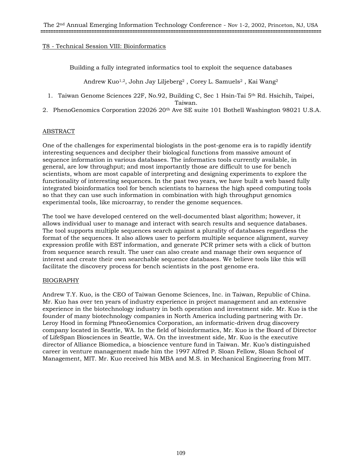# T8 - Technical Session VIII: Bioinformatics

Building a fully integrated informatics tool to exploit the sequence databases

Andrew Kuo<sup>1,2</sup>, John Jay Liljeberg<sup>2</sup>, Corey L. Samuels<sup>2</sup>, Kai Wang<sup>2</sup>

1. Taiwan Genome Sciences 22F, No.92, Building C, Sec 1 Hsin-Tai 5th Rd. Hsichih, Taipei, Taiwan.

2. PhenoGenomics Corporation 22026 20th Ave SE suite 101 Bothell Washington 98021 U.S.A.

# ABSTRACT

One of the challenges for experimental biologists in the post-genome era is to rapidly identify interesting sequences and decipher their biological functions from massive amount of sequence information in various databases. The informatics tools currently available, in general, are low throughput; and most importantly those are difficult to use for bench scientists, whom are most capable of interpreting and designing experiments to explore the functionality of interesting sequences. In the past two years, we have built a web based fully integrated bioinformatics tool for bench scientists to harness the high speed computing tools so that they can use such information in combination with high throughput genomics experimental tools, like microarray, to render the genome sequences.

The tool we have developed centered on the well-documented blast algorithm; however, it allows individual user to manage and interact with search results and sequence databases. The tool supports multiple sequences search against a plurality of databases regardless the format of the sequences. It also allows user to perform multiple sequence alignment, survey expression profile with EST information, and generate PCR primer sets with a click of button from sequence search result. The user can also create and manage their own sequence of interest and create their own searchable sequence databases. We believe tools like this will facilitate the discovery process for bench scientists in the post genome era.

# BIOGRAPHY

Andrew T.Y. Kuo, is the CEO of Taiwan Genome Sciences, Inc. in Taiwan, Republic of China. Mr. Kuo has over ten years of industry experience in project management and an extensive experience in the biotechnology industry in both operation and investment side. Mr. Kuo is the founder of many biotechnology companies in North America including partnering with Dr. Leroy Hood in forming PhneoGenomics Corporation, an informatic-driven drug discovery company located in Seattle, WA. In the field of bioinformatics, Mr. Kuo is the Board of Director of LifeSpan Biosciences in Seattle, WA. On the investment side, Mr. Kuo is the executive director of Alliance Biomedica, a bioscience venture fund in Taiwan. Mr. Kuo's distinguished career in venture management made him the 1997 Alfred P. Sloan Fellow, Sloan School of Management, MIT. Mr. Kuo received his MBA and M.S. in Mechanical Engineering from MIT.